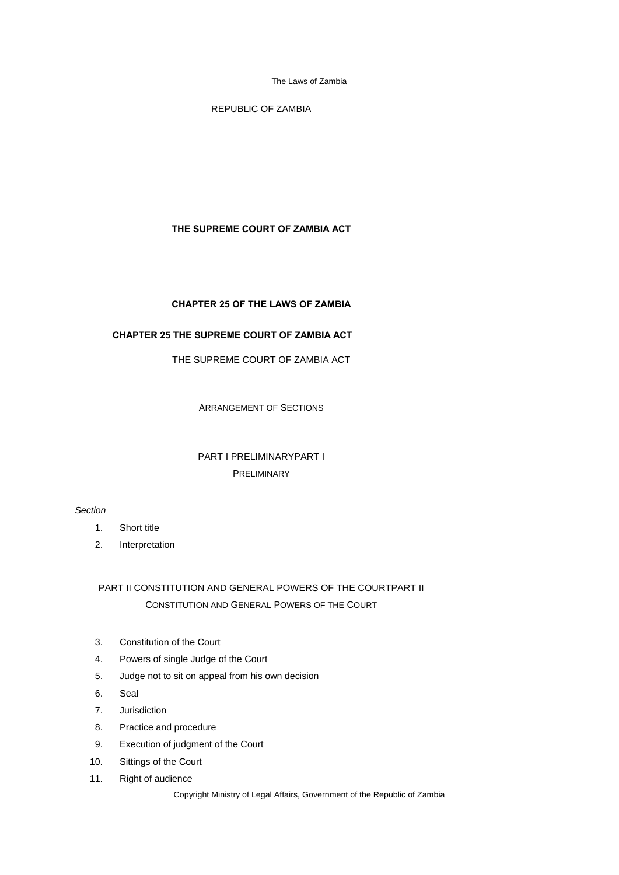REPUBLIC OF ZAMBIA

# **THE SUPREME COURT OF ZAMBIA ACT**

# **CHAPTER 25 OF THE LAWS OF ZAMBIA**

# **CHAPTER 25 THE SUPREME COURT OF ZAMBIA ACT**

THE SUPREME COURT OF ZAMBIA ACT

ARRANGEMENT OF SECTIONS

# PART I PRELIMINARYPART I PRELIMINARY

# *Section*

- 1. Short title
- 2. Interpretation

# PART II CONSTITUTION AND GENERAL POWERS OF THE COURTPART II CONSTITUTION AND GENERAL POWERS OF THE COURT

- 3. Constitution of the Court
- 4. Powers of single Judge of the Court
- 5. Judge not to sit on appeal from his own decision
- 6. Seal
- 7. Jurisdiction
- 8. Practice and procedure
- 9. Execution of judgment of the Court
- 10. Sittings of the Court
- 11. Right of audience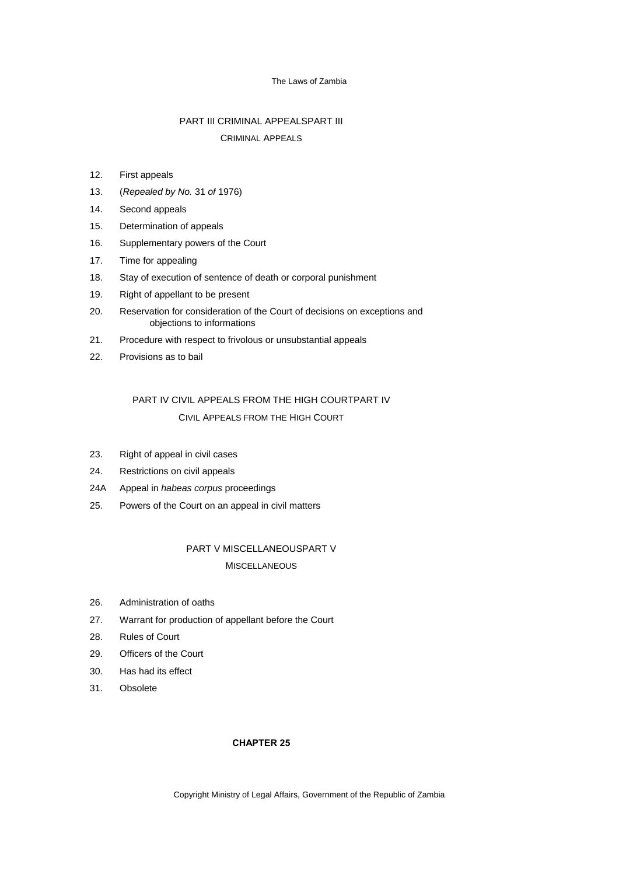# PART III CRIMINAL APPEALSPART III CRIMINAL APPEALS

# 12. First appeals

- 13. (*Repealed by No.* 31 *of* 1976)
- 14. Second appeals
- 15. Determination of appeals
- 16. Supplementary powers of the Court
- 17. Time for appealing
- 18. Stay of execution of sentence of death or corporal punishment
- 19. Right of appellant to be present
- 20. Reservation for consideration of the Court of decisions on exceptions and objections to informations
- 21. Procedure with respect to frivolous or unsubstantial appeals
- 22. Provisions as to bail

# PART IV CIVIL APPEALS FROM THE HIGH COURTPART IV CIVIL APPEALS FROM THE HIGH COURT

- 23. Right of appeal in civil cases
- 24. Restrictions on civil appeals
- 24A Appeal in *habeas corpus* proceedings
- 25. Powers of the Court on an appeal in civil matters

# PART V MISCELLANEOUSPART V **MISCELLANEOUS**

- 26. Administration of oaths
- 27. Warrant for production of appellant before the Court
- 28. Rules of Court
- 29. Officers of the Court
- 30. Has had its effect
- 31. Obsolete

## **CHAPTER 25**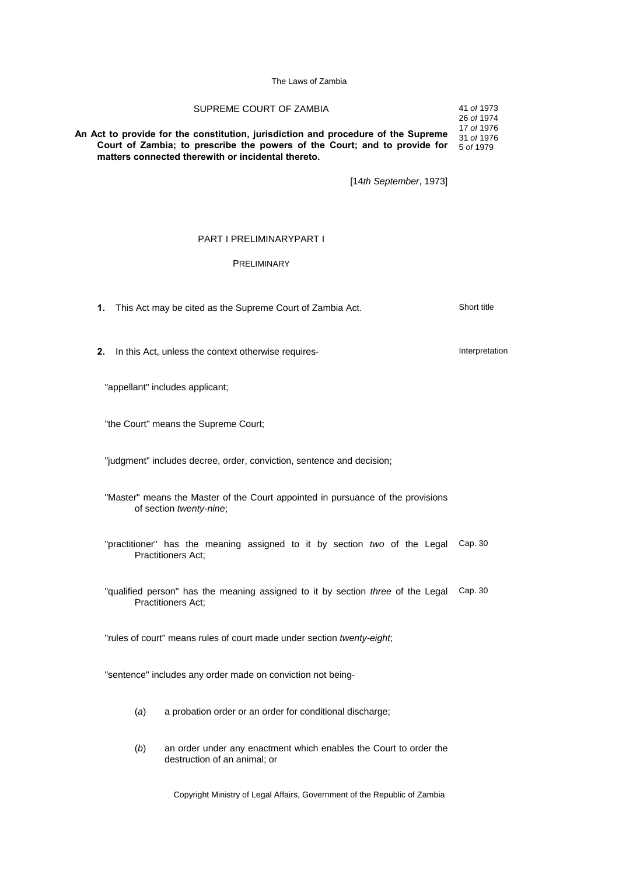SUPREME COURT OF ZAMBIA **An Act to provide for the constitution, jurisdiction and procedure of the Supreme Court of Zambia; to prescribe the powers of the Court; and to provide for** 5 *of* 1979 **matters connected therewith or incidental thereto.** 41 *of* 1973 26 *of* 1974 17 *of* 1976 31 *of* 1976

[14*th September*, 1973]

### PART I PRELIMINARYPART I

### PRELIMINARY

**1.** This Act may be cited as the Supreme Court of Zambia Act. Short title

**2.** In this Act, unless the context otherwise requires- **Interpretation** 

"appellant" includes applicant;

"the Court" means the Supreme Court;

"judgment" includes decree, order, conviction, sentence and decision;

"Master" means the Master of the Court appointed in pursuance of the provisions of section *twenty-nine*;

"practitioner" has the meaning assigned to it by section *two* of the Legal Cap. 30 Practitioners Act;

"qualified person" has the meaning assigned to it by section *three* of the Legal Cap. 30 Practitioners Act;

"rules of court" means rules of court made under section *twenty-eight*;

"sentence" includes any order made on conviction not being-

- (*a*) a probation order or an order for conditional discharge;
- (*b*) an order under any enactment which enables the Court to order the destruction of an animal; or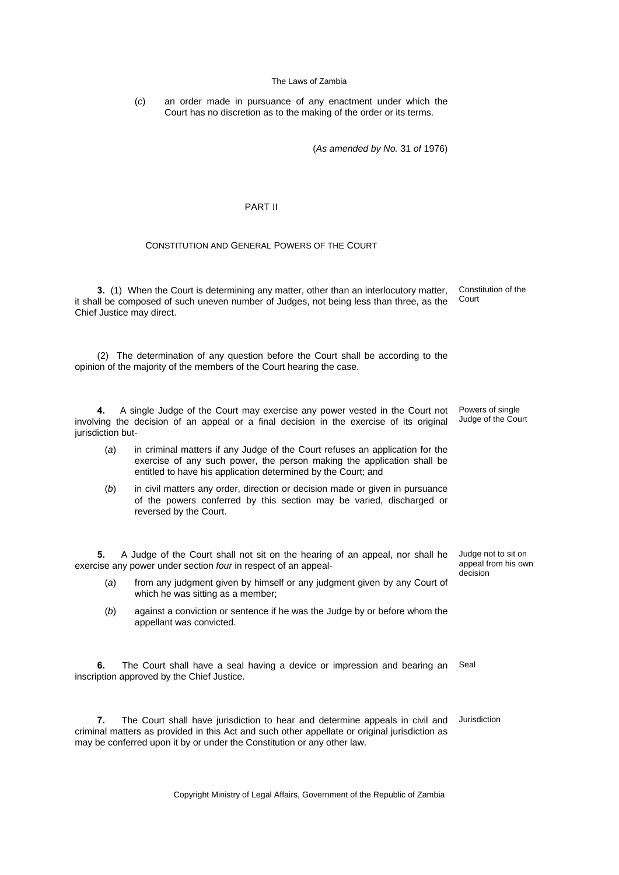(*c*) an order made in pursuance of any enactment under which the Court has no discretion as to the making of the order or its terms.

(*As amended by No.* 31 *of* 1976)

### PART II

## CONSTITUTION AND GENERAL POWERS OF THE COURT

**3.** (1) When the Court is determining any matter, other than an interlocutory matter, it shall be composed of such uneven number of Judges, not being less than three, as the Chief Justice may direct. Constitution of the Court

(2) The determination of any question before the Court shall be according to the opinion of the majority of the members of the Court hearing the case.

**4.** A single Judge of the Court may exercise any power vested in the Court not involving the decision of an appeal or a final decision in the exercise of its original jurisdiction but-

- (*a*) in criminal matters if any Judge of the Court refuses an application for the exercise of any such power, the person making the application shall be entitled to have his application determined by the Court; and
- (*b*) in civil matters any order, direction or decision made or given in pursuance of the powers conferred by this section may be varied, discharged or reversed by the Court.

**5.** A Judge of the Court shall not sit on the hearing of an appeal, nor shall he exercise any power under section *four* in respect of an appeal-

- (*a*) from any judgment given by himself or any judgment given by any Court of which he was sitting as a member;
- (*b*) against a conviction or sentence if he was the Judge by or before whom the appellant was convicted.

**6.** The Court shall have a seal having a device or impression and bearing an inscription approved by the Chief Justice. Seal

**7.** The Court shall have jurisdiction to hear and determine appeals in civil and criminal matters as provided in this Act and such other appellate or original jurisdiction as may be conferred upon it by or under the Constitution or any other law. Jurisdiction

Copyright Ministry of Legal Affairs, Government of the Republic of Zambia

Judge not to sit on appeal from his own decision

Powers of single Judge of the Court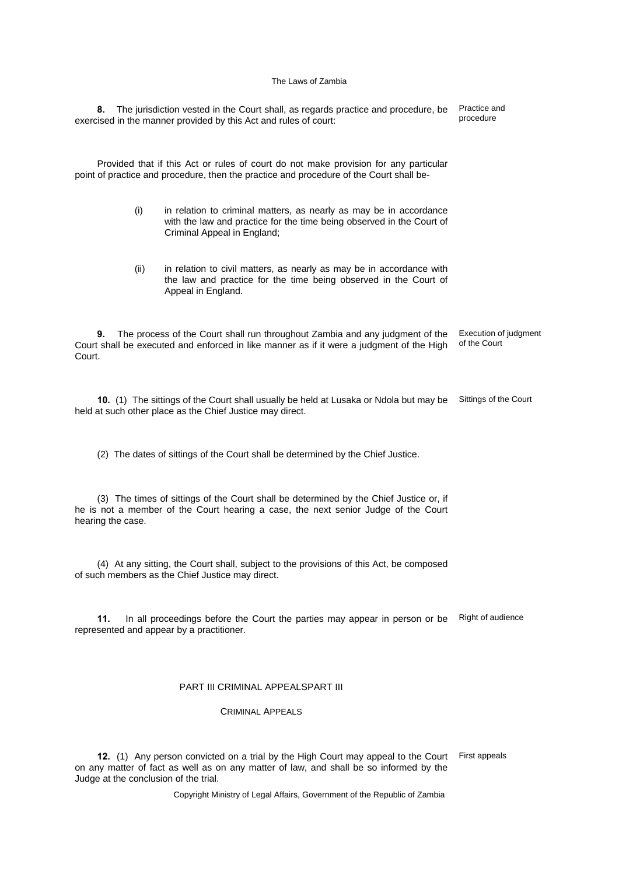**8.** The jurisdiction vested in the Court shall, as regards practice and procedure, be exercised in the manner provided by this Act and rules of court: Practice and procedure Provided that if this Act or rules of court do not make provision for any particular point of practice and procedure, then the practice and procedure of the Court shall be- (i) in relation to criminal matters, as nearly as may be in accordance with the law and practice for the time being observed in the Court of Criminal Appeal in England; (ii) in relation to civil matters, as nearly as may be in accordance with the law and practice for the time being observed in the Court of Appeal in England. **9.** The process of the Court shall run throughout Zambia and any judgment of the Court shall be executed and enforced in like manner as if it were a judgment of the High Court. Execution of judgment of the Court **10.** (1) The sittings of the Court shall usually be held at Lusaka or Ndola but may be Sittings of the Court held at such other place as the Chief Justice may direct. (2) The dates of sittings of the Court shall be determined by the Chief Justice. (3) The times of sittings of the Court shall be determined by the Chief Justice or, if he is not a member of the Court hearing a case, the next senior Judge of the Court hearing the case. (4) At any sitting, the Court shall, subject to the provisions of this Act, be composed of such members as the Chief Justice may direct.

**11.** In all proceedings before the Court the parties may appear in person or be represented and appear by a practitioner. Right of audience

## PART III CRIMINAL APPEALSPART III

CRIMINAL APPEALS

**12.** (1) Any person convicted on a trial by the High Court may appeal to the Court on any matter of fact as well as on any matter of law, and shall be so informed by the Judge at the conclusion of the trial. First appeals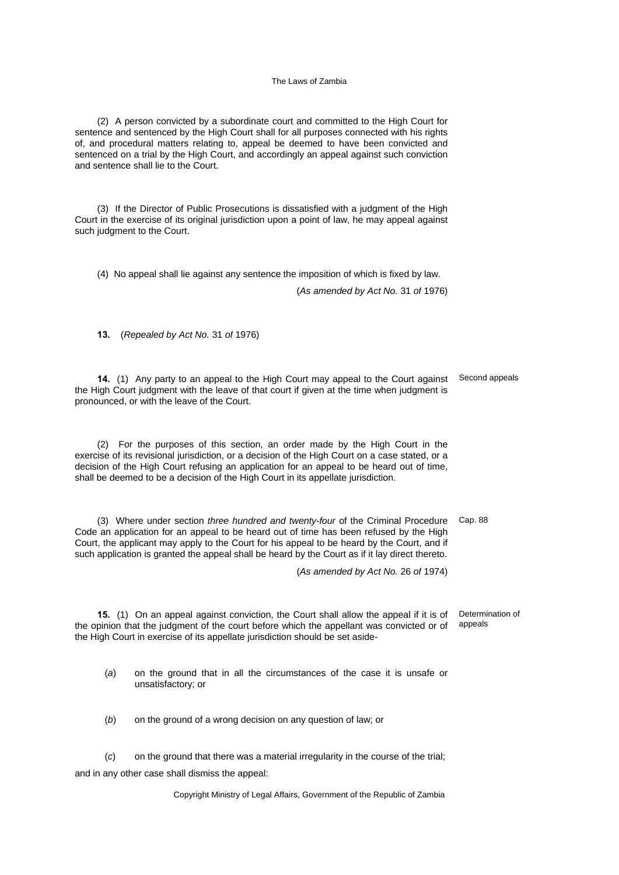(2) A person convicted by a subordinate court and committed to the High Court for sentence and sentenced by the High Court shall for all purposes connected with his rights of, and procedural matters relating to, appeal be deemed to have been convicted and sentenced on a trial by the High Court, and accordingly an appeal against such conviction and sentence shall lie to the Court.

(3) If the Director of Public Prosecutions is dissatisfied with a judgment of the High Court in the exercise of its original jurisdiction upon a point of law, he may appeal against such judgment to the Court.

(4) No appeal shall lie against any sentence the imposition of which is fixed by law.

(*As amended by Act No.* 31 *of* 1976)

**13.** (*Repealed by Act No.* 31 *of* 1976)

**14.** (1) Any party to an appeal to the High Court may appeal to the Court against the High Court judgment with the leave of that court if given at the time when judgment is pronounced, or with the leave of the Court. Second appeals

(2) For the purposes of this section, an order made by the High Court in the exercise of its revisional jurisdiction, or a decision of the High Court on a case stated, or a decision of the High Court refusing an application for an appeal to be heard out of time, shall be deemed to be a decision of the High Court in its appellate jurisdiction.

(3) Where under section *three hundred and twenty-four* of the Criminal Procedure Cap. 88 Code an application for an appeal to be heard out of time has been refused by the High Court, the applicant may apply to the Court for his appeal to be heard by the Court, and if such application is granted the appeal shall be heard by the Court as if it lay direct thereto.

(*As amended by Act No.* 26 *of* 1974)

**15.** (1) On an appeal against conviction, the Court shall allow the appeal if it is of the opinion that the judgment of the court before which the appellant was convicted or of the High Court in exercise of its appellate jurisdiction should be set aside-Determination of appeals

(*a*) on the ground that in all the circumstances of the case it is unsafe or unsatisfactory; or

(*b*) on the ground of a wrong decision on any question of law; or

(*c*) on the ground that there was a material irregularity in the course of the trial; and in any other case shall dismiss the appeal: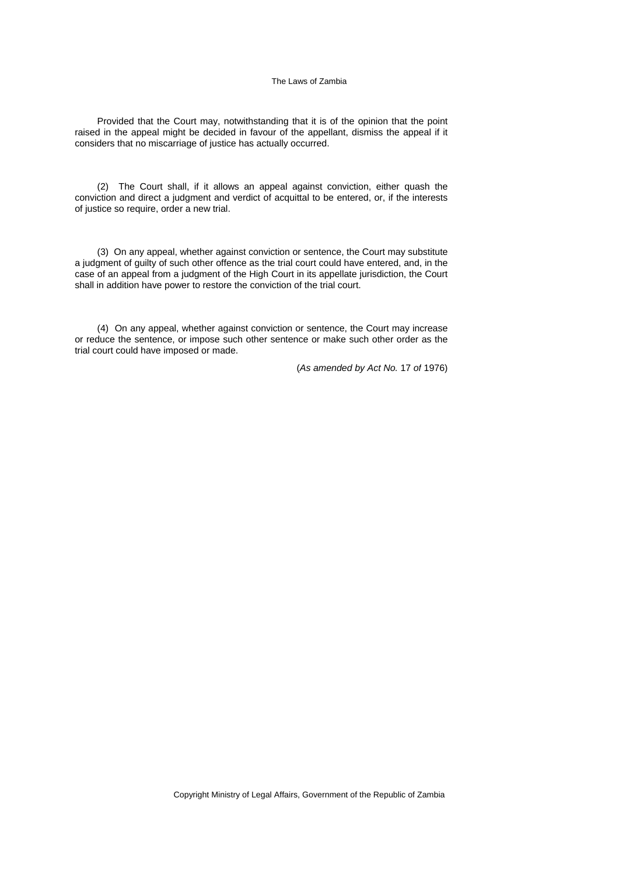Provided that the Court may, notwithstanding that it is of the opinion that the point raised in the appeal might be decided in favour of the appellant, dismiss the appeal if it considers that no miscarriage of justice has actually occurred.

(2) The Court shall, if it allows an appeal against conviction, either quash the conviction and direct a judgment and verdict of acquittal to be entered, or, if the interests of justice so require, order a new trial.

(3) On any appeal, whether against conviction or sentence, the Court may substitute a judgment of guilty of such other offence as the trial court could have entered, and, in the case of an appeal from a judgment of the High Court in its appellate jurisdiction, the Court shall in addition have power to restore the conviction of the trial court.

(4) On any appeal, whether against conviction or sentence, the Court may increase or reduce the sentence, or impose such other sentence or make such other order as the trial court could have imposed or made.

(*As amended by Act No.* 17 *of* 1976)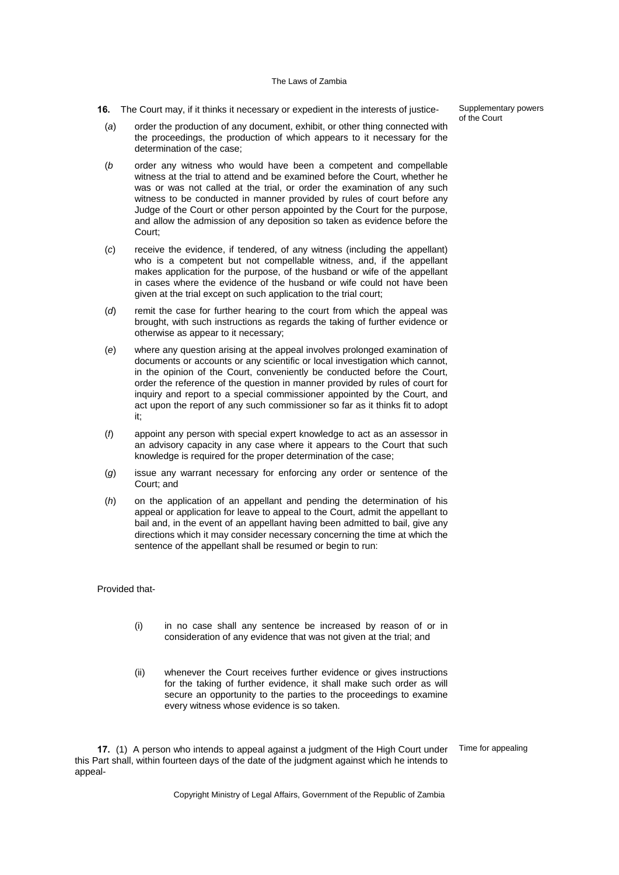**16.** The Court may, if it thinks it necessary or expedient in the interests of justice-

(*a*) order the production of any document, exhibit, or other thing connected with the proceedings, the production of which appears to it necessary for the determination of the case;

- (*b* order any witness who would have been a competent and compellable witness at the trial to attend and be examined before the Court, whether he was or was not called at the trial, or order the examination of any such witness to be conducted in manner provided by rules of court before any Judge of the Court or other person appointed by the Court for the purpose, and allow the admission of any deposition so taken as evidence before the Court;
- (*c*) receive the evidence, if tendered, of any witness (including the appellant) who is a competent but not compellable witness, and, if the appellant makes application for the purpose, of the husband or wife of the appellant in cases where the evidence of the husband or wife could not have been given at the trial except on such application to the trial court;
- (*d*) remit the case for further hearing to the court from which the appeal was brought, with such instructions as regards the taking of further evidence or otherwise as appear to it necessary;
- (*e*) where any question arising at the appeal involves prolonged examination of documents or accounts or any scientific or local investigation which cannot, in the opinion of the Court, conveniently be conducted before the Court, order the reference of the question in manner provided by rules of court for inquiry and report to a special commissioner appointed by the Court, and act upon the report of any such commissioner so far as it thinks fit to adopt it;
- (*f*) appoint any person with special expert knowledge to act as an assessor in an advisory capacity in any case where it appears to the Court that such knowledge is required for the proper determination of the case;
- (*g*) issue any warrant necessary for enforcing any order or sentence of the Court; and
- (*h*) on the application of an appellant and pending the determination of his appeal or application for leave to appeal to the Court, admit the appellant to bail and, in the event of an appellant having been admitted to bail, give any directions which it may consider necessary concerning the time at which the sentence of the appellant shall be resumed or begin to run:

Provided that-

- (i) in no case shall any sentence be increased by reason of or in consideration of any evidence that was not given at the trial; and
- (ii) whenever the Court receives further evidence or gives instructions for the taking of further evidence, it shall make such order as will secure an opportunity to the parties to the proceedings to examine every witness whose evidence is so taken.

**17.** (1) A person who intends to appeal against a judgment of the High Court under this Part shall, within fourteen days of the date of the judgment against which he intends to appeal-

Supplementary powers of the Court

Time for appealing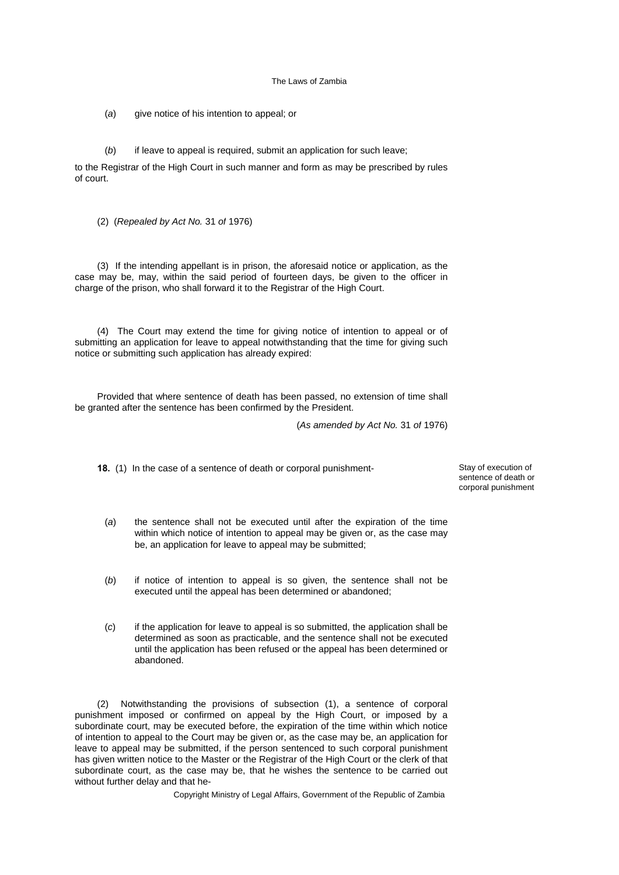(*a*) give notice of his intention to appeal; or

(*b*) if leave to appeal is required, submit an application for such leave;

to the Registrar of the High Court in such manner and form as may be prescribed by rules of court.

(2) (*Repealed by Act No.* 31 *of* 1976)

(3) If the intending appellant is in prison, the aforesaid notice or application, as the case may be, may, within the said period of fourteen days, be given to the officer in charge of the prison, who shall forward it to the Registrar of the High Court.

(4) The Court may extend the time for giving notice of intention to appeal or of submitting an application for leave to appeal notwithstanding that the time for giving such notice or submitting such application has already expired:

Provided that where sentence of death has been passed, no extension of time shall be granted after the sentence has been confirmed by the President.

(*As amended by Act No.* 31 *of* 1976)

**18.** (1) In the case of a sentence of death or corporal punishment-<br>
Stay of execution of

sentence of death or corporal punishment

- (*a*) the sentence shall not be executed until after the expiration of the time within which notice of intention to appeal may be given or, as the case may be, an application for leave to appeal may be submitted;
- (*b*) if notice of intention to appeal is so given, the sentence shall not be executed until the appeal has been determined or abandoned;
- (*c*) if the application for leave to appeal is so submitted, the application shall be determined as soon as practicable, and the sentence shall not be executed until the application has been refused or the appeal has been determined or abandoned.

(2) Notwithstanding the provisions of subsection (1), a sentence of corporal punishment imposed or confirmed on appeal by the High Court, or imposed by a subordinate court, may be executed before, the expiration of the time within which notice of intention to appeal to the Court may be given or, as the case may be, an application for leave to appeal may be submitted, if the person sentenced to such corporal punishment has given written notice to the Master or the Registrar of the High Court or the clerk of that subordinate court, as the case may be, that he wishes the sentence to be carried out without further delay and that he-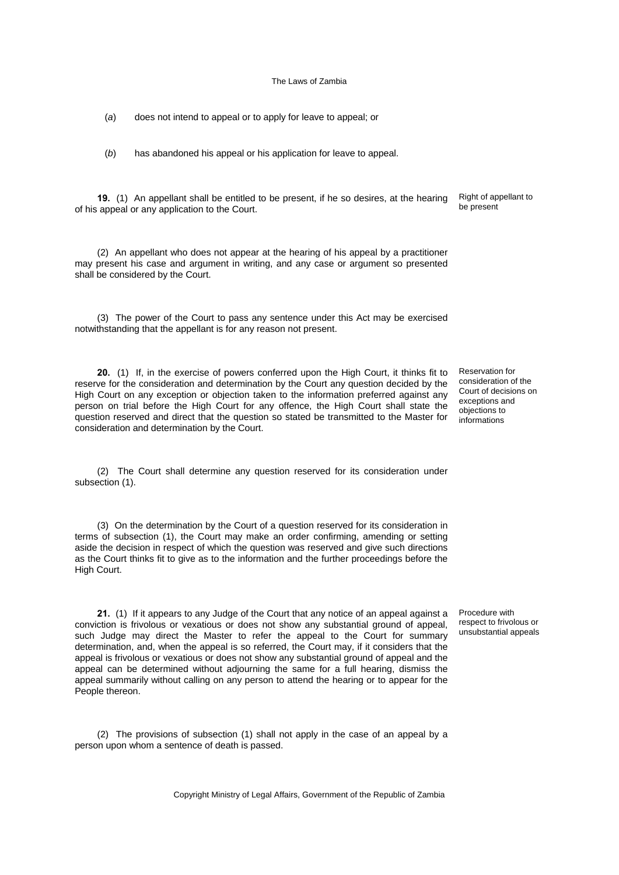(*a*) does not intend to appeal or to apply for leave to appeal; or

(*b*) has abandoned his appeal or his application for leave to appeal.

**19.** (1) An appellant shall be entitled to be present, if he so desires, at the hearing of his appeal or any application to the Court.

(2) An appellant who does not appear at the hearing of his appeal by a practitioner may present his case and argument in writing, and any case or argument so presented shall be considered by the Court.

(3) The power of the Court to pass any sentence under this Act may be exercised notwithstanding that the appellant is for any reason not present.

**20.** (1) If, in the exercise of powers conferred upon the High Court, it thinks fit to reserve for the consideration and determination by the Court any question decided by the High Court on any exception or objection taken to the information preferred against any person on trial before the High Court for any offence, the High Court shall state the question reserved and direct that the question so stated be transmitted to the Master for consideration and determination by the Court.

(2) The Court shall determine any question reserved for its consideration under subsection (1).

(3) On the determination by the Court of a question reserved for its consideration in terms of subsection (1), the Court may make an order confirming, amending or setting aside the decision in respect of which the question was reserved and give such directions as the Court thinks fit to give as to the information and the further proceedings before the High Court.

**21.** (1) If it appears to any Judge of the Court that any notice of an appeal against a conviction is frivolous or vexatious or does not show any substantial ground of appeal, such Judge may direct the Master to refer the appeal to the Court for summary determination, and, when the appeal is so referred, the Court may, if it considers that the appeal is frivolous or vexatious or does not show any substantial ground of appeal and the appeal can be determined without adjourning the same for a full hearing, dismiss the appeal summarily without calling on any person to attend the hearing or to appear for the People thereon.

(2) The provisions of subsection (1) shall not apply in the case of an appeal by a person upon whom a sentence of death is passed.

Copyright Ministry of Legal Affairs, Government of the Republic of Zambia

Reservation for consideration of the Court of decisions on exceptions and objections to informations

Procedure with respect to frivolous or unsubstantial appeals

Right of appellant to be present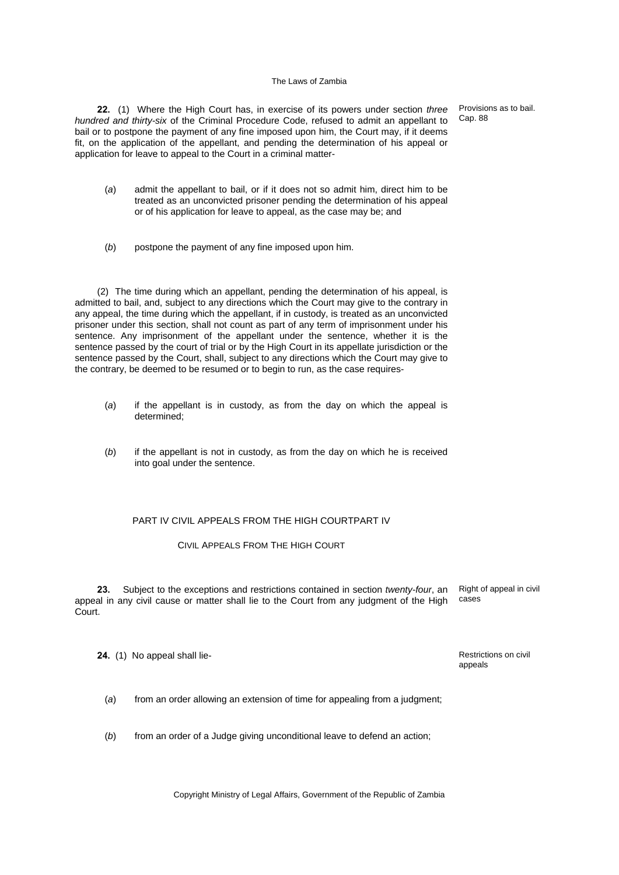**22.** (1) Where the High Court has, in exercise of its powers under section *three hundred and thirty-six* of the Criminal Procedure Code, refused to admit an appellant to bail or to postpone the payment of any fine imposed upon him, the Court may, if it deems fit, on the application of the appellant, and pending the determination of his appeal or application for leave to appeal to the Court in a criminal matter-

Provisions as to bail. Cap. 88

- (*a*) admit the appellant to bail, or if it does not so admit him, direct him to be treated as an unconvicted prisoner pending the determination of his appeal or of his application for leave to appeal, as the case may be; and
- (*b*) postpone the payment of any fine imposed upon him.

(2) The time during which an appellant, pending the determination of his appeal, is admitted to bail, and, subject to any directions which the Court may give to the contrary in any appeal, the time during which the appellant, if in custody, is treated as an unconvicted prisoner under this section, shall not count as part of any term of imprisonment under his sentence. Any imprisonment of the appellant under the sentence, whether it is the sentence passed by the court of trial or by the High Court in its appellate jurisdiction or the sentence passed by the Court, shall, subject to any directions which the Court may give to the contrary, be deemed to be resumed or to begin to run, as the case requires-

- (*a*) if the appellant is in custody, as from the day on which the appeal is determined;
- (*b*) if the appellant is not in custody, as from the day on which he is received into goal under the sentence.

## PART IV CIVIL APPEALS FROM THE HIGH COURTPART IV

CIVIL APPEALS FROM THE HIGH COURT

**23.** Subject to the exceptions and restrictions contained in section *twenty-four*, an appeal in any civil cause or matter shall lie to the Court from any judgment of the High Court.

Right of appeal in civil cases

**24.** (1) No appeal shall lie-<br> **24.** (1) No appeal shall lie-

appeals

(*a*) from an order allowing an extension of time for appealing from a judgment;

(*b*) from an order of a Judge giving unconditional leave to defend an action;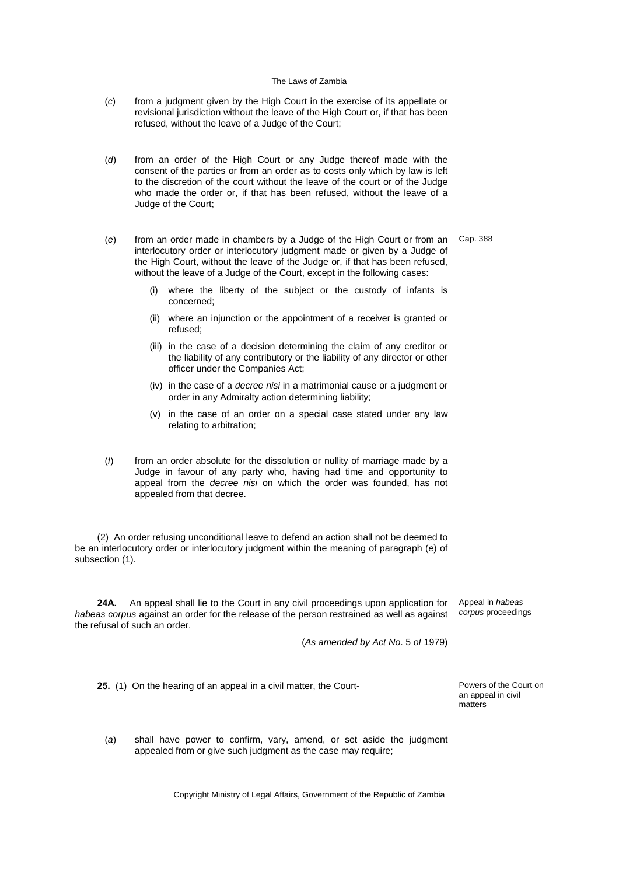- (*c*) from a judgment given by the High Court in the exercise of its appellate or revisional jurisdiction without the leave of the High Court or, if that has been refused, without the leave of a Judge of the Court;
- (*d*) from an order of the High Court or any Judge thereof made with the consent of the parties or from an order as to costs only which by law is left to the discretion of the court without the leave of the court or of the Judge who made the order or, if that has been refused, without the leave of a Judge of the Court;
- (*e*) from an order made in chambers by a Judge of the High Court or from an interlocutory order or interlocutory judgment made or given by a Judge of the High Court, without the leave of the Judge or, if that has been refused, without the leave of a Judge of the Court, except in the following cases:
	- where the liberty of the subject or the custody of infants is concerned;
	- (ii) where an injunction or the appointment of a receiver is granted or refused;
	- (iii) in the case of a decision determining the claim of any creditor or the liability of any contributory or the liability of any director or other officer under the Companies Act;
	- (iv) in the case of a *decree nisi* in a matrimonial cause or a judgment or order in any Admiralty action determining liability;
	- (v) in the case of an order on a special case stated under any law relating to arbitration;
- (*f*) from an order absolute for the dissolution or nullity of marriage made by a Judge in favour of any party who, having had time and opportunity to appeal from the *decree nisi* on which the order was founded, has not appealed from that decree.

(2) An order refusing unconditional leave to defend an action shall not be deemed to be an interlocutory order or interlocutory judgment within the meaning of paragraph (*e*) of subsection (1).

**24A.** An appeal shall lie to the Court in any civil proceedings upon application for *habeas corpus* against an order for the release of the person restrained as well as against the refusal of such an order.

(*As amended by Act No*. 5 *of* 1979)

**25.** (1) On the hearing of an appeal in a civil matter, the Court- Powers of the Court on

an appeal in civil matters

(*a*) shall have power to confirm, vary, amend, or set aside the judgment appealed from or give such judgment as the case may require;

Copyright Ministry of Legal Affairs, Government of the Republic of Zambia

Cap. 388

Appeal in *habeas corpus* proceedings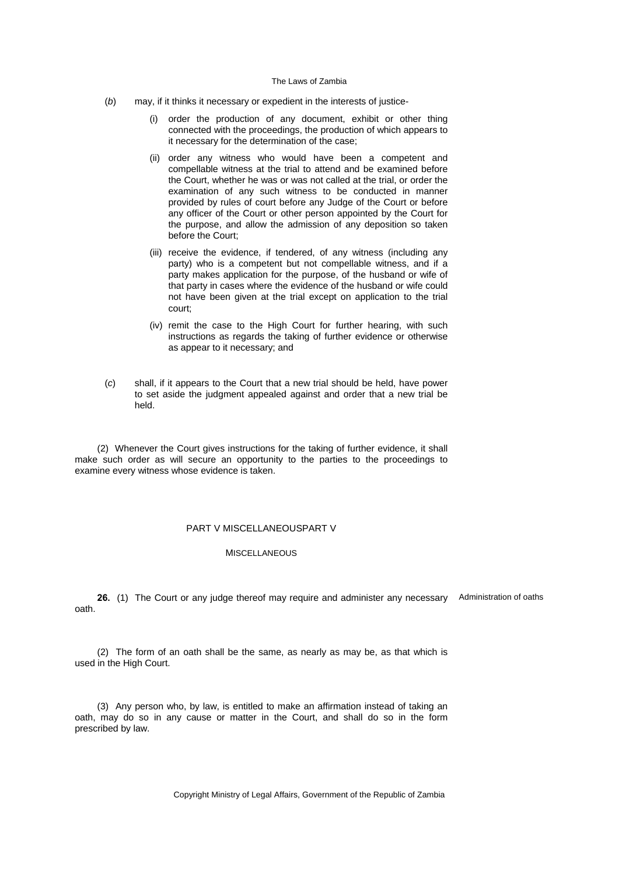- (*b*) may, if it thinks it necessary or expedient in the interests of justice-
	- (i) order the production of any document, exhibit or other thing connected with the proceedings, the production of which appears to it necessary for the determination of the case;
	- (ii) order any witness who would have been a competent and compellable witness at the trial to attend and be examined before the Court, whether he was or was not called at the trial, or order the examination of any such witness to be conducted in manner provided by rules of court before any Judge of the Court or before any officer of the Court or other person appointed by the Court for the purpose, and allow the admission of any deposition so taken before the Court;
	- (iii) receive the evidence, if tendered, of any witness (including any party) who is a competent but not compellable witness, and if a party makes application for the purpose, of the husband or wife of that party in cases where the evidence of the husband or wife could not have been given at the trial except on application to the trial court;
	- (iv) remit the case to the High Court for further hearing, with such instructions as regards the taking of further evidence or otherwise as appear to it necessary; and
- (*c*) shall, if it appears to the Court that a new trial should be held, have power to set aside the judgment appealed against and order that a new trial be held.

(2) Whenever the Court gives instructions for the taking of further evidence, it shall make such order as will secure an opportunity to the parties to the proceedings to examine every witness whose evidence is taken.

# PART V MISCELLANEOUSPART V

## MISCELL ANEQUS

**26.** (1) The Court or any judge thereof may require and administer any necessary Administration of oaths oath.

(2) The form of an oath shall be the same, as nearly as may be, as that which is used in the High Court.

(3) Any person who, by law, is entitled to make an affirmation instead of taking an oath, may do so in any cause or matter in the Court, and shall do so in the form prescribed by law.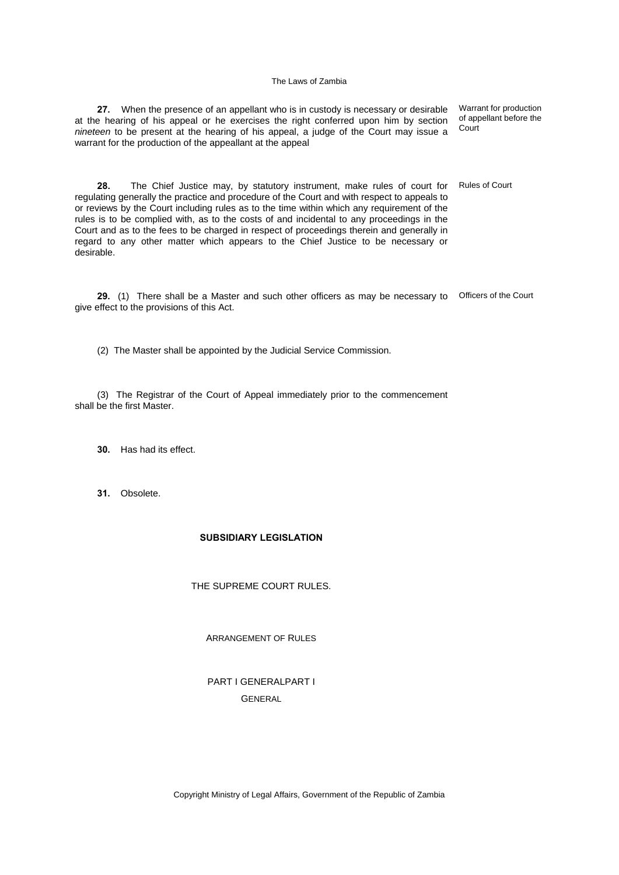**27.** When the presence of an appellant who is in custody is necessary or desirable at the hearing of his appeal or he exercises the right conferred upon him by section *nineteen* to be present at the hearing of his appeal, a judge of the Court may issue a warrant for the production of the appeallant at the appeal

Warrant for production of appellant before the **Court** 

Rules of Court

regulating generally the practice and procedure of the Court and with respect to appeals to or reviews by the Court including rules as to the time within which any requirement of the rules is to be complied with, as to the costs of and incidental to any proceedings in the Court and as to the fees to be charged in respect of proceedings therein and generally in regard to any other matter which appears to the Chief Justice to be necessary or desirable.

**28.** The Chief Justice may, by statutory instrument, make rules of court for

**29.** (1) There shall be a Master and such other officers as may be necessary to Officers of the Court give effect to the provisions of this Act.

(2) The Master shall be appointed by the Judicial Service Commission.

(3) The Registrar of the Court of Appeal immediately prior to the commencement shall be the first Master.

- **30.** Has had its effect.
- **31.** Obsolete.

# **SUBSIDIARY LEGISLATION**

## THE SUPREME COURT RULES.

ARRANGEMENT OF RULES

PART I GENERALPART I **GENERAL**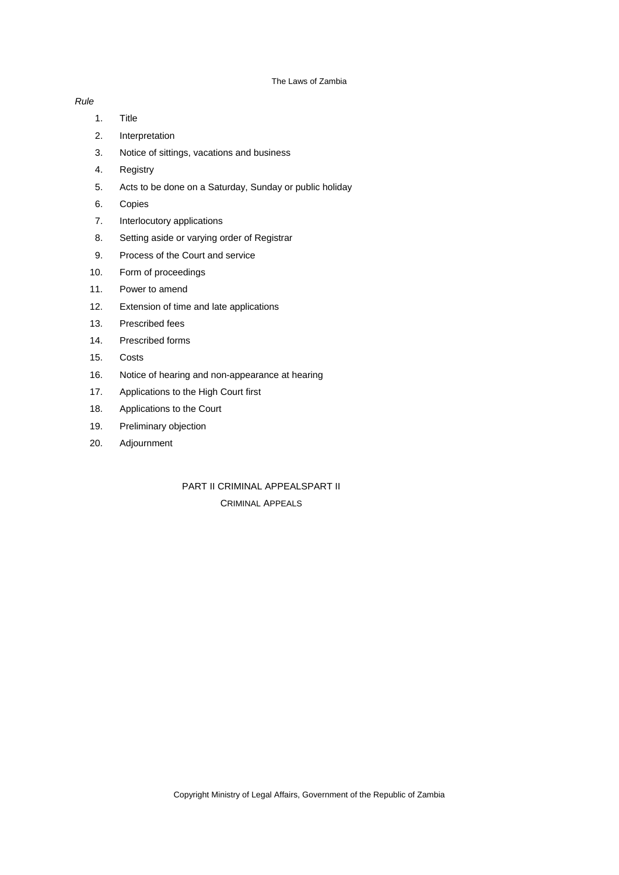# *Rule*

- 1. Title
- 2. Interpretation
- 3. Notice of sittings, vacations and business
- 4. Registry
- 5. Acts to be done on a Saturday, Sunday or public holiday
- 6. Copies
- 7. Interlocutory applications
- 8. Setting aside or varying order of Registrar
- 9. Process of the Court and service
- 10. Form of proceedings
- 11. Power to amend
- 12. Extension of time and late applications
- 13. Prescribed fees
- 14. Prescribed forms
- 15. Costs
- 16. Notice of hearing and non-appearance at hearing
- 17. Applications to the High Court first
- 18. Applications to the Court
- 19. Preliminary objection
- 20. Adjournment

# PART II CRIMINAL APPEALSPART II CRIMINAL APPEALS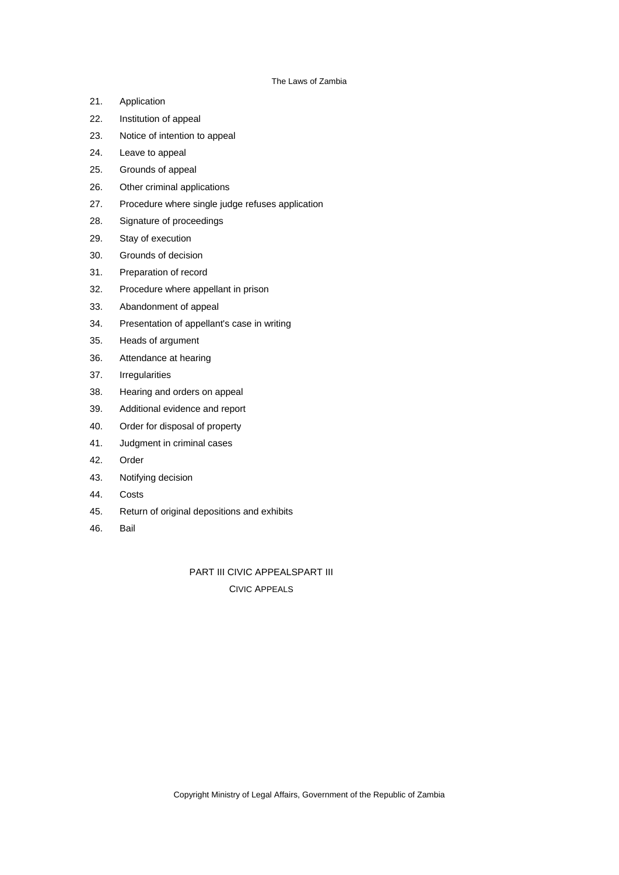- 21. Application
- 22. Institution of appeal
- 23. Notice of intention to appeal
- 24. Leave to appeal
- 25. Grounds of appeal
- 26. Other criminal applications
- 27. Procedure where single judge refuses application
- 28. Signature of proceedings
- 29. Stay of execution
- 30. Grounds of decision
- 31. Preparation of record
- 32. Procedure where appellant in prison
- 33. Abandonment of appeal
- 34. Presentation of appellant's case in writing
- 35. Heads of argument
- 36. Attendance at hearing
- 37. Irregularities
- 38. Hearing and orders on appeal
- 39. Additional evidence and report
- 40. Order for disposal of property
- 41. Judgment in criminal cases
- 42. Order
- 43. Notifying decision
- 44. Costs
- 45. Return of original depositions and exhibits
- 46. Bail

PART III CIVIC APPEALSPART III

CIVIC APPEALS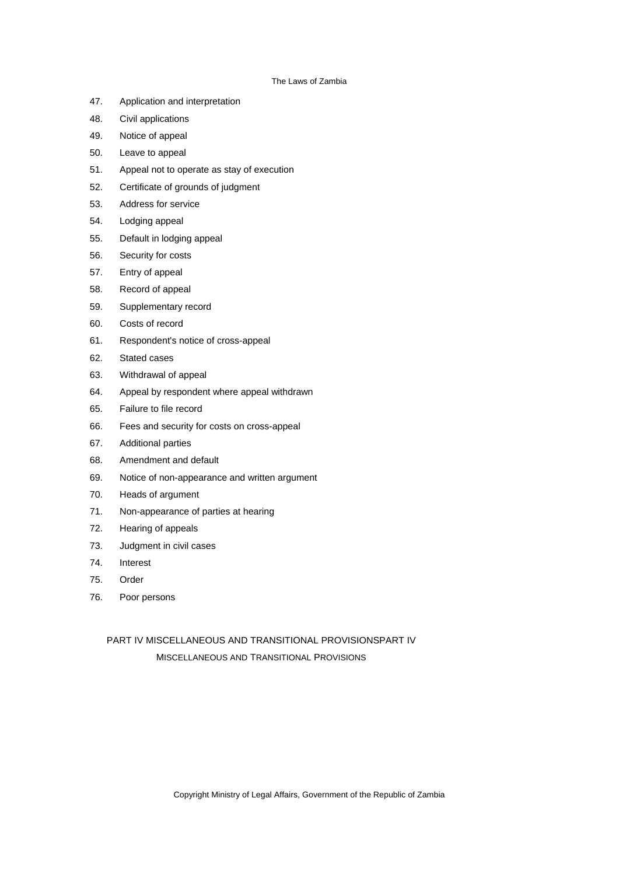- 47. Application and interpretation
- 48. Civil applications
- 49. Notice of appeal
- 50. Leave to appeal
- 51. Appeal not to operate as stay of execution
- 52. Certificate of grounds of judgment
- 53. Address for service
- 54. Lodging appeal
- 55. Default in lodging appeal
- 56. Security for costs
- 57. Entry of appeal
- 58. Record of appeal
- 59. Supplementary record
- 60. Costs of record
- 61. Respondent's notice of cross-appeal
- 62. Stated cases
- 63. Withdrawal of appeal
- 64. Appeal by respondent where appeal withdrawn
- 65. Failure to file record
- 66. Fees and security for costs on cross-appeal
- 67. Additional parties
- 68. Amendment and default
- 69. Notice of non-appearance and written argument
- 70. Heads of argument
- 71. Non-appearance of parties at hearing
- 72. Hearing of appeals
- 73. Judgment in civil cases
- 74. Interest
- 75. Order
- 76. Poor persons

PART IV MISCELLANEOUS AND TRANSITIONAL PROVISIONSPART IV MISCELLANEOUS AND TRANSITIONAL PROVISIONS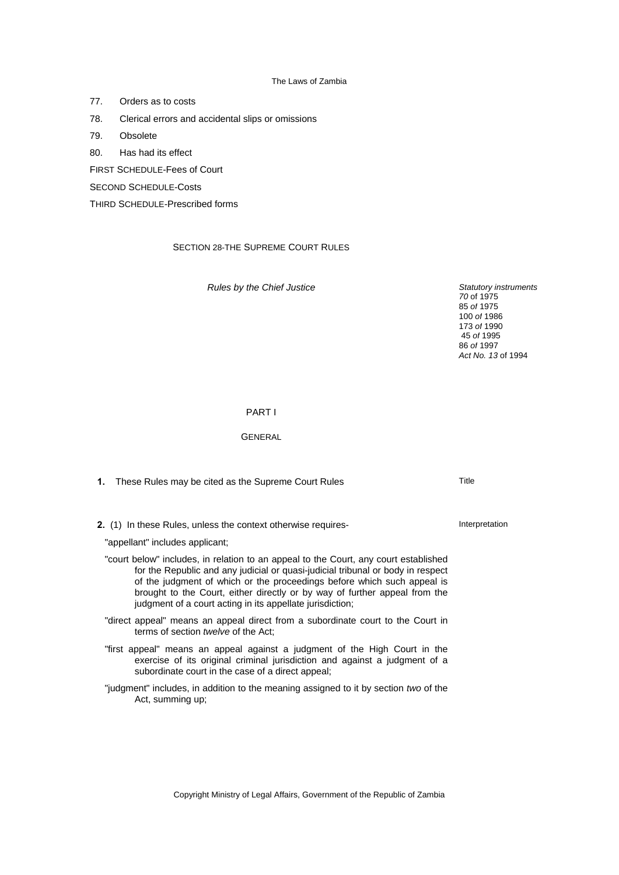77. Orders as to costs

- 78. Clerical errors and accidental slips or omissions
- 79. Obsolete
- 80. Has had its effect

FIRST SCHEDULE-Fees of Court

SECOND SCHEDULE-Costs

THIRD SCHEDULE-Prescribed forms

### SECTION 28-THE SUPREME COURT RULES

*Rules by the Chief Justice Statutory instruments* 

*70* of 1975 85 *of* 1975 100 *of* 1986 173 *of* 1990 45 *of* 1995 86 *of* 1997 *Act No. 13* of 1994

### PART I

### **GENERAL**

- **1.** These Rules may be cited as the Supreme Court Rules The Manus Rules Title
- **2.** (1) In these Rules, unless the context otherwise requires-

"appellant" includes applicant;

- "court below" includes, in relation to an appeal to the Court, any court established for the Republic and any judicial or quasi-judicial tribunal or body in respect of the judgment of which or the proceedings before which such appeal is brought to the Court, either directly or by way of further appeal from the judgment of a court acting in its appellate jurisdiction;
- "direct appeal" means an appeal direct from a subordinate court to the Court in terms of section *twelve* of the Act;
- "first appeal" means an appeal against a judgment of the High Court in the exercise of its original criminal jurisdiction and against a judgment of a subordinate court in the case of a direct appeal;
- "judgment" includes, in addition to the meaning assigned to it by section *two* of the Act, summing up;

Interpretation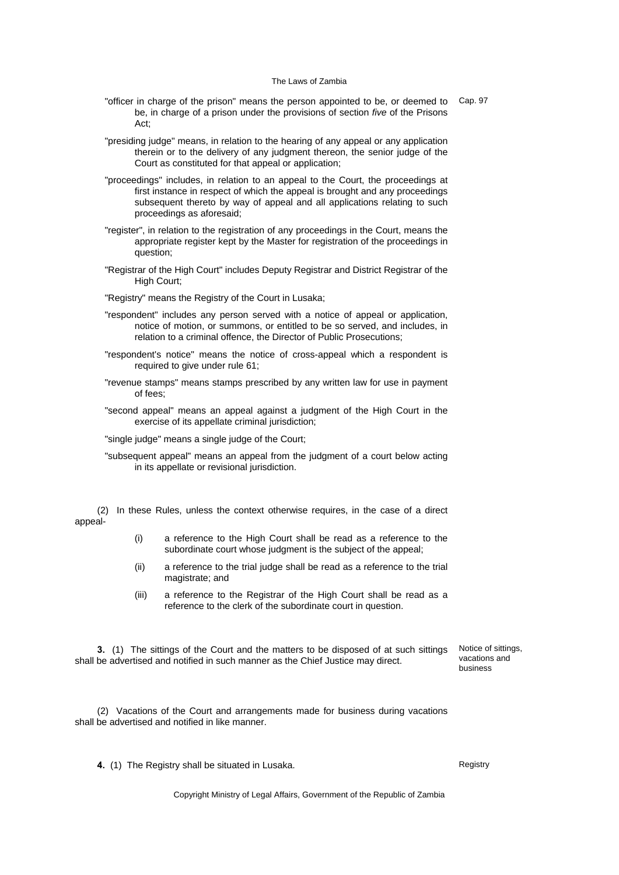- "officer in charge of the prison" means the person appointed to be, or deemed to be, in charge of a prison under the provisions of section *five* of the Prisons Act; Cap. 97
- "presiding judge" means, in relation to the hearing of any appeal or any application therein or to the delivery of any judgment thereon, the senior judge of the Court as constituted for that appeal or application;
- "proceedings" includes, in relation to an appeal to the Court, the proceedings at first instance in respect of which the appeal is brought and any proceedings subsequent thereto by way of appeal and all applications relating to such proceedings as aforesaid;
- "register", in relation to the registration of any proceedings in the Court, means the appropriate register kept by the Master for registration of the proceedings in question;
- "Registrar of the High Court" includes Deputy Registrar and District Registrar of the High Court;
- "Registry" means the Registry of the Court in Lusaka;
- "respondent" includes any person served with a notice of appeal or application, notice of motion, or summons, or entitled to be so served, and includes, in relation to a criminal offence, the Director of Public Prosecutions;
- "respondent's notice" means the notice of cross-appeal which a respondent is required to give under rule 61;
- "revenue stamps" means stamps prescribed by any written law for use in payment of fees;
- "second appeal" means an appeal against a judgment of the High Court in the exercise of its appellate criminal jurisdiction;
- "single judge" means a single judge of the Court;
- "subsequent appeal" means an appeal from the judgment of a court below acting in its appellate or revisional jurisdiction.

(2) In these Rules, unless the context otherwise requires, in the case of a direct appeal-

- (i) a reference to the High Court shall be read as a reference to the subordinate court whose judgment is the subject of the appeal;
- (ii) a reference to the trial judge shall be read as a reference to the trial magistrate; and
- (iii) a reference to the Registrar of the High Court shall be read as a reference to the clerk of the subordinate court in question.

**3.** (1) The sittings of the Court and the matters to be disposed of at such sittings shall be advertised and notified in such manner as the Chief Justice may direct.

Notice of sittings, vacations and business

(2) Vacations of the Court and arrangements made for business during vacations shall be advertised and notified in like manner.

**4.** (1) The Registry shall be situated in Lusaka. Registry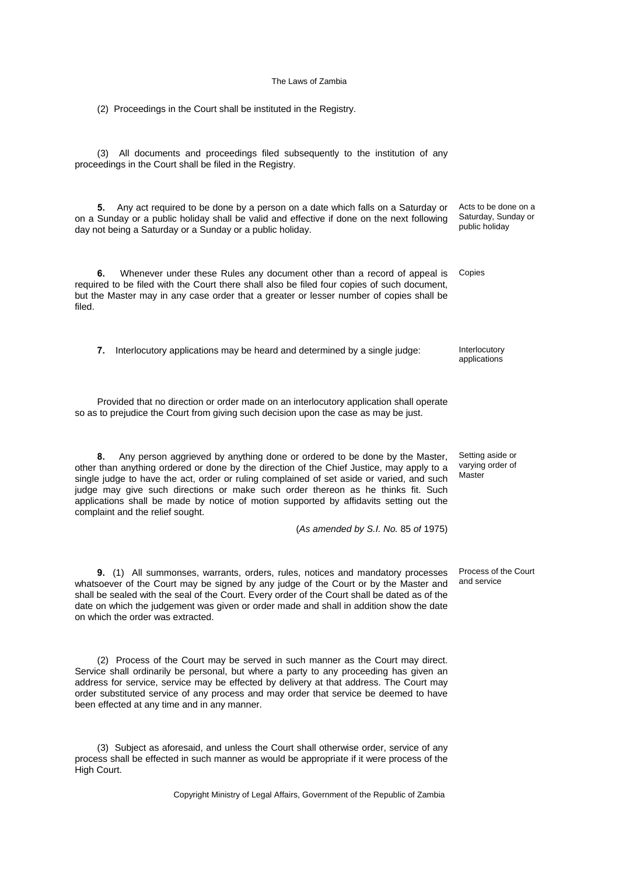(2) Proceedings in the Court shall be instituted in the Registry.

(3) All documents and proceedings filed subsequently to the institution of any proceedings in the Court shall be filed in the Registry.

**5.** Any act required to be done by a person on a date which falls on a Saturday or on a Sunday or a public holiday shall be valid and effective if done on the next following day not being a Saturday or a Sunday or a public holiday.

**6.** Whenever under these Rules any document other than a record of appeal is required to be filed with the Court there shall also be filed four copies of such document, but the Master may in any case order that a greater or lesser number of copies shall be filed.

**7.** Interlocutory applications may be heard and determined by a single judge: Interlocutory

Provided that no direction or order made on an interlocutory application shall operate so as to prejudice the Court from giving such decision upon the case as may be just.

**8.** Any person aggrieved by anything done or ordered to be done by the Master, other than anything ordered or done by the direction of the Chief Justice, may apply to a single judge to have the act, order or ruling complained of set aside or varied, and such judge may give such directions or make such order thereon as he thinks fit. Such applications shall be made by notice of motion supported by affidavits setting out the complaint and the relief sought.

(*As amended by S.I. No.* 85 *of* 1975)

**9.** (1) All summonses, warrants, orders, rules, notices and mandatory processes whatsoever of the Court may be signed by any judge of the Court or by the Master and shall be sealed with the seal of the Court. Every order of the Court shall be dated as of the date on which the judgement was given or order made and shall in addition show the date on which the order was extracted.

(2) Process of the Court may be served in such manner as the Court may direct. Service shall ordinarily be personal, but where a party to any proceeding has given an address for service, service may be effected by delivery at that address. The Court may order substituted service of any process and may order that service be deemed to have been effected at any time and in any manner.

(3) Subject as aforesaid, and unless the Court shall otherwise order, service of any process shall be effected in such manner as would be appropriate if it were process of the High Court.

Copyright Ministry of Legal Affairs, Government of the Republic of Zambia

Acts to be done on a Saturday, Sunday or public holiday

Copies

applications

Setting aside or varying order of Master

Process of the Court and service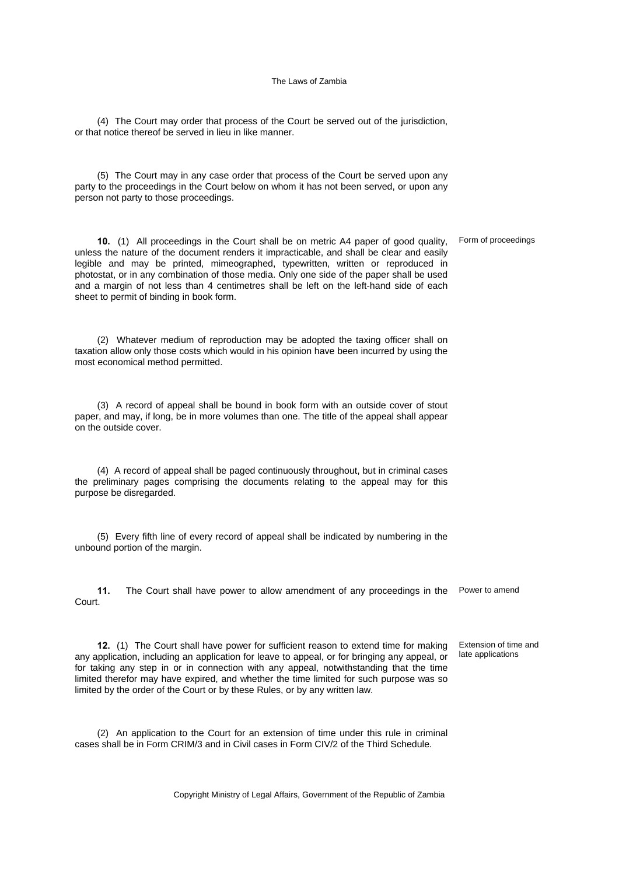(4) The Court may order that process of the Court be served out of the jurisdiction, or that notice thereof be served in lieu in like manner.

(5) The Court may in any case order that process of the Court be served upon any party to the proceedings in the Court below on whom it has not been served, or upon any person not party to those proceedings.

**10.** (1) All proceedings in the Court shall be on metric A4 paper of good quality, unless the nature of the document renders it impracticable, and shall be clear and easily legible and may be printed, mimeographed, typewritten, written or reproduced in photostat, or in any combination of those media. Only one side of the paper shall be used and a margin of not less than 4 centimetres shall be left on the left-hand side of each sheet to permit of binding in book form. Form of proceedings

(2) Whatever medium of reproduction may be adopted the taxing officer shall on taxation allow only those costs which would in his opinion have been incurred by using the most economical method permitted.

(3) A record of appeal shall be bound in book form with an outside cover of stout paper, and may, if long, be in more volumes than one. The title of the appeal shall appear on the outside cover.

(4) A record of appeal shall be paged continuously throughout, but in criminal cases the preliminary pages comprising the documents relating to the appeal may for this purpose be disregarded.

(5) Every fifth line of every record of appeal shall be indicated by numbering in the unbound portion of the margin.

**11.** The Court shall have power to allow amendment of any proceedings in the Power to amend Court.

**12.** (1) The Court shall have power for sufficient reason to extend time for making any application, including an application for leave to appeal, or for bringing any appeal, or for taking any step in or in connection with any appeal, notwithstanding that the time limited therefor may have expired, and whether the time limited for such purpose was so limited by the order of the Court or by these Rules, or by any written law.

Extension of time and late applications

(2) An application to the Court for an extension of time under this rule in criminal cases shall be in Form CRIM/3 and in Civil cases in Form CIV/2 of the Third Schedule.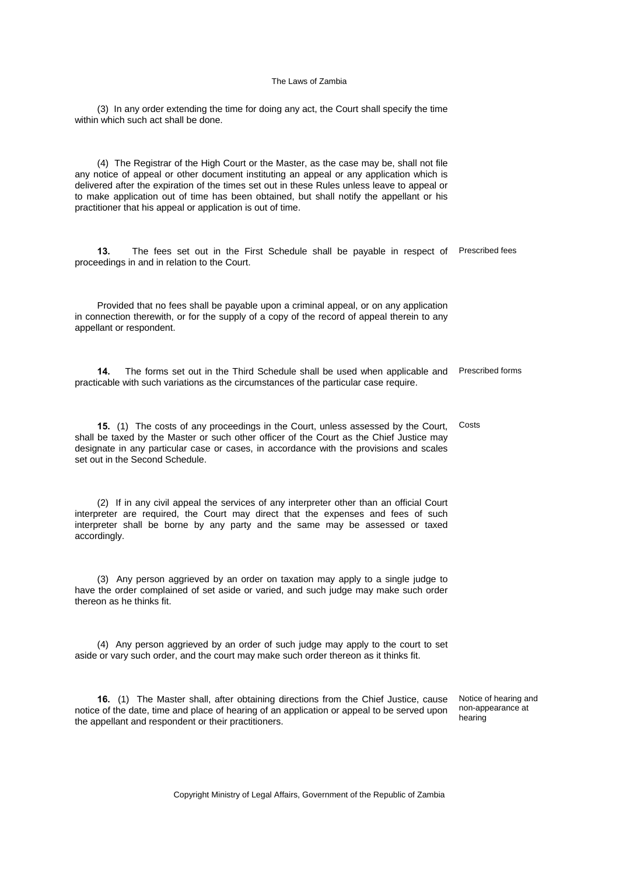(3) In any order extending the time for doing any act, the Court shall specify the time within which such act shall be done.

(4) The Registrar of the High Court or the Master, as the case may be, shall not file any notice of appeal or other document instituting an appeal or any application which is delivered after the expiration of the times set out in these Rules unless leave to appeal or to make application out of time has been obtained, but shall notify the appellant or his practitioner that his appeal or application is out of time.

**13.** The fees set out in the First Schedule shall be payable in respect of Prescribed fees proceedings in and in relation to the Court.

Provided that no fees shall be payable upon a criminal appeal, or on any application in connection therewith, or for the supply of a copy of the record of appeal therein to any appellant or respondent.

**14.** The forms set out in the Third Schedule shall be used when applicable and practicable with such variations as the circumstances of the particular case require. Prescribed forms

**15.** (1) The costs of any proceedings in the Court, unless assessed by the Court, shall be taxed by the Master or such other officer of the Court as the Chief Justice may designate in any particular case or cases, in accordance with the provisions and scales set out in the Second Schedule. Costs

(2) If in any civil appeal the services of any interpreter other than an official Court interpreter are required, the Court may direct that the expenses and fees of such interpreter shall be borne by any party and the same may be assessed or taxed accordingly.

(3) Any person aggrieved by an order on taxation may apply to a single judge to have the order complained of set aside or varied, and such judge may make such order thereon as he thinks fit.

(4) Any person aggrieved by an order of such judge may apply to the court to set aside or vary such order, and the court may make such order thereon as it thinks fit.

**16.** (1) The Master shall, after obtaining directions from the Chief Justice, cause notice of the date, time and place of hearing of an application or appeal to be served upon the appellant and respondent or their practitioners.

Notice of hearing and non-appearance at hearing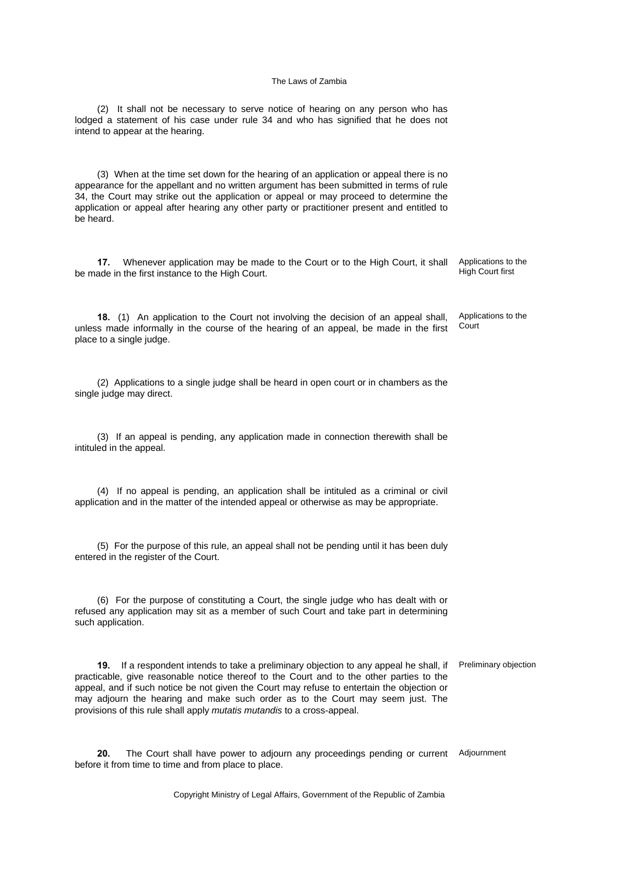(2) It shall not be necessary to serve notice of hearing on any person who has lodged a statement of his case under rule 34 and who has signified that he does not intend to appear at the hearing.

(3) When at the time set down for the hearing of an application or appeal there is no appearance for the appellant and no written argument has been submitted in terms of rule 34, the Court may strike out the application or appeal or may proceed to determine the application or appeal after hearing any other party or practitioner present and entitled to be heard.

**17.** Whenever application may be made to the Court or to the High Court, it shall be made in the first instance to the High Court.

**18.** (1) An application to the Court not involving the decision of an appeal shall, unless made informally in the course of the hearing of an appeal, be made in the first place to a single judge. **Court** 

(2) Applications to a single judge shall be heard in open court or in chambers as the single judge may direct.

(3) If an appeal is pending, any application made in connection therewith shall be intituled in the appeal.

(4) If no appeal is pending, an application shall be intituled as a criminal or civil application and in the matter of the intended appeal or otherwise as may be appropriate.

(5) For the purpose of this rule, an appeal shall not be pending until it has been duly entered in the register of the Court.

(6) For the purpose of constituting a Court, the single judge who has dealt with or refused any application may sit as a member of such Court and take part in determining such application.

**19.** If a respondent intends to take a preliminary objection to any appeal he shall, if Preliminary objection practicable, give reasonable notice thereof to the Court and to the other parties to the appeal, and if such notice be not given the Court may refuse to entertain the objection or may adjourn the hearing and make such order as to the Court may seem just. The provisions of this rule shall apply *mutatis mutandis* to a cross-appeal.

20. The Court shall have power to adjourn any proceedings pending or current Adjournment before it from time to time and from place to place.

Copyright Ministry of Legal Affairs, Government of the Republic of Zambia

Applications to the High Court first

Applications to the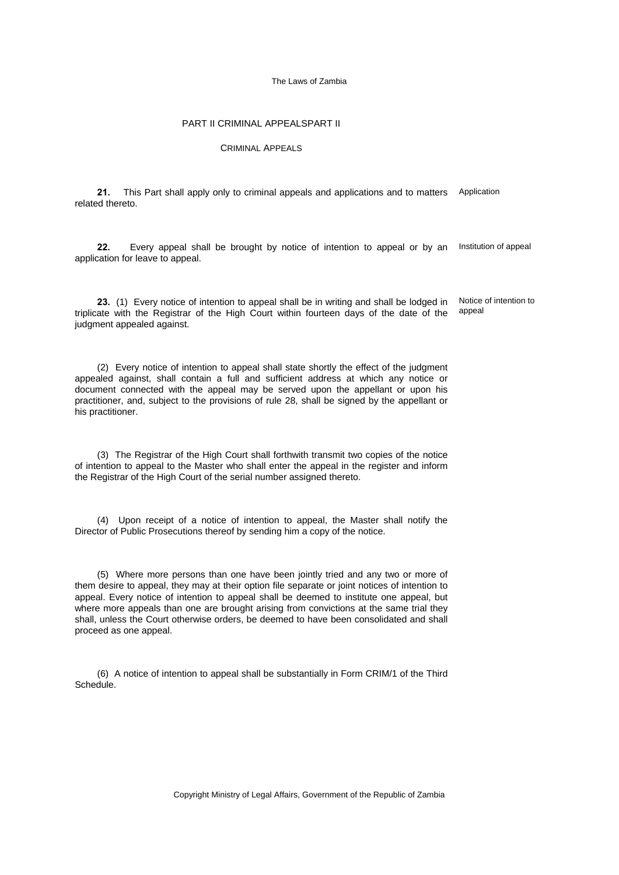## PART II CRIMINAL APPEALSPART II

### CRIMINAL APPEALS

**21.** This Part shall apply only to criminal appeals and applications and to matters Application related thereto.

22. Every appeal shall be brought by notice of intention to appeal or by an Institution of appeal application for leave to appeal.

**23.** (1) Every notice of intention to appeal shall be in writing and shall be lodged in triplicate with the Registrar of the High Court within fourteen days of the date of the judgment appealed against.

(2) Every notice of intention to appeal shall state shortly the effect of the judgment appealed against, shall contain a full and sufficient address at which any notice or document connected with the appeal may be served upon the appellant or upon his practitioner, and, subject to the provisions of rule 28, shall be signed by the appellant or his practitioner.

(3) The Registrar of the High Court shall forthwith transmit two copies of the notice of intention to appeal to the Master who shall enter the appeal in the register and inform the Registrar of the High Court of the serial number assigned thereto.

(4) Upon receipt of a notice of intention to appeal, the Master shall notify the Director of Public Prosecutions thereof by sending him a copy of the notice.

(5) Where more persons than one have been jointly tried and any two or more of them desire to appeal, they may at their option file separate or joint notices of intention to appeal. Every notice of intention to appeal shall be deemed to institute one appeal, but where more appeals than one are brought arising from convictions at the same trial they shall, unless the Court otherwise orders, be deemed to have been consolidated and shall proceed as one appeal.

(6) A notice of intention to appeal shall be substantially in Form CRIM/1 of the Third Schedule.

Notice of intention to appeal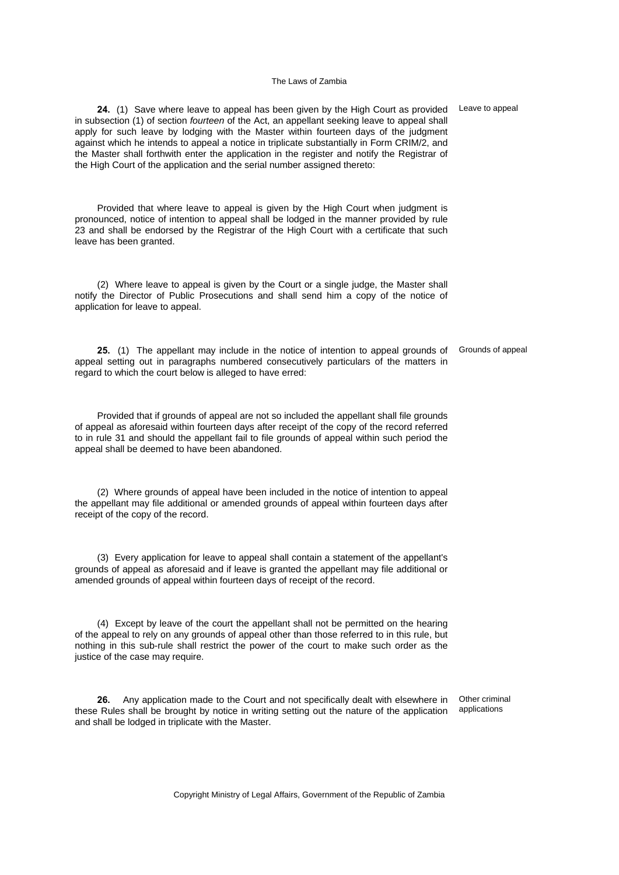**24.** (1) Save where leave to appeal has been given by the High Court as provided Leave to appeal in subsection (1) of section *fourteen* of the Act, an appellant seeking leave to appeal shall apply for such leave by lodging with the Master within fourteen days of the judgment against which he intends to appeal a notice in triplicate substantially in Form CRIM/2, and the Master shall forthwith enter the application in the register and notify the Registrar of the High Court of the application and the serial number assigned thereto:

Provided that where leave to appeal is given by the High Court when judgment is pronounced, notice of intention to appeal shall be lodged in the manner provided by rule 23 and shall be endorsed by the Registrar of the High Court with a certificate that such leave has been granted.

(2) Where leave to appeal is given by the Court or a single judge, the Master shall notify the Director of Public Prosecutions and shall send him a copy of the notice of application for leave to appeal.

**25.** (1) The appellant may include in the notice of intention to appeal grounds of appeal setting out in paragraphs numbered consecutively particulars of the matters in regard to which the court below is alleged to have erred:

Provided that if grounds of appeal are not so included the appellant shall file grounds of appeal as aforesaid within fourteen days after receipt of the copy of the record referred to in rule 31 and should the appellant fail to file grounds of appeal within such period the appeal shall be deemed to have been abandoned.

(2) Where grounds of appeal have been included in the notice of intention to appeal the appellant may file additional or amended grounds of appeal within fourteen days after receipt of the copy of the record.

(3) Every application for leave to appeal shall contain a statement of the appellant's grounds of appeal as aforesaid and if leave is granted the appellant may file additional or amended grounds of appeal within fourteen days of receipt of the record.

(4) Except by leave of the court the appellant shall not be permitted on the hearing of the appeal to rely on any grounds of appeal other than those referred to in this rule, but nothing in this sub-rule shall restrict the power of the court to make such order as the justice of the case may require.

**26.** Any application made to the Court and not specifically dealt with elsewhere in these Rules shall be brought by notice in writing setting out the nature of the application and shall be lodged in triplicate with the Master. Other criminal applications

Copyright Ministry of Legal Affairs, Government of the Republic of Zambia

Grounds of appeal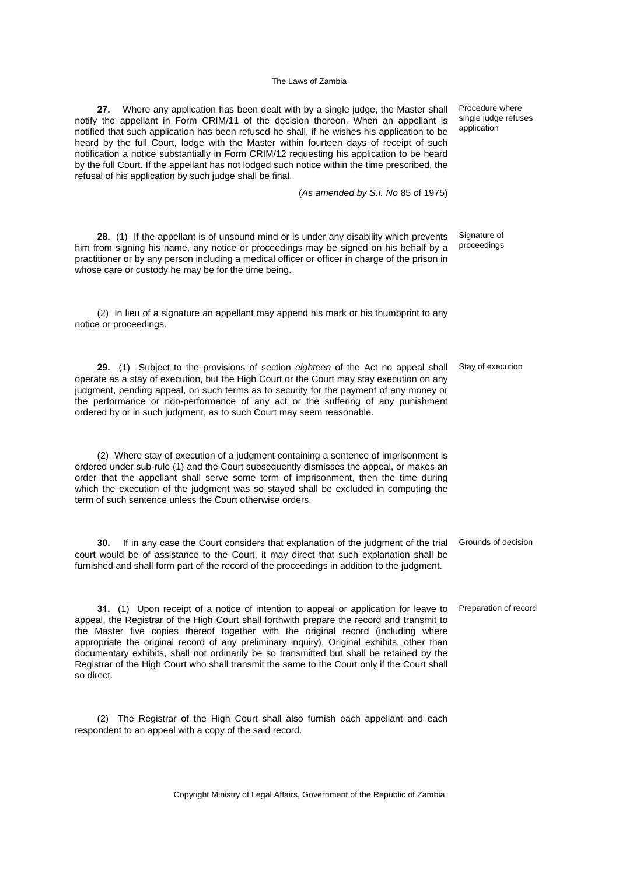**27.** Where any application has been dealt with by a single judge, the Master shall notify the appellant in Form CRIM/11 of the decision thereon. When an appellant is notified that such application has been refused he shall, if he wishes his application to be heard by the full Court, lodge with the Master within fourteen days of receipt of such notification a notice substantially in Form CRIM/12 requesting his application to be heard by the full Court. If the appellant has not lodged such notice within the time prescribed, the refusal of his application by such judge shall be final.

(*As amended by S.I. No* 85 *o*f 1975)

**28.** (1) If the appellant is of unsound mind or is under any disability which prevents him from signing his name, any notice or proceedings may be signed on his behalf by a practitioner or by any person including a medical officer or officer in charge of the prison in whose care or custody he may be for the time being.

(2) In lieu of a signature an appellant may append his mark or his thumbprint to any notice or proceedings.

**29.** (1) Subject to the provisions of section *eighteen* of the Act no appeal shall operate as a stay of execution, but the High Court or the Court may stay execution on any judgment, pending appeal, on such terms as to security for the payment of any money or the performance or non-performance of any act or the suffering of any punishment ordered by or in such judgment, as to such Court may seem reasonable.

(2) Where stay of execution of a judgment containing a sentence of imprisonment is ordered under sub-rule (1) and the Court subsequently dismisses the appeal, or makes an order that the appellant shall serve some term of imprisonment, then the time during which the execution of the judgment was so stayed shall be excluded in computing the term of such sentence unless the Court otherwise orders.

**30.** If in any case the Court considers that explanation of the judgment of the trial Grounds of decision court would be of assistance to the Court, it may direct that such explanation shall be furnished and shall form part of the record of the proceedings in addition to the judgment.

**31.** (1) Upon receipt of a notice of intention to appeal or application for leave to Preparation of record appeal, the Registrar of the High Court shall forthwith prepare the record and transmit to the Master five copies thereof together with the original record (including where appropriate the original record of any preliminary inquiry). Original exhibits, other than documentary exhibits, shall not ordinarily be so transmitted but shall be retained by the Registrar of the High Court who shall transmit the same to the Court only if the Court shall so direct.

(2) The Registrar of the High Court shall also furnish each appellant and each respondent to an appeal with a copy of the said record.

Copyright Ministry of Legal Affairs, Government of the Republic of Zambia

Procedure where single judge refuses application

Signature of proceedings

Stay of execution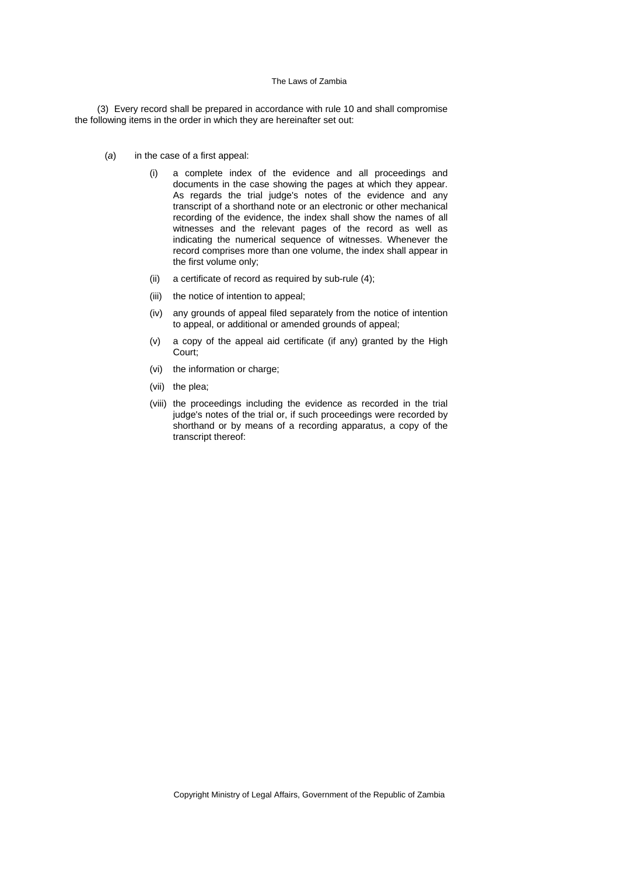(3) Every record shall be prepared in accordance with rule 10 and shall compromise the following items in the order in which they are hereinafter set out:

- (*a*) in the case of a first appeal:
	- (i) a complete index of the evidence and all proceedings and documents in the case showing the pages at which they appear. As regards the trial judge's notes of the evidence and any transcript of a shorthand note or an electronic or other mechanical recording of the evidence, the index shall show the names of all witnesses and the relevant pages of the record as well as indicating the numerical sequence of witnesses. Whenever the record comprises more than one volume, the index shall appear in the first volume only;
	- (ii) a certificate of record as required by sub-rule (4);
	- (iii) the notice of intention to appeal;
	- (iv) any grounds of appeal filed separately from the notice of intention to appeal, or additional or amended grounds of appeal;
	- (v) a copy of the appeal aid certificate (if any) granted by the High Court;
	- (vi) the information or charge;
	- (vii) the plea;
	- (viii) the proceedings including the evidence as recorded in the trial judge's notes of the trial or, if such proceedings were recorded by shorthand or by means of a recording apparatus, a copy of the transcript thereof: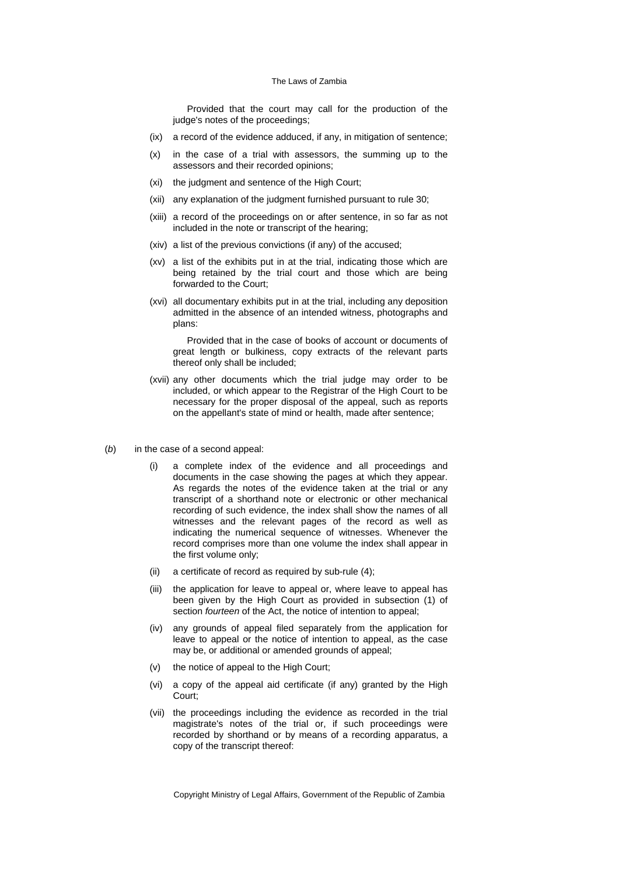Provided that the court may call for the production of the judge's notes of the proceedings;

- (ix) a record of the evidence adduced, if any, in mitigation of sentence;
- (x) in the case of a trial with assessors, the summing up to the assessors and their recorded opinions;
- (xi) the judgment and sentence of the High Court;
- (xii) any explanation of the judgment furnished pursuant to rule 30;
- (xiii) a record of the proceedings on or after sentence, in so far as not included in the note or transcript of the hearing;
- (xiv) a list of the previous convictions (if any) of the accused;
- (xv) a list of the exhibits put in at the trial, indicating those which are being retained by the trial court and those which are being forwarded to the Court;
- (xvi) all documentary exhibits put in at the trial, including any deposition admitted in the absence of an intended witness, photographs and plans:

Provided that in the case of books of account or documents of great length or bulkiness, copy extracts of the relevant parts thereof only shall be included;

- (xvii) any other documents which the trial judge may order to be included, or which appear to the Registrar of the High Court to be necessary for the proper disposal of the appeal, such as reports on the appellant's state of mind or health, made after sentence;
- (*b*) in the case of a second appeal:
	- (i) a complete index of the evidence and all proceedings and documents in the case showing the pages at which they appear. As regards the notes of the evidence taken at the trial or any transcript of a shorthand note or electronic or other mechanical recording of such evidence, the index shall show the names of all witnesses and the relevant pages of the record as well as indicating the numerical sequence of witnesses. Whenever the record comprises more than one volume the index shall appear in the first volume only;
	- (ii) a certificate of record as required by sub-rule (4);
	- (iii) the application for leave to appeal or, where leave to appeal has been given by the High Court as provided in subsection (1) of section *fourteen* of the Act, the notice of intention to appeal;
	- (iv) any grounds of appeal filed separately from the application for leave to appeal or the notice of intention to appeal, as the case may be, or additional or amended grounds of appeal;
	- (v) the notice of appeal to the High Court;
	- (vi) a copy of the appeal aid certificate (if any) granted by the High Court;
	- (vii) the proceedings including the evidence as recorded in the trial magistrate's notes of the trial or, if such proceedings were recorded by shorthand or by means of a recording apparatus, a copy of the transcript thereof: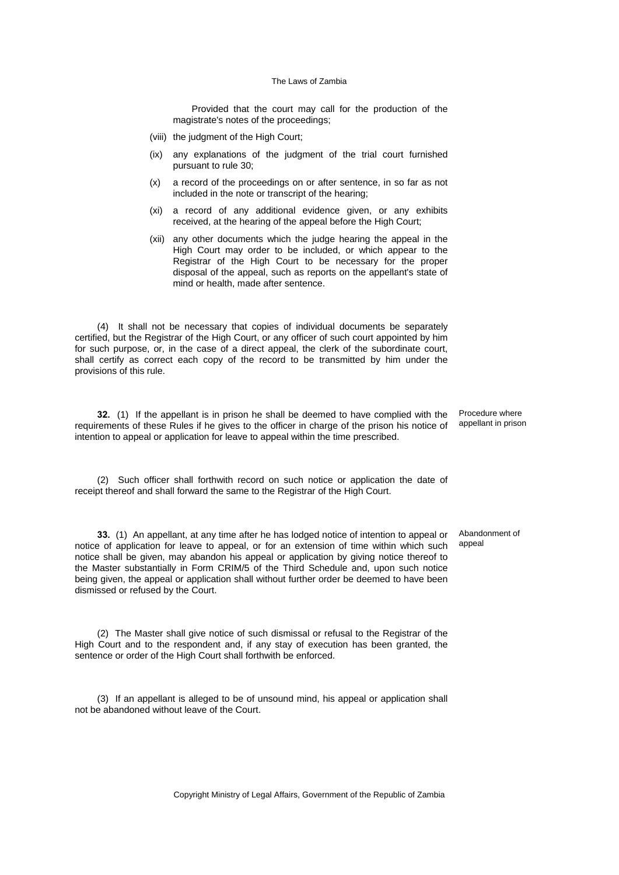Provided that the court may call for the production of the magistrate's notes of the proceedings;

- (viii) the judgment of the High Court;
- (ix) any explanations of the judgment of the trial court furnished pursuant to rule 30;
- (x) a record of the proceedings on or after sentence, in so far as not included in the note or transcript of the hearing;
- (xi) a record of any additional evidence given, or any exhibits received, at the hearing of the appeal before the High Court;
- (xii) any other documents which the judge hearing the appeal in the High Court may order to be included, or which appear to the Registrar of the High Court to be necessary for the proper disposal of the appeal, such as reports on the appellant's state of mind or health, made after sentence.

(4) It shall not be necessary that copies of individual documents be separately certified, but the Registrar of the High Court, or any officer of such court appointed by him for such purpose, or, in the case of a direct appeal, the clerk of the subordinate court, shall certify as correct each copy of the record to be transmitted by him under the provisions of this rule.

**32.** (1) If the appellant is in prison he shall be deemed to have complied with the requirements of these Rules if he gives to the officer in charge of the prison his notice of intention to appeal or application for leave to appeal within the time prescribed.

Procedure where appellant in prison

Abandonment of appeal

(2) Such officer shall forthwith record on such notice or application the date of receipt thereof and shall forward the same to the Registrar of the High Court.

**33.** (1) An appellant, at any time after he has lodged notice of intention to appeal or notice of application for leave to appeal, or for an extension of time within which such notice shall be given, may abandon his appeal or application by giving notice thereof to the Master substantially in Form CRIM/5 of the Third Schedule and, upon such notice being given, the appeal or application shall without further order be deemed to have been dismissed or refused by the Court.

(2) The Master shall give notice of such dismissal or refusal to the Registrar of the High Court and to the respondent and, if any stay of execution has been granted, the sentence or order of the High Court shall forthwith be enforced.

(3) If an appellant is alleged to be of unsound mind, his appeal or application shall not be abandoned without leave of the Court.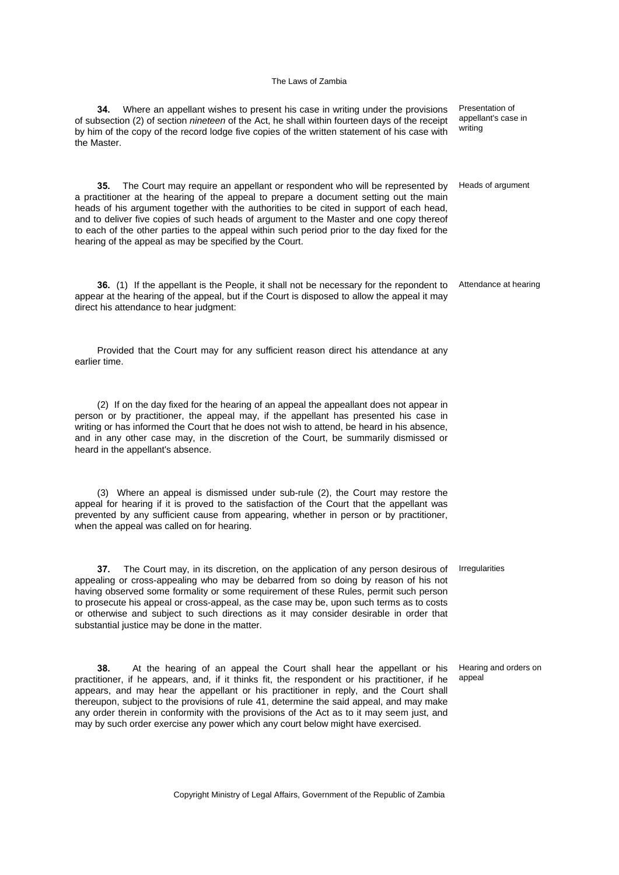| (2) If on the day fixed for the hearing of an appeal the appeallant does not appear in<br>person or by practitioner, the appeal may, if the appellant has presented his case in<br>writing or has informed the Court that he does not wish to attend, be heard in his absence,<br>and in any other case may, in the discretion of the Court, be summarily dismissed or<br>heard in the appellant's absence.                                                                                                                                          |                                 |
|------------------------------------------------------------------------------------------------------------------------------------------------------------------------------------------------------------------------------------------------------------------------------------------------------------------------------------------------------------------------------------------------------------------------------------------------------------------------------------------------------------------------------------------------------|---------------------------------|
| (3) Where an appeal is dismissed under sub-rule (2), the Court may restore the<br>appeal for hearing if it is proved to the satisfaction of the Court that the appellant was<br>prevented by any sufficient cause from appearing, whether in person or by practitioner,<br>when the appeal was called on for hearing.                                                                                                                                                                                                                                |                                 |
| 37.<br>The Court may, in its discretion, on the application of any person desirous of<br>appealing or cross-appealing who may be debarred from so doing by reason of his not<br>having observed some formality or some requirement of these Rules, permit such person<br>to prosecute his appeal or cross-appeal, as the case may be, upon such terms as to costs<br>or otherwise and subject to such directions as it may consider desirable in order that<br>substantial justice may be done in the matter.                                        | Irregularities                  |
| 38.<br>At the hearing of an appeal the Court shall hear the appellant or his<br>practitioner, if he appears, and, if it thinks fit, the respondent or his practitioner, if he<br>appears, and may hear the appellant or his practitioner in reply, and the Court shall<br>thereupon, subject to the provisions of rule 41, determine the said appeal, and may make<br>any order therein in conformity with the provisions of the Act as to it may seem just, and<br>may by such order exercise any power which any court below might have exercised. | Hearing and orders on<br>appeal |

**34.** Where an appellant wishes to present his case in writing under the provisions of subsection (2) of section *nineteen* of the Act, he shall within fourteen days of the receipt by him of the copy of the record lodge five copies of the written statement of his case with the Master. Presentation of appellant's case in writing

**35.** The Court may require an appellant or respondent who will be represented by a practitioner at the hearing of the appeal to prepare a document setting out the main heads of his argument together with the authorities to be cited in support of each head, and to deliver five copies of such heads of argument to the Master and one copy thereof to each of the other parties to the appeal within such period prior to the day fixed for the hearing of the appeal as may be specified by the Court.

**36.** (1) If the appellant is the People, it shall not be necessary for the repondent to appear at the hearing of the appeal, but if the Court is disposed to allow the appeal it may direct his attendance to hear judgment:

Provided that the Court may for any sufficient reason direct his attendance at any earlier time.

Copyright Ministry of Legal Affairs, Government of the Republic of Zambia

Heads of argument

Attendance at hearing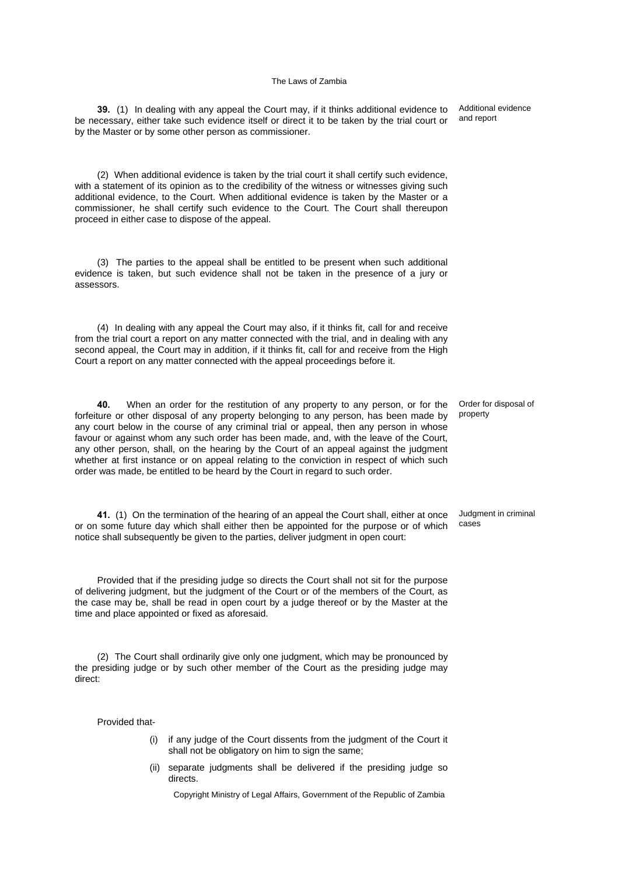**39.** (1) In dealing with any appeal the Court may, if it thinks additional evidence to be necessary, either take such evidence itself or direct it to be taken by the trial court or by the Master or by some other person as commissioner.

(2) When additional evidence is taken by the trial court it shall certify such evidence, with a statement of its opinion as to the credibility of the witness or witnesses giving such additional evidence, to the Court. When additional evidence is taken by the Master or a commissioner, he shall certify such evidence to the Court. The Court shall thereupon proceed in either case to dispose of the appeal.

(3) The parties to the appeal shall be entitled to be present when such additional evidence is taken, but such evidence shall not be taken in the presence of a jury or assessors.

(4) In dealing with any appeal the Court may also, if it thinks fit, call for and receive from the trial court a report on any matter connected with the trial, and in dealing with any second appeal, the Court may in addition, if it thinks fit, call for and receive from the High Court a report on any matter connected with the appeal proceedings before it.

**40.** When an order for the restitution of any property to any person, or for the forfeiture or other disposal of any property belonging to any person, has been made by any court below in the course of any criminal trial or appeal, then any person in whose favour or against whom any such order has been made, and, with the leave of the Court, any other person, shall, on the hearing by the Court of an appeal against the judgment whether at first instance or on appeal relating to the conviction in respect of which such order was made, be entitled to be heard by the Court in regard to such order.

**41.** (1) On the termination of the hearing of an appeal the Court shall, either at once or on some future day which shall either then be appointed for the purpose or of which notice shall subsequently be given to the parties, deliver judgment in open court:

Provided that if the presiding judge so directs the Court shall not sit for the purpose of delivering judgment, but the judgment of the Court or of the members of the Court, as the case may be, shall be read in open court by a judge thereof or by the Master at the time and place appointed or fixed as aforesaid.

(2) The Court shall ordinarily give only one judgment, which may be pronounced by the presiding judge or by such other member of the Court as the presiding judge may direct:

Provided that-

- (i) if any judge of the Court dissents from the judgment of the Court it shall not be obligatory on him to sign the same:
- (ii) separate judgments shall be delivered if the presiding judge so directs.

Copyright Ministry of Legal Affairs, Government of the Republic of Zambia

Additional evidence and report

Order for disposal of property

Judgment in criminal cases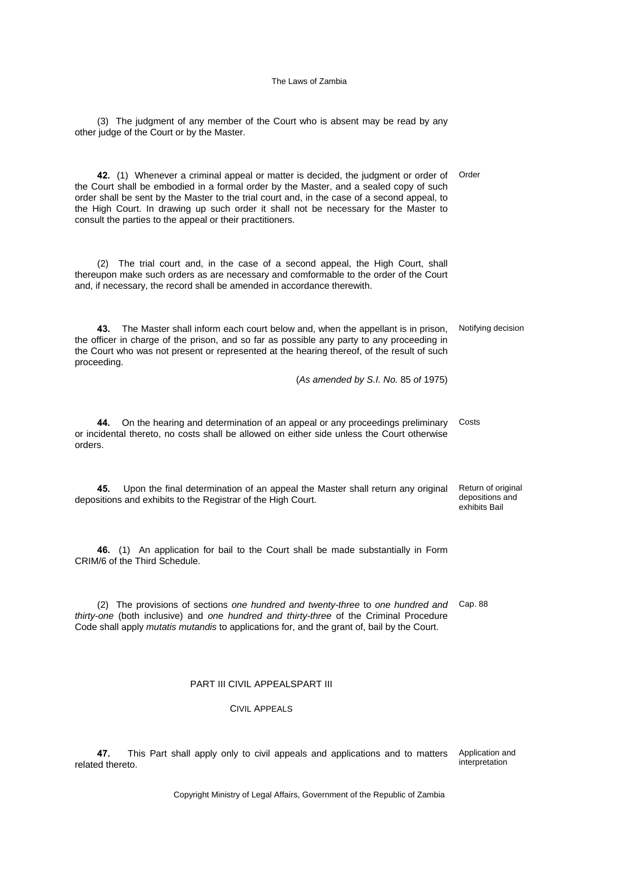(3) The judgment of any member of the Court who is absent may be read by any other judge of the Court or by the Master.

**42.** (1) Whenever a criminal appeal or matter is decided, the judgment or order of Order the Court shall be embodied in a formal order by the Master, and a sealed copy of such order shall be sent by the Master to the trial court and, in the case of a second appeal, to the High Court. In drawing up such order it shall not be necessary for the Master to consult the parties to the appeal or their practitioners.

(2) The trial court and, in the case of a second appeal, the High Court, shall thereupon make such orders as are necessary and comformable to the order of the Court and, if necessary, the record shall be amended in accordance therewith.

**43.** The Master shall inform each court below and, when the appellant is in prison, the officer in charge of the prison, and so far as possible any party to any proceeding in the Court who was not present or represented at the hearing thereof, of the result of such proceeding. Notifying decision

(*As amended by S.I. No.* 85 *of* 1975)

**44.** On the hearing and determination of an appeal or any proceedings preliminary or incidental thereto, no costs shall be allowed on either side unless the Court otherwise orders. Costs

**45.** Upon the final determination of an appeal the Master shall return any original depositions and exhibits to the Registrar of the High Court. Return of original depositions and exhibits Bail

**46.** (1) An application for bail to the Court shall be made substantially in Form CRIM/6 of the Third Schedule.

(2) The provisions of sections *one hundred and twenty-three* to *one hundred and* Cap. 88 *thirty-one* (both inclusive) and *one hundred and thirty-three* of the Criminal Procedure Code shall apply *mutatis mutandis* to applications for, and the grant of, bail by the Court.

### PART III CIVIL APPEALSPART III

### CIVIL APPEALS

**47.** This Part shall apply only to civil appeals and applications and to matters related thereto. Application and interpretation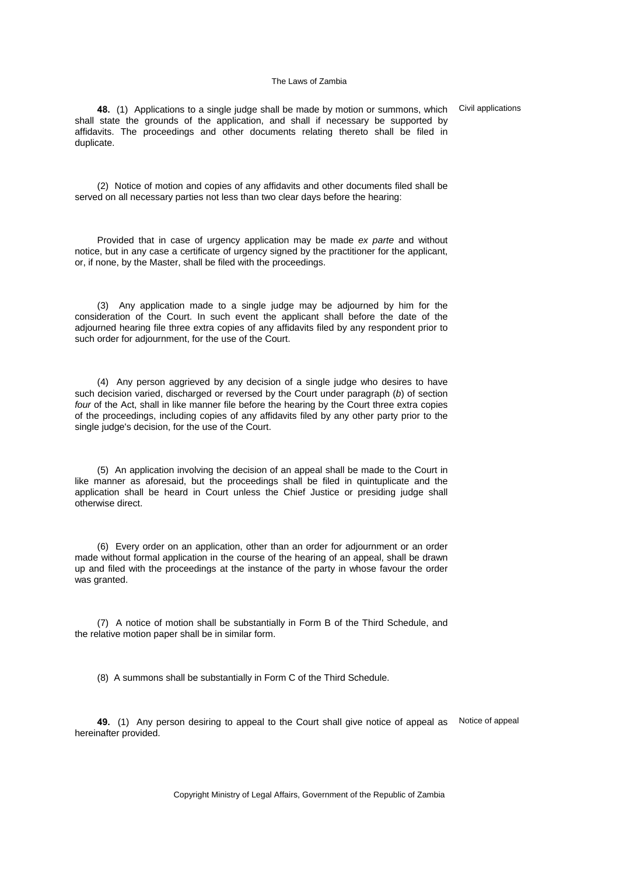**48.** (1) Applications to a single judge shall be made by motion or summons, which Civil applications shall state the grounds of the application, and shall if necessary be supported by affidavits. The proceedings and other documents relating thereto shall be filed in duplicate.

(2) Notice of motion and copies of any affidavits and other documents filed shall be served on all necessary parties not less than two clear days before the hearing:

Provided that in case of urgency application may be made *ex parte* and without notice, but in any case a certificate of urgency signed by the practitioner for the applicant, or, if none, by the Master, shall be filed with the proceedings.

(3) Any application made to a single judge may be adjourned by him for the consideration of the Court. In such event the applicant shall before the date of the adjourned hearing file three extra copies of any affidavits filed by any respondent prior to such order for adjournment, for the use of the Court.

(4) Any person aggrieved by any decision of a single judge who desires to have such decision varied, discharged or reversed by the Court under paragraph (*b*) of section *four* of the Act, shall in like manner file before the hearing by the Court three extra copies of the proceedings, including copies of any affidavits filed by any other party prior to the single judge's decision, for the use of the Court.

(5) An application involving the decision of an appeal shall be made to the Court in like manner as aforesaid, but the proceedings shall be filed in quintuplicate and the application shall be heard in Court unless the Chief Justice or presiding judge shall otherwise direct.

(6) Every order on an application, other than an order for adjournment or an order made without formal application in the course of the hearing of an appeal, shall be drawn up and filed with the proceedings at the instance of the party in whose favour the order was granted.

(7) A notice of motion shall be substantially in Form B of the Third Schedule, and the relative motion paper shall be in similar form.

(8) A summons shall be substantially in Form C of the Third Schedule.

**49.** (1) Any person desiring to appeal to the Court shall give notice of appeal as Notice of appealhereinafter provided.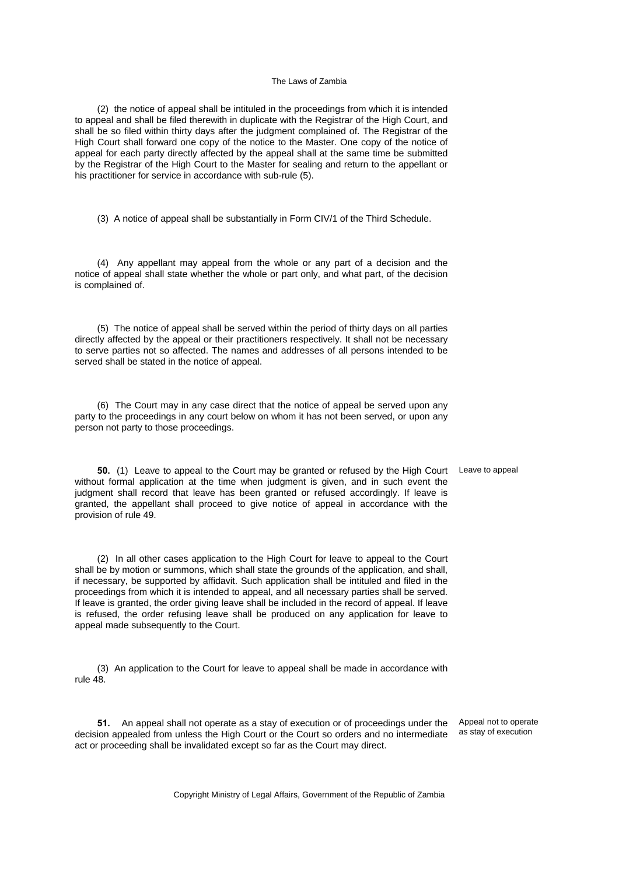(2) the notice of appeal shall be intituled in the proceedings from which it is intended to appeal and shall be filed therewith in duplicate with the Registrar of the High Court, and shall be so filed within thirty days after the judgment complained of. The Registrar of the High Court shall forward one copy of the notice to the Master. One copy of the notice of appeal for each party directly affected by the appeal shall at the same time be submitted by the Registrar of the High Court to the Master for sealing and return to the appellant or his practitioner for service in accordance with sub-rule (5).

(3) A notice of appeal shall be substantially in Form CIV/1 of the Third Schedule.

(4) Any appellant may appeal from the whole or any part of a decision and the notice of appeal shall state whether the whole or part only, and what part, of the decision is complained of.

(5) The notice of appeal shall be served within the period of thirty days on all parties directly affected by the appeal or their practitioners respectively. It shall not be necessary to serve parties not so affected. The names and addresses of all persons intended to be served shall be stated in the notice of appeal.

(6) The Court may in any case direct that the notice of appeal be served upon any party to the proceedings in any court below on whom it has not been served, or upon any person not party to those proceedings.

**50.** (1) Leave to appeal to the Court may be granted or refused by the High Court Leave to appeal without formal application at the time when judgment is given, and in such event the judgment shall record that leave has been granted or refused accordingly. If leave is granted, the appellant shall proceed to give notice of appeal in accordance with the provision of rule 49.

(2) In all other cases application to the High Court for leave to appeal to the Court shall be by motion or summons, which shall state the grounds of the application, and shall, if necessary, be supported by affidavit. Such application shall be intituled and filed in the proceedings from which it is intended to appeal, and all necessary parties shall be served. If leave is granted, the order giving leave shall be included in the record of appeal. If leave is refused, the order refusing leave shall be produced on any application for leave to appeal made subsequently to the Court.

(3) An application to the Court for leave to appeal shall be made in accordance with rule 48.

**51.** An appeal shall not operate as a stay of execution or of proceedings under the decision appealed from unless the High Court or the Court so orders and no intermediate act or proceeding shall be invalidated except so far as the Court may direct.

Appeal not to operate as stay of execution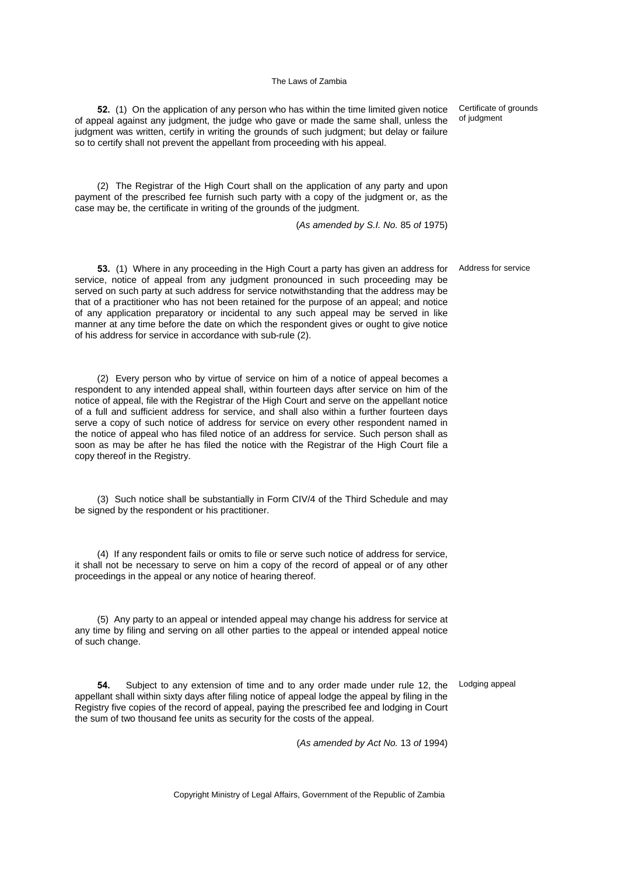**52.** (1) On the application of any person who has within the time limited given notice of appeal against any judgment, the judge who gave or made the same shall, unless the judgment was written, certify in writing the grounds of such judgment; but delay or failure so to certify shall not prevent the appellant from proceeding with his appeal.

(2) The Registrar of the High Court shall on the application of any party and upon payment of the prescribed fee furnish such party with a copy of the judgment or, as the case may be, the certificate in writing of the grounds of the judgment.

(*As amended by S.I. No.* 85 *of* 1975)

**53.** (1) Where in any proceeding in the High Court a party has given an address for service, notice of appeal from any judgment pronounced in such proceeding may be served on such party at such address for service notwithstanding that the address may be that of a practitioner who has not been retained for the purpose of an appeal; and notice of any application preparatory or incidental to any such appeal may be served in like manner at any time before the date on which the respondent gives or ought to give notice of his address for service in accordance with sub-rule (2).

(2) Every person who by virtue of service on him of a notice of appeal becomes a respondent to any intended appeal shall, within fourteen days after service on him of the notice of appeal, file with the Registrar of the High Court and serve on the appellant notice of a full and sufficient address for service, and shall also within a further fourteen days serve a copy of such notice of address for service on every other respondent named in the notice of appeal who has filed notice of an address for service. Such person shall as soon as may be after he has filed the notice with the Registrar of the High Court file a copy thereof in the Registry.

(3) Such notice shall be substantially in Form CIV/4 of the Third Schedule and may be signed by the respondent or his practitioner.

(4) If any respondent fails or omits to file or serve such notice of address for service, it shall not be necessary to serve on him a copy of the record of appeal or of any other proceedings in the appeal or any notice of hearing thereof.

(5) Any party to an appeal or intended appeal may change his address for service at any time by filing and serving on all other parties to the appeal or intended appeal notice of such change.

**54.** Subject to any extension of time and to any order made under rule 12, the Lodging appealappellant shall within sixty days after filing notice of appeal lodge the appeal by filing in the Registry five copies of the record of appeal, paying the prescribed fee and lodging in Court the sum of two thousand fee units as security for the costs of the appeal.

(*As amended by Act No.* 13 *of* 1994)

Copyright Ministry of Legal Affairs, Government of the Republic of Zambia

Certificate of grounds of judgment

Address for service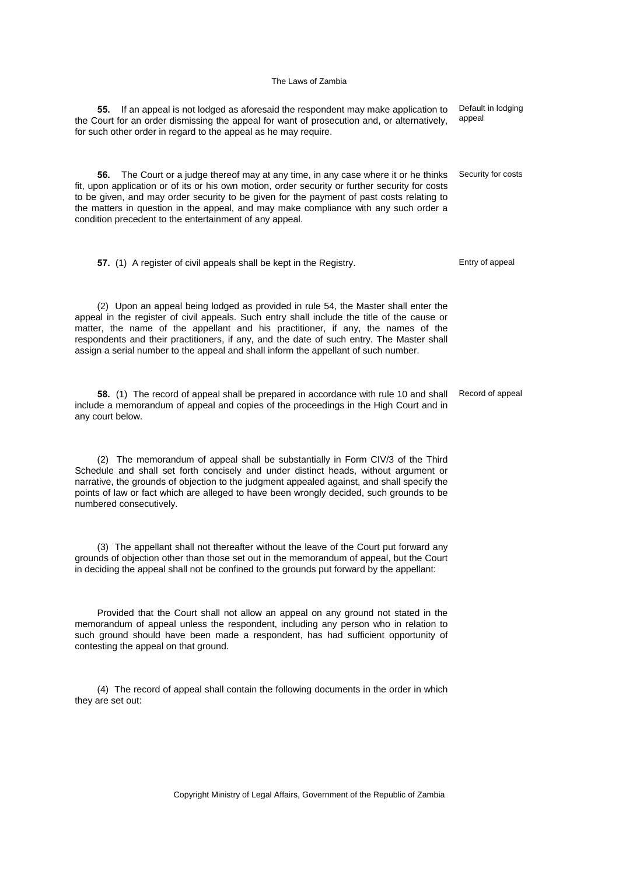**55.** If an appeal is not lodged as aforesaid the respondent may make application to the Court for an order dismissing the appeal for want of prosecution and, or alternatively, for such other order in regard to the appeal as he may require.

**56.** The Court or a judge thereof may at any time, in any case where it or he thinks fit, upon application or of its or his own motion, order security or further security for costs to be given, and may order security to be given for the payment of past costs relating to the matters in question in the appeal, and may make compliance with any such order a condition precedent to the entertainment of any appeal.

**57.** (1) A register of civil appeals shall be kept in the Registry. Entry of appeal

(2) Upon an appeal being lodged as provided in rule 54, the Master shall enter the appeal in the register of civil appeals. Such entry shall include the title of the cause or matter, the name of the appellant and his practitioner, if any, the names of the respondents and their practitioners, if any, and the date of such entry. The Master shall assign a serial number to the appeal and shall inform the appellant of such number.

**58.** (1) The record of appeal shall be prepared in accordance with rule 10 and shall include a memorandum of appeal and copies of the proceedings in the High Court and in any court below. Record of appeal

(2) The memorandum of appeal shall be substantially in Form CIV/3 of the Third Schedule and shall set forth concisely and under distinct heads, without argument or narrative, the grounds of objection to the judgment appealed against, and shall specify the points of law or fact which are alleged to have been wrongly decided, such grounds to be numbered consecutively.

(3) The appellant shall not thereafter without the leave of the Court put forward any grounds of objection other than those set out in the memorandum of appeal, but the Court in deciding the appeal shall not be confined to the grounds put forward by the appellant:

Provided that the Court shall not allow an appeal on any ground not stated in the memorandum of appeal unless the respondent, including any person who in relation to such ground should have been made a respondent, has had sufficient opportunity of contesting the appeal on that ground.

(4) The record of appeal shall contain the following documents in the order in which they are set out:

Default in lodging appeal

Security for costs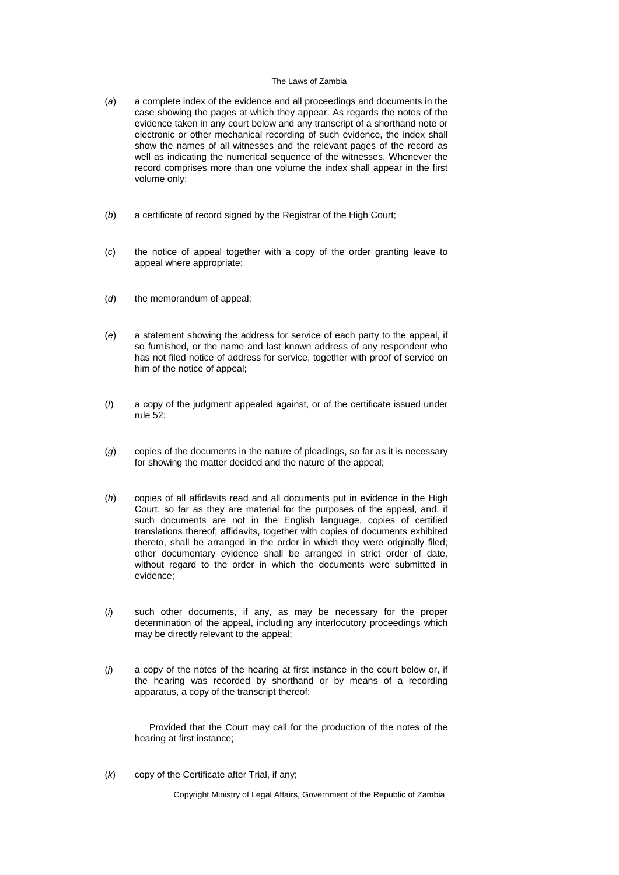- (*a*) a complete index of the evidence and all proceedings and documents in the case showing the pages at which they appear. As regards the notes of the evidence taken in any court below and any transcript of a shorthand note or electronic or other mechanical recording of such evidence, the index shall show the names of all witnesses and the relevant pages of the record as well as indicating the numerical sequence of the witnesses. Whenever the record comprises more than one volume the index shall appear in the first volume only;
- (*b*) a certificate of record signed by the Registrar of the High Court;
- (*c*) the notice of appeal together with a copy of the order granting leave to appeal where appropriate;
- (*d*) the memorandum of appeal;
- (*e*) a statement showing the address for service of each party to the appeal, if so furnished, or the name and last known address of any respondent who has not filed notice of address for service, together with proof of service on him of the notice of appeal;
- (*f*) a copy of the judgment appealed against, or of the certificate issued under rule 52;
- (*g*) copies of the documents in the nature of pleadings, so far as it is necessary for showing the matter decided and the nature of the appeal;
- (*h*) copies of all affidavits read and all documents put in evidence in the High Court, so far as they are material for the purposes of the appeal, and, if such documents are not in the English language, copies of certified translations thereof; affidavits, together with copies of documents exhibited thereto, shall be arranged in the order in which they were originally filed; other documentary evidence shall be arranged in strict order of date, without regard to the order in which the documents were submitted in evidence;
- (*i*) such other documents, if any, as may be necessary for the proper determination of the appeal, including any interlocutory proceedings which may be directly relevant to the appeal;
- (*j*) a copy of the notes of the hearing at first instance in the court below or, if the hearing was recorded by shorthand or by means of a recording apparatus, a copy of the transcript thereof:

 Provided that the Court may call for the production of the notes of the hearing at first instance;

(*k*) copy of the Certificate after Trial, if any;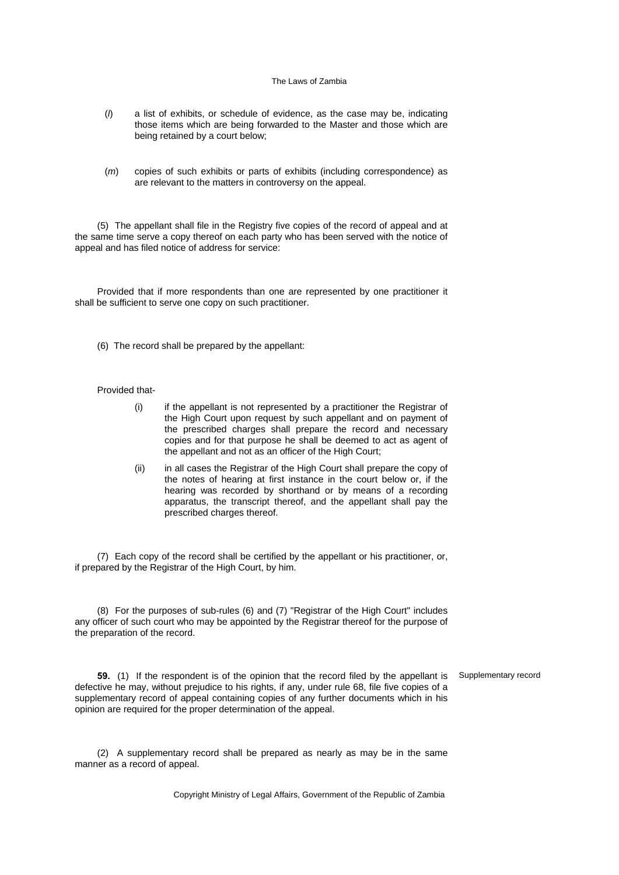- (*l*) a list of exhibits, or schedule of evidence, as the case may be, indicating those items which are being forwarded to the Master and those which are being retained by a court below;
- (*m*) copies of such exhibits or parts of exhibits (including correspondence) as are relevant to the matters in controversy on the appeal.

(5) The appellant shall file in the Registry five copies of the record of appeal and at the same time serve a copy thereof on each party who has been served with the notice of appeal and has filed notice of address for service:

Provided that if more respondents than one are represented by one practitioner it shall be sufficient to serve one copy on such practitioner.

(6) The record shall be prepared by the appellant:

### Provided that-

- (i) if the appellant is not represented by a practitioner the Registrar of the High Court upon request by such appellant and on payment of the prescribed charges shall prepare the record and necessary copies and for that purpose he shall be deemed to act as agent of the appellant and not as an officer of the High Court;
- (ii) in all cases the Registrar of the High Court shall prepare the copy of the notes of hearing at first instance in the court below or, if the hearing was recorded by shorthand or by means of a recording apparatus, the transcript thereof, and the appellant shall pay the prescribed charges thereof.

(7) Each copy of the record shall be certified by the appellant or his practitioner, or, if prepared by the Registrar of the High Court, by him.

(8) For the purposes of sub-rules (6) and (7) "Registrar of the High Court" includes any officer of such court who may be appointed by the Registrar thereof for the purpose of the preparation of the record.

**59.** (1) If the respondent is of the opinion that the record filed by the appellant is defective he may, without prejudice to his rights, if any, under rule 68, file five copies of a supplementary record of appeal containing copies of any further documents which in his opinion are required for the proper determination of the appeal. Supplementary record

(2) A supplementary record shall be prepared as nearly as may be in the same manner as a record of appeal.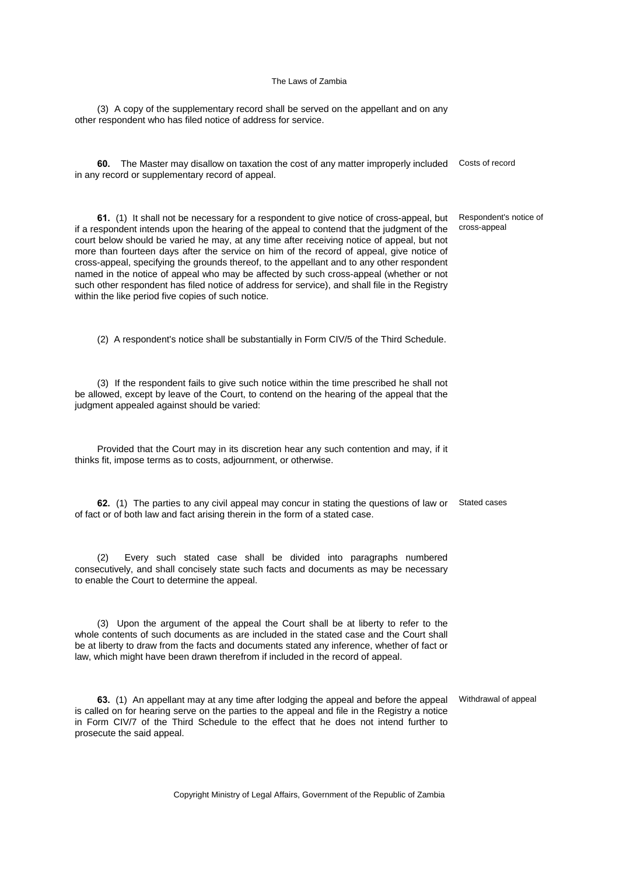(3) A copy of the supplementary record shall be served on the appellant and on any other respondent who has filed notice of address for service.

**60.** The Master may disallow on taxation the cost of any matter improperly included Costs of record in any record or supplementary record of appeal.

**61.** (1) It shall not be necessary for a respondent to give notice of cross-appeal, but if a respondent intends upon the hearing of the appeal to contend that the judgment of the court below should be varied he may, at any time after receiving notice of appeal, but not more than fourteen days after the service on him of the record of appeal, give notice of cross-appeal, specifying the grounds thereof, to the appellant and to any other respondent named in the notice of appeal who may be affected by such cross-appeal (whether or not such other respondent has filed notice of address for service), and shall file in the Registry within the like period five copies of such notice. Respondent's notice of cross-appeal

(2) A respondent's notice shall be substantially in Form CIV/5 of the Third Schedule.

(3) If the respondent fails to give such notice within the time prescribed he shall not be allowed, except by leave of the Court, to contend on the hearing of the appeal that the judgment appealed against should be varied:

Provided that the Court may in its discretion hear any such contention and may, if it thinks fit, impose terms as to costs, adjournment, or otherwise.

**62.** (1) The parties to any civil appeal may concur in stating the questions of law or Stated cases of fact or of both law and fact arising therein in the form of a stated case.

(2) Every such stated case shall be divided into paragraphs numbered consecutively, and shall concisely state such facts and documents as may be necessary to enable the Court to determine the appeal.

(3) Upon the argument of the appeal the Court shall be at liberty to refer to the whole contents of such documents as are included in the stated case and the Court shall be at liberty to draw from the facts and documents stated any inference, whether of fact or law, which might have been drawn therefrom if included in the record of appeal.

**63.** (1) An appellant may at any time after lodging the appeal and before the appeal Withdrawal of appeal is called on for hearing serve on the parties to the appeal and file in the Registry a notice in Form CIV/7 of the Third Schedule to the effect that he does not intend further to prosecute the said appeal.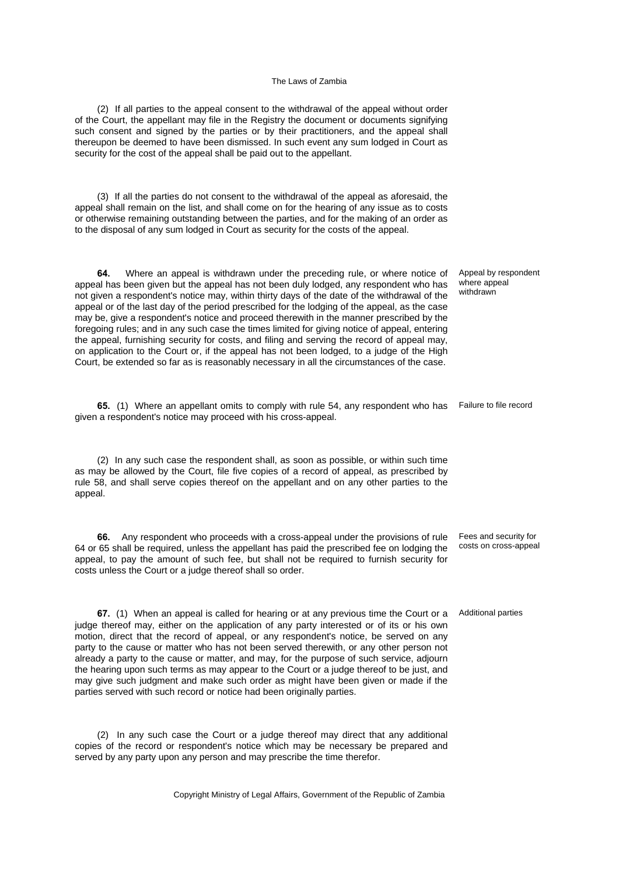(2) If all parties to the appeal consent to the withdrawal of the appeal without order of the Court, the appellant may file in the Registry the document or documents signifying such consent and signed by the parties or by their practitioners, and the appeal shall thereupon be deemed to have been dismissed. In such event any sum lodged in Court as security for the cost of the appeal shall be paid out to the appellant.

(3) If all the parties do not consent to the withdrawal of the appeal as aforesaid, the appeal shall remain on the list, and shall come on for the hearing of any issue as to costs or otherwise remaining outstanding between the parties, and for the making of an order as to the disposal of any sum lodged in Court as security for the costs of the appeal.

**64.** Where an appeal is withdrawn under the preceding rule, or where notice of appeal has been given but the appeal has not been duly lodged, any respondent who has not given a respondent's notice may, within thirty days of the date of the withdrawal of the appeal or of the last day of the period prescribed for the lodging of the appeal, as the case may be, give a respondent's notice and proceed therewith in the manner prescribed by the foregoing rules; and in any such case the times limited for giving notice of appeal, entering the appeal, furnishing security for costs, and filing and serving the record of appeal may, on application to the Court or, if the appeal has not been lodged, to a judge of the High Court, be extended so far as is reasonably necessary in all the circumstances of the case.

**65.** (1) Where an appellant omits to comply with rule 54, any respondent who has given a respondent's notice may proceed with his cross-appeal.

(2) In any such case the respondent shall, as soon as possible, or within such time as may be allowed by the Court, file five copies of a record of appeal, as prescribed by rule 58, and shall serve copies thereof on the appellant and on any other parties to the appeal.

**66.** Any respondent who proceeds with a cross-appeal under the provisions of rule 64 or 65 shall be required, unless the appellant has paid the prescribed fee on lodging the appeal, to pay the amount of such fee, but shall not be required to furnish security for costs unless the Court or a judge thereof shall so order.

**67.** (1) When an appeal is called for hearing or at any previous time the Court or a judge thereof may, either on the application of any party interested or of its or his own motion, direct that the record of appeal, or any respondent's notice, be served on any party to the cause or matter who has not been served therewith, or any other person not already a party to the cause or matter, and may, for the purpose of such service, adjourn the hearing upon such terms as may appear to the Court or a judge thereof to be just, and may give such judgment and make such order as might have been given or made if the parties served with such record or notice had been originally parties.

(2) In any such case the Court or a judge thereof may direct that any additional copies of the record or respondent's notice which may be necessary be prepared and served by any party upon any person and may prescribe the time therefor.

Copyright Ministry of Legal Affairs, Government of the Republic of Zambia

Appeal by respondent where appeal withdrawn

Failure to file record

Fees and security for costs on cross-appeal

Additional parties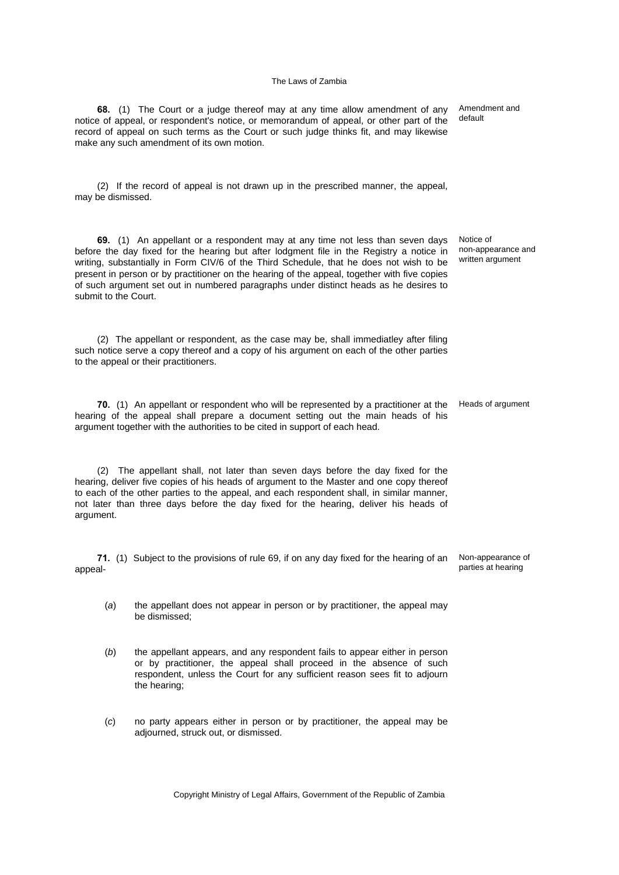**68.** (1) The Court or a judge thereof may at any time allow amendment of any notice of appeal, or respondent's notice, or memorandum of appeal, or other part of the record of appeal on such terms as the Court or such judge thinks fit, and may likewise make any such amendment of its own motion.

(2) If the record of appeal is not drawn up in the prescribed manner, the appeal, may be dismissed.

**69.** (1) An appellant or a respondent may at any time not less than seven days before the day fixed for the hearing but after lodgment file in the Registry a notice in writing, substantially in Form CIV/6 of the Third Schedule, that he does not wish to be present in person or by practitioner on the hearing of the appeal, together with five copies of such argument set out in numbered paragraphs under distinct heads as he desires to submit to the Court.

(2) The appellant or respondent, as the case may be, shall immediatley after filing such notice serve a copy thereof and a copy of his argument on each of the other parties to the appeal or their practitioners.

**70.** (1) An appellant or respondent who will be represented by a practitioner at the Heads of argument hearing of the appeal shall prepare a document setting out the main heads of his argument together with the authorities to be cited in support of each head.

(2) The appellant shall, not later than seven days before the day fixed for the hearing, deliver five copies of his heads of argument to the Master and one copy thereof to each of the other parties to the appeal, and each respondent shall, in similar manner, not later than three days before the day fixed for the hearing, deliver his heads of argument.

**71.** (1) Subject to the provisions of rule 69, if on any day fixed for the hearing of an appeal-

- (*a*) the appellant does not appear in person or by practitioner, the appeal may be dismissed;
- (*b*) the appellant appears, and any respondent fails to appear either in person or by practitioner, the appeal shall proceed in the absence of such respondent, unless the Court for any sufficient reason sees fit to adjourn the hearing;
- (*c*) no party appears either in person or by practitioner, the appeal may be adjourned, struck out, or dismissed.

Copyright Ministry of Legal Affairs, Government of the Republic of Zambia

Amendment and default

Notice of non-appearance and written argument

Non-appearance of parties at hearing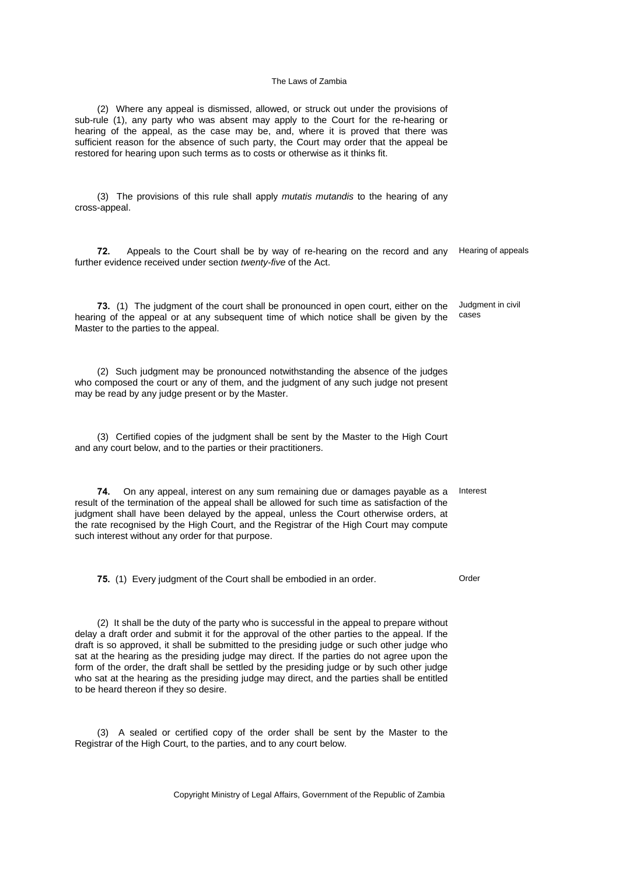(2) Where any appeal is dismissed, allowed, or struck out under the provisions of sub-rule (1), any party who was absent may apply to the Court for the re-hearing or hearing of the appeal, as the case may be, and, where it is proved that there was sufficient reason for the absence of such party, the Court may order that the appeal be restored for hearing upon such terms as to costs or otherwise as it thinks fit.

(3) The provisions of this rule shall apply *mutatis mutandis* to the hearing of any cross-appeal.

**72.** Appeals to the Court shall be by way of re-hearing on the record and any Hearing of appeals further evidence received under section *twenty-five* of the Act.

**73.** (1) The judgment of the court shall be pronounced in open court, either on the hearing of the appeal or at any subsequent time of which notice shall be given by the Master to the parties to the appeal. Judgment in civil cases

(2) Such judgment may be pronounced notwithstanding the absence of the judges who composed the court or any of them, and the judgment of any such judge not present may be read by any judge present or by the Master.

(3) Certified copies of the judgment shall be sent by the Master to the High Court and any court below, and to the parties or their practitioners.

**74.** On any appeal, interest on any sum remaining due or damages payable as a result of the termination of the appeal shall be allowed for such time as satisfaction of the judgment shall have been delayed by the appeal, unless the Court otherwise orders, at the rate recognised by the High Court, and the Registrar of the High Court may compute such interest without any order for that purpose. Interest

**75.** (1) Every judgment of the Court shall be embodied in an order. Order

(2) It shall be the duty of the party who is successful in the appeal to prepare without delay a draft order and submit it for the approval of the other parties to the appeal. If the draft is so approved, it shall be submitted to the presiding judge or such other judge who sat at the hearing as the presiding judge may direct. If the parties do not agree upon the form of the order, the draft shall be settled by the presiding judge or by such other judge who sat at the hearing as the presiding judge may direct, and the parties shall be entitled to be heard thereon if they so desire.

(3) A sealed or certified copy of the order shall be sent by the Master to the Registrar of the High Court, to the parties, and to any court below.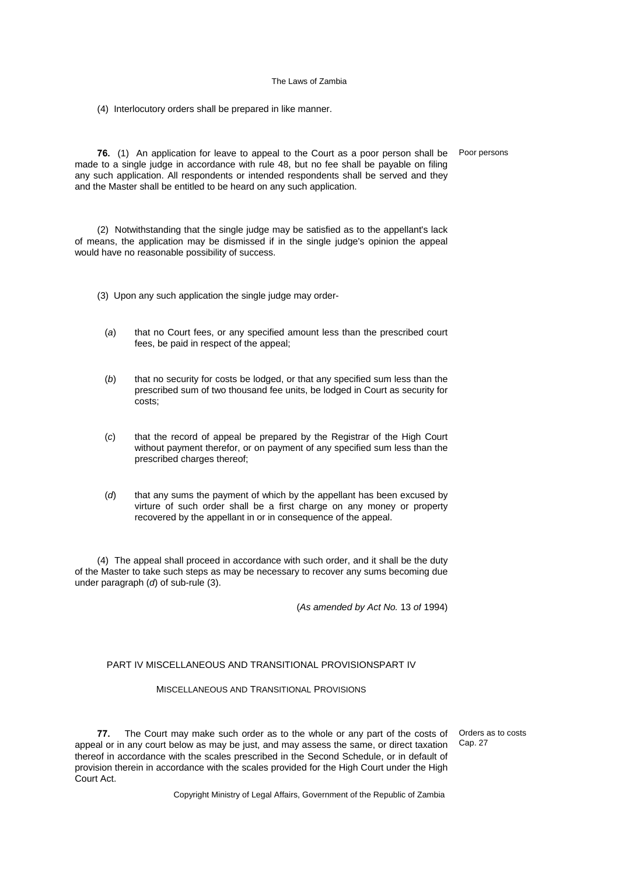(4) Interlocutory orders shall be prepared in like manner.

**76.** (1) An application for leave to appeal to the Court as a poor person shall be Poor persons made to a single judge in accordance with rule 48, but no fee shall be payable on filing any such application. All respondents or intended respondents shall be served and they and the Master shall be entitled to be heard on any such application.

(2) Notwithstanding that the single judge may be satisfied as to the appellant's lack of means, the application may be dismissed if in the single judge's opinion the appeal would have no reasonable possibility of success.

- (3) Upon any such application the single judge may order-
	- (*a*) that no Court fees, or any specified amount less than the prescribed court fees, be paid in respect of the appeal;
	- (*b*) that no security for costs be lodged, or that any specified sum less than the prescribed sum of two thousand fee units, be lodged in Court as security for costs;
	- (*c*) that the record of appeal be prepared by the Registrar of the High Court without payment therefor, or on payment of any specified sum less than the prescribed charges thereof;
	- (*d*) that any sums the payment of which by the appellant has been excused by virture of such order shall be a first charge on any money or property recovered by the appellant in or in consequence of the appeal.

(4) The appeal shall proceed in accordance with such order, and it shall be the duty of the Master to take such steps as may be necessary to recover any sums becoming due under paragraph (*d*) of sub-rule (3).

(*As amended by Act No.* 13 *of* 1994)

## PART IV MISCELLANEOUS AND TRANSITIONAL PROVISIONSPART IV

## MISCELLANEOUS AND TRANSITIONAL PROVISIONS

**77.** The Court may make such order as to the whole or any part of the costs of appeal or in any court below as may be just, and may assess the same, or direct taxation thereof in accordance with the scales prescribed in the Second Schedule, or in default of provision therein in accordance with the scales provided for the High Court under the High Court Act.

Orders as to costs Cap. 27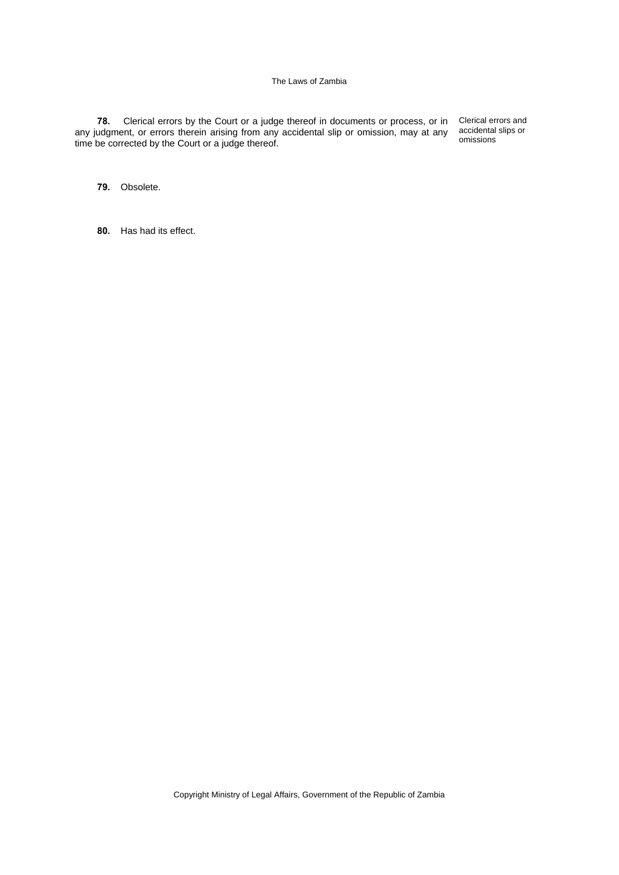**78.** Clerical errors by the Court or a judge thereof in documents or process, or in Clerical errors and any judgment, or errors therein arising from any accidental slip or omission, may at any time be corrected by the Court or a judge thereof.

accidental slips or omissions

**79.** Obsolete.

**80.** Has had its effect.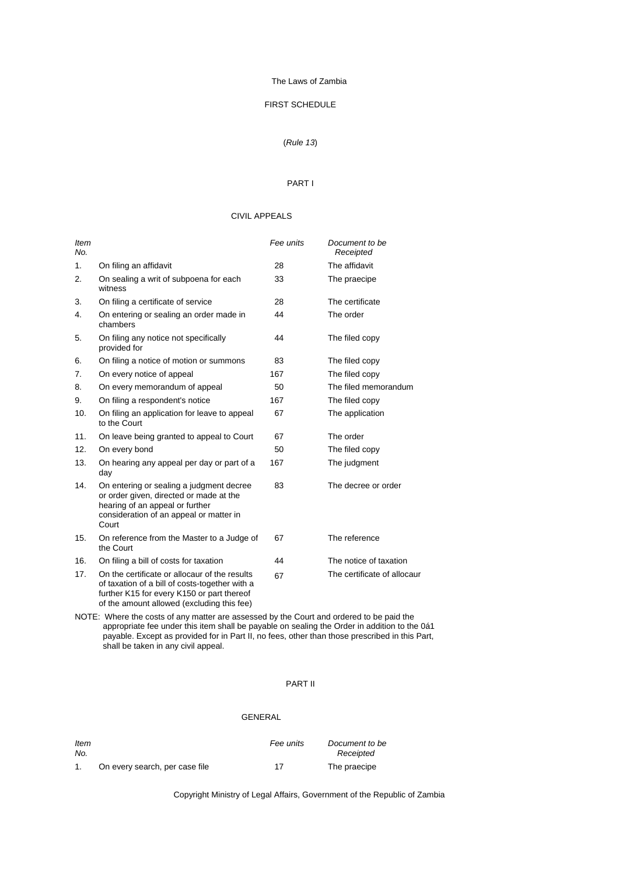## FIRST SCHEDULE

# (*Rule 13*)

### PART I

## CIVIL APPEALS

| <b>Item</b><br>No. |                                                                                                                                                                                             | Fee units | Document to be<br>Receipted |
|--------------------|---------------------------------------------------------------------------------------------------------------------------------------------------------------------------------------------|-----------|-----------------------------|
| 1.                 | On filing an affidavit                                                                                                                                                                      | 28        | The affidavit               |
| 2.                 | On sealing a writ of subpoena for each<br>witness                                                                                                                                           | 33        | The praecipe                |
| 3.                 | On filing a certificate of service                                                                                                                                                          | 28        | The certificate             |
| 4.                 | On entering or sealing an order made in<br>chambers                                                                                                                                         | 44        | The order                   |
| 5.                 | On filing any notice not specifically<br>provided for                                                                                                                                       | 44        | The filed copy              |
| 6.                 | On filing a notice of motion or summons                                                                                                                                                     | 83        | The filed copy              |
| 7.                 | On every notice of appeal                                                                                                                                                                   | 167       | The filed copy              |
| 8.                 | On every memorandum of appeal                                                                                                                                                               | 50        | The filed memorandum        |
| 9.                 | On filing a respondent's notice                                                                                                                                                             | 167       | The filed copy              |
| 10.                | On filing an application for leave to appeal<br>to the Court                                                                                                                                | 67        | The application             |
| 11.                | On leave being granted to appeal to Court                                                                                                                                                   | 67        | The order                   |
| 12.                | On every bond                                                                                                                                                                               | 50        | The filed copy              |
| 13.                | On hearing any appeal per day or part of a<br>day                                                                                                                                           | 167       | The judgment                |
| 14.                | On entering or sealing a judgment decree<br>or order given, directed or made at the<br>hearing of an appeal or further<br>consideration of an appeal or matter in<br>Court                  | 83        | The decree or order         |
| 15.                | On reference from the Master to a Judge of<br>the Court                                                                                                                                     | 67        | The reference               |
| 16.                | On filing a bill of costs for taxation                                                                                                                                                      | 44        | The notice of taxation      |
| 17.                | On the certificate or allocaur of the results<br>of taxation of a bill of costs-together with a<br>further K15 for every K150 or part thereof<br>of the amount allowed (excluding this fee) | 67        | The certificate of allocaur |

NOTE: Where the costs of any matter are assessed by the Court and ordered to be paid the appropriate fee under this item shall be payable on sealing the Order in addition to the 0á1 payable. Except as provided for in Part II, no fees, other than those prescribed in this Part, shall be taken in any civil appeal.

## PART II

## GENERAL

| ltem<br>No. |                                | Fee units | Document to be<br>Receipted |
|-------------|--------------------------------|-----------|-----------------------------|
|             | On every search, per case file | 17        | The praecipe                |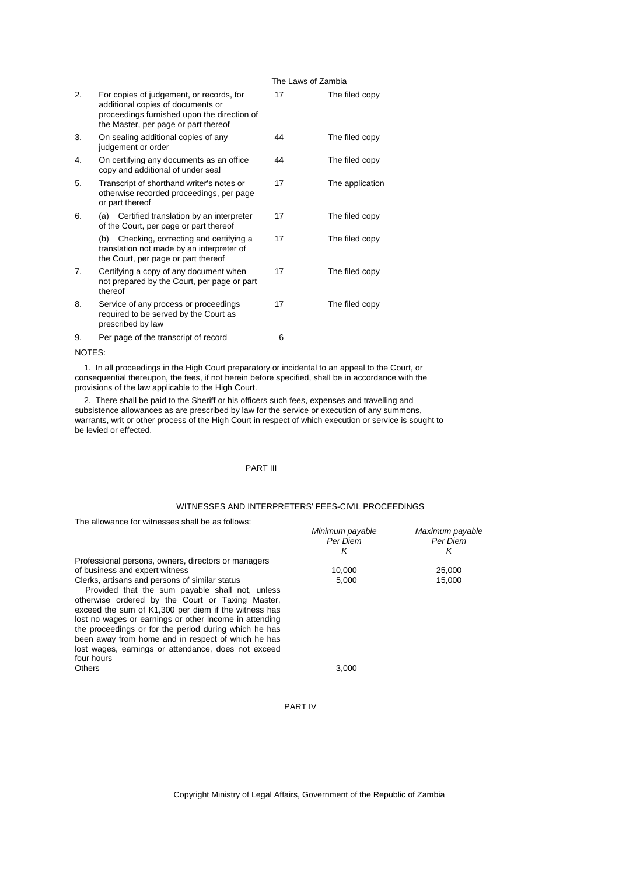| 2.     | For copies of judgement, or records, for<br>additional copies of documents or<br>proceedings furnished upon the direction of<br>the Master, per page or part thereof | 17 | The filed copy  |
|--------|----------------------------------------------------------------------------------------------------------------------------------------------------------------------|----|-----------------|
| 3.     | On sealing additional copies of any<br>judgement or order                                                                                                            | 44 | The filed copy  |
| 4.     | On certifying any documents as an office<br>copy and additional of under seal                                                                                        | 44 | The filed copy  |
| 5.     | Transcript of shorthand writer's notes or<br>otherwise recorded proceedings, per page<br>or part thereof                                                             | 17 | The application |
| 6.     | (a) Certified translation by an interpreter<br>of the Court, per page or part thereof                                                                                | 17 | The filed copy  |
|        | Checking, correcting and certifying a<br>(b)<br>translation not made by an interpreter of<br>the Court, per page or part thereof                                     | 17 | The filed copy  |
| 7.     | Certifying a copy of any document when<br>not prepared by the Court, per page or part<br>thereof                                                                     | 17 | The filed copy  |
| 8.     | Service of any process or proceedings<br>required to be served by the Court as<br>prescribed by law                                                                  | 17 | The filed copy  |
| 9.     | Per page of the transcript of record                                                                                                                                 | 6  |                 |
| NOTEO. |                                                                                                                                                                      |    |                 |

#### NOTES:

 1. In all proceedings in the High Court preparatory or incidental to an appeal to the Court, or consequential thereupon, the fees, if not herein before specified, shall be in accordance with the provisions of the law applicable to the High Court.

 2. There shall be paid to the Sheriff or his officers such fees, expenses and travelling and subsistence allowances as are prescribed by law for the service or execution of any summons, warrants, writ or other process of the High Court in respect of which execution or service is sought to be levied or effected.

### PART III

# WITNESSES AND INTERPRETERS' FEES-CIVIL PROCEEDINGS

The allowance for witnesses shall be as follows:

| <u>THE AINWAILLE IUL WILLIESSES SHAILDE AS IUINWS.</u> |                 |                 |
|--------------------------------------------------------|-----------------|-----------------|
|                                                        | Minimum payable | Maximum payable |
|                                                        | Per Diem        | Per Diem        |
|                                                        | κ               | ĸ               |
| Professional persons, owners, directors or managers    |                 |                 |
| of business and expert witness                         | 10.000          | 25,000          |
| Clerks, artisans and persons of similar status         | 5,000           | 15,000          |
| Provided that the sum payable shall not, unless        |                 |                 |
| otherwise ordered by the Court or Taxing Master,       |                 |                 |
| exceed the sum of K1,300 per diem if the witness has   |                 |                 |
| lost no wages or earnings or other income in attending |                 |                 |
| the proceedings or for the period during which he has  |                 |                 |
| been away from home and in respect of which he has     |                 |                 |
| lost wages, earnings or attendance, does not exceed    |                 |                 |
| four hours                                             |                 |                 |
| Others                                                 | 3,000           |                 |
|                                                        |                 |                 |

PART IV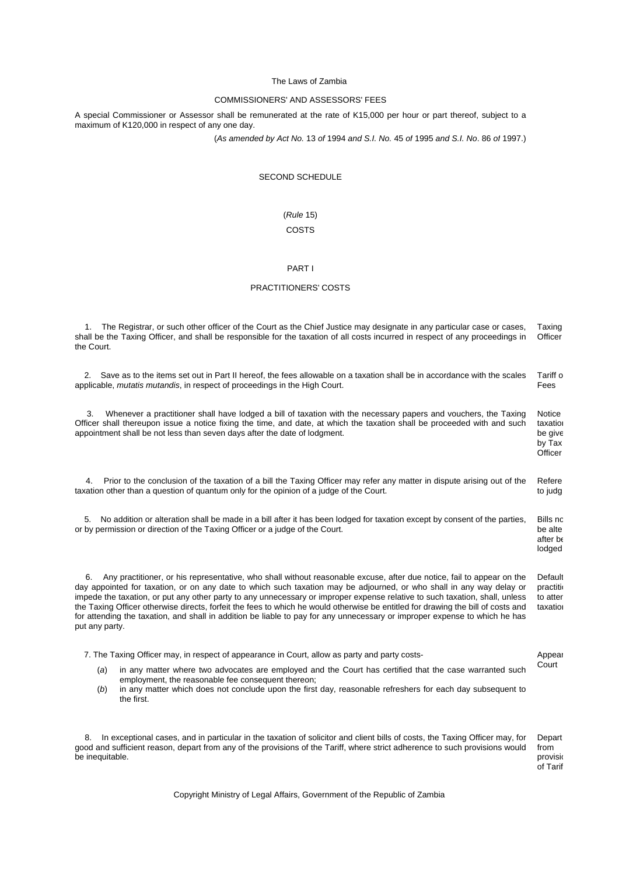### COMMISSIONERS' AND ASSESSORS' FEES

A special Commissioner or Assessor shall be remunerated at the rate of K15,000 per hour or part thereof, subject to a maximum of K120,000 in respect of any one day.

(*As amended by Act No.* 13 *of* 1994 *and S.I. No.* 45 *of* 1995 *and S.I. No*. 86 *of* 1997.)

## SECOND SCHEDULE

# (*Rule* 15) COSTS

## PART I

### PRACTITIONERS' COSTS

 1. The Registrar, or such other officer of the Court as the Chief Justice may designate in any particular case or cases, shall be the Taxing Officer, and shall be responsible for the taxation of all costs incurred in respect of any proceedings in the Court. Taxing **Officer**  2. Save as to the items set out in Part II hereof, the fees allowable on a taxation shall be in accordance with the scales Tariff o

applicable, *mutatis mutandis*, in respect of proceedings in the High Court. Fees 3. Whenever a practitioner shall have lodged a bill of taxation with the necessary papers and vouchers, the Taxing Notice

Officer shall thereupon issue a notice fixing the time, and date, at which the taxation shall be proceeded with and such appointment shall be not less than seven days after the date of lodgment. taxation be give by Tax

**Officer** 

lodged

Appear

 4. Prior to the conclusion of the taxation of a bill the Taxing Officer may refer any matter in dispute arising out of the taxation other than a question of quantum only for the opinion of a judge of the Court. Refere to judg

 5. No addition or alteration shall be made in a bill after it has been lodged for taxation except by consent of the parties, or by permission or direction of the Taxing Officer or a judge of the Court. **Bills nc** be alte after be

 6. Any practitioner, or his representative, who shall without reasonable excuse, after due notice, fail to appear on the day appointed for taxation, or on any date to which such taxation may be adjourned, or who shall in any way delay or impede the taxation, or put any other party to any unnecessary or improper expense relative to such taxation, shall, unless the Taxing Officer otherwise directs, forfeit the fees to which he would otherwise be entitled for drawing the bill of costs and for attending the taxation, and shall in addition be liable to pay for any unnecessary or improper expense to which he has put any party. **Default** practitio to atten taxation

7. The Taxing Officer may, in respect of appearance in Court, allow as party and party costs-

(*a*) in any matter where two advocates are employed and the Court has certified that the case warranted such employment, the reasonable fee consequent thereon; Court

(*b*) in any matter which does not conclude upon the first day, reasonable refreshers for each day subsequent to the first.

 8. In exceptional cases, and in particular in the taxation of solicitor and client bills of costs, the Taxing Officer may, for good and sufficient reason, depart from any of the provisions of the Tariff, where strict adherence to such provisions would be inequitable. Depart from provisio of Tarif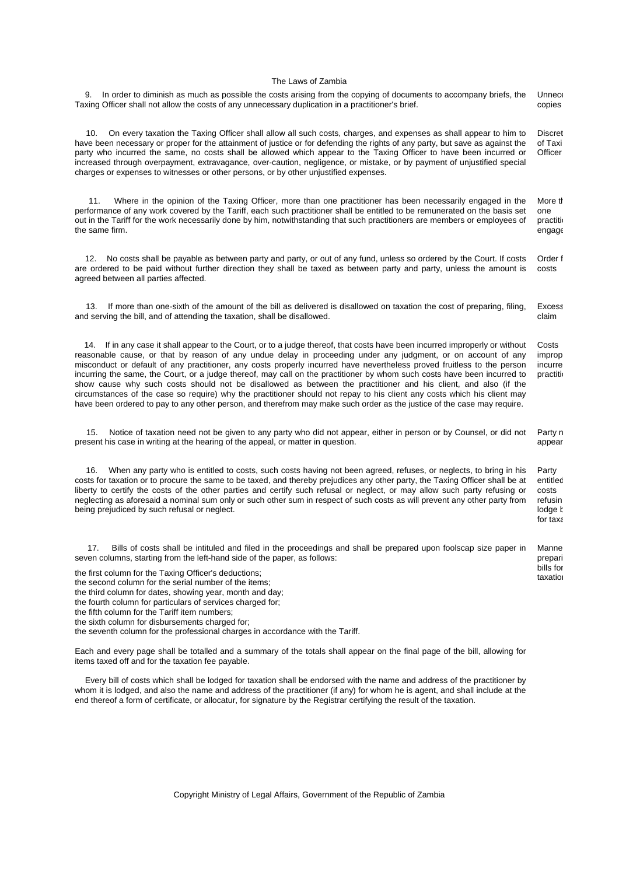| In order to diminish as much as possible the costs arising from the copying of documents to accompany briefs, the<br>9.<br>Taxing Officer shall not allow the costs of any unnecessary duplication in a practitioner's brief.                                                                                                                                                                                                                                                                                                                                                                                                                                                                                                                                                                                                                                                    | <b>Unnec</b><br>copies                                       |
|----------------------------------------------------------------------------------------------------------------------------------------------------------------------------------------------------------------------------------------------------------------------------------------------------------------------------------------------------------------------------------------------------------------------------------------------------------------------------------------------------------------------------------------------------------------------------------------------------------------------------------------------------------------------------------------------------------------------------------------------------------------------------------------------------------------------------------------------------------------------------------|--------------------------------------------------------------|
| 10.<br>On every taxation the Taxing Officer shall allow all such costs, charges, and expenses as shall appear to him to<br>have been necessary or proper for the attainment of justice or for defending the rights of any party, but save as against the<br>party who incurred the same, no costs shall be allowed which appear to the Taxing Officer to have been incurred or<br>increased through overpayment, extravagance, over-caution, negligence, or mistake, or by payment of unjustified special<br>charges or expenses to witnesses or other persons, or by other unjustified expenses.                                                                                                                                                                                                                                                                                | <b>Discret</b><br>of Taxi<br>Officer                         |
| Where in the opinion of the Taxing Officer, more than one practitioner has been necessarily engaged in the<br>11.<br>performance of any work covered by the Tariff, each such practitioner shall be entitled to be remunerated on the basis set<br>out in the Tariff for the work necessarily done by him, notwithstanding that such practitioners are members or employees of<br>the same firm.                                                                                                                                                                                                                                                                                                                                                                                                                                                                                 | More th<br>one<br>practiti<br>engage                         |
| No costs shall be payable as between party and party, or out of any fund, unless so ordered by the Court. If costs<br>12.<br>are ordered to be paid without further direction they shall be taxed as between party and party, unless the amount is<br>agreed between all parties affected.                                                                                                                                                                                                                                                                                                                                                                                                                                                                                                                                                                                       | Order f<br>costs                                             |
| 13.<br>If more than one-sixth of the amount of the bill as delivered is disallowed on taxation the cost of preparing, filing,<br>and serving the bill, and of attending the taxation, shall be disallowed.                                                                                                                                                                                                                                                                                                                                                                                                                                                                                                                                                                                                                                                                       | <b>Excess</b><br>claim                                       |
| If in any case it shall appear to the Court, or to a judge thereof, that costs have been incurred improperly or without<br>14.<br>reasonable cause, or that by reason of any undue delay in proceeding under any judgment, or on account of any<br>misconduct or default of any practitioner, any costs properly incurred have nevertheless proved fruitless to the person<br>incurring the same, the Court, or a judge thereof, may call on the practitioner by whom such costs have been incurred to<br>show cause why such costs should not be disallowed as between the practitioner and his client, and also (if the<br>circumstances of the case so require) why the practitioner should not repay to his client any costs which his client may<br>have been ordered to pay to any other person, and therefrom may make such order as the justice of the case may require. | Costs<br>improp<br>incurre<br>practiti                       |
| 15.<br>Notice of taxation need not be given to any party who did not appear, either in person or by Counsel, or did not<br>present his case in writing at the hearing of the appeal, or matter in question.                                                                                                                                                                                                                                                                                                                                                                                                                                                                                                                                                                                                                                                                      | Party n<br>appear                                            |
| When any party who is entitled to costs, such costs having not been agreed, refuses, or neglects, to bring in his<br>16.<br>costs for taxation or to procure the same to be taxed, and thereby prejudices any other party, the Taxing Officer shall be at<br>liberty to certify the costs of the other parties and certify such refusal or neglect, or may allow such party refusing or<br>neglecting as aforesaid a nominal sum only or such other sum in respect of such costs as will prevent any other party from<br>being prejudiced by such refusal or neglect.                                                                                                                                                                                                                                                                                                            | Party<br>entitlec<br>costs<br>refusin<br>lodge b<br>for taxa |
| Bills of costs shall be intituled and filed in the proceedings and shall be prepared upon foolscap size paper in<br>17.<br>seven columns, starting from the left-hand side of the paper, as follows:<br>the first column for the Taxing Officer's deductions;<br>the second column for the serial number of the items;<br>the third column for dates, showing year, month and day;<br>the fourth column for particulars of services charged for;<br>the fifth column for the Tariff item numbers;                                                                                                                                                                                                                                                                                                                                                                                | Manne<br>prepari<br>bills for<br>taxation                    |

the sixth column for disbursements charged for;

the seventh column for the professional charges in accordance with the Tariff.

Each and every page shall be totalled and a summary of the totals shall appear on the final page of the bill, allowing for items taxed off and for the taxation fee payable.

 Every bill of costs which shall be lodged for taxation shall be endorsed with the name and address of the practitioner by whom it is lodged, and also the name and address of the practitioner (if any) for whom he is agent, and shall include at the end thereof a form of certificate, or allocatur, for signature by the Registrar certifying the result of the taxation.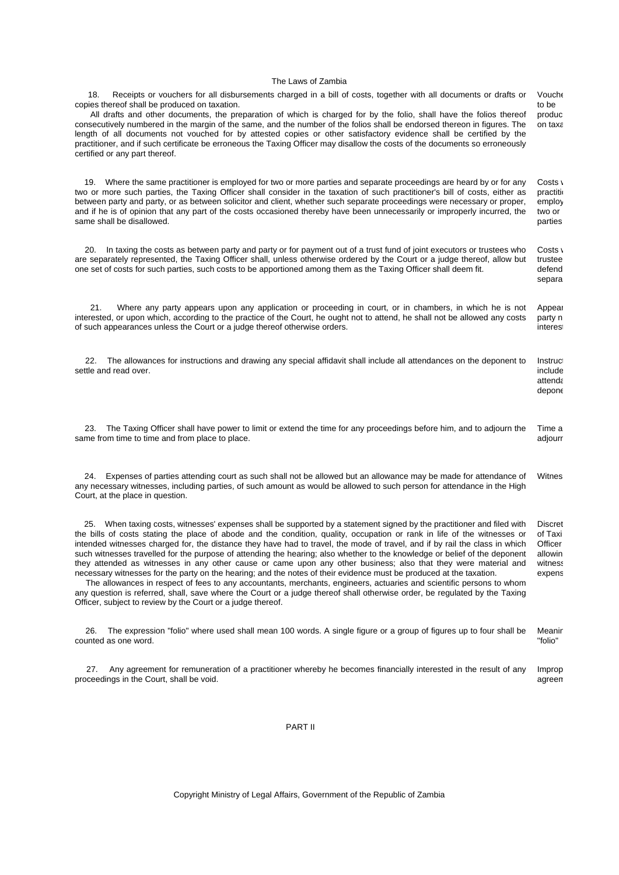| Receipts or vouchers for all disbursements charged in a bill of costs, together with all documents or drafts or<br>18.<br>copies thereof shall be produced on taxation.<br>All drafts and other documents, the preparation of which is charged for by the folio, shall have the folios thereof<br>consecutively numbered in the margin of the same, and the number of the folios shall be endorsed thereon in figures. The<br>length of all documents not vouched for by attested copies or other satisfactory evidence shall be certified by the<br>practitioner, and if such certificate be erroneous the Taxing Officer may disallow the costs of the documents so erroneously<br>certified or any part thereof.                                                                                                                                                                                                                                                                                                                                                            | Vouche<br>to be<br>produc<br>on taxa                                 |
|--------------------------------------------------------------------------------------------------------------------------------------------------------------------------------------------------------------------------------------------------------------------------------------------------------------------------------------------------------------------------------------------------------------------------------------------------------------------------------------------------------------------------------------------------------------------------------------------------------------------------------------------------------------------------------------------------------------------------------------------------------------------------------------------------------------------------------------------------------------------------------------------------------------------------------------------------------------------------------------------------------------------------------------------------------------------------------|----------------------------------------------------------------------|
| 19. Where the same practitioner is employed for two or more parties and separate proceedings are heard by or for any<br>two or more such parties, the Taxing Officer shall consider in the taxation of such practitioner's bill of costs, either as<br>between party and party, or as between solicitor and client, whether such separate proceedings were necessary or proper,<br>and if he is of opinion that any part of the costs occasioned thereby have been unnecessarily or improperly incurred, the<br>same shall be disallowed.                                                                                                                                                                                                                                                                                                                                                                                                                                                                                                                                      | Costs \<br>practiti<br>employ<br>two or<br>parties                   |
| In taxing the costs as between party and party or for payment out of a trust fund of joint executors or trustees who<br>20.<br>are separately represented, the Taxing Officer shall, unless otherwise ordered by the Court or a judge thereof, allow but<br>one set of costs for such parties, such costs to be apportioned among them as the Taxing Officer shall deem fit.                                                                                                                                                                                                                                                                                                                                                                                                                                                                                                                                                                                                                                                                                                   | Costs \<br>trustee<br>defend<br>separa                               |
| Where any party appears upon any application or proceeding in court, or in chambers, in which he is not<br>21.<br>interested, or upon which, according to the practice of the Court, he ought not to attend, he shall not be allowed any costs<br>of such appearances unless the Court or a judge thereof otherwise orders.                                                                                                                                                                                                                                                                                                                                                                                                                                                                                                                                                                                                                                                                                                                                                    | Appear<br>party n<br>interes                                         |
| The allowances for instructions and drawing any special affidavit shall include all attendances on the deponent to<br>22.<br>settle and read over.                                                                                                                                                                                                                                                                                                                                                                                                                                                                                                                                                                                                                                                                                                                                                                                                                                                                                                                             | Instruc<br>include<br>attenda<br>depone                              |
| The Taxing Officer shall have power to limit or extend the time for any proceedings before him, and to adjourn the<br>23.<br>same from time to time and from place to place.                                                                                                                                                                                                                                                                                                                                                                                                                                                                                                                                                                                                                                                                                                                                                                                                                                                                                                   | Time a<br>adjourr                                                    |
| Expenses of parties attending court as such shall not be allowed but an allowance may be made for attendance of<br>24.<br>any necessary witnesses, including parties, of such amount as would be allowed to such person for attendance in the High<br>Court, at the place in question.                                                                                                                                                                                                                                                                                                                                                                                                                                                                                                                                                                                                                                                                                                                                                                                         | Witnes                                                               |
| 25. When taxing costs, witnesses' expenses shall be supported by a statement signed by the practitioner and filed with<br>the bills of costs stating the place of abode and the condition, quality, occupation or rank in life of the witnesses or<br>intended witnesses charged for, the distance they have had to travel, the mode of travel, and if by rail the class in which<br>such witnesses travelled for the purpose of attending the hearing; also whether to the knowledge or belief of the deponent<br>they attended as witnesses in any other cause or came upon any other business; also that they were material and<br>necessary witnesses for the party on the hearing; and the notes of their evidence must be produced at the taxation.<br>The allowances in respect of fees to any accountants, merchants, engineers, actuaries and scientific persons to whom<br>any question is referred, shall, save where the Court or a judge thereof shall otherwise order, be regulated by the Taxing<br>Officer, subject to review by the Court or a judge thereof. | <b>Discret</b><br>of Taxi<br>Officer<br>allowin<br>witness<br>expens |
| The expression "folio" where used shall mean 100 words. A single figure or a group of figures up to four shall be<br>26.<br>counted as one word.                                                                                                                                                                                                                                                                                                                                                                                                                                                                                                                                                                                                                                                                                                                                                                                                                                                                                                                               | Meanir<br>"folio"                                                    |
| Any agreement for remuneration of a practitioner whereby he becomes financially interested in the result of any<br>27.<br>proceedings in the Court, shall be void.                                                                                                                                                                                                                                                                                                                                                                                                                                                                                                                                                                                                                                                                                                                                                                                                                                                                                                             | Improp<br>agreen                                                     |

# PART II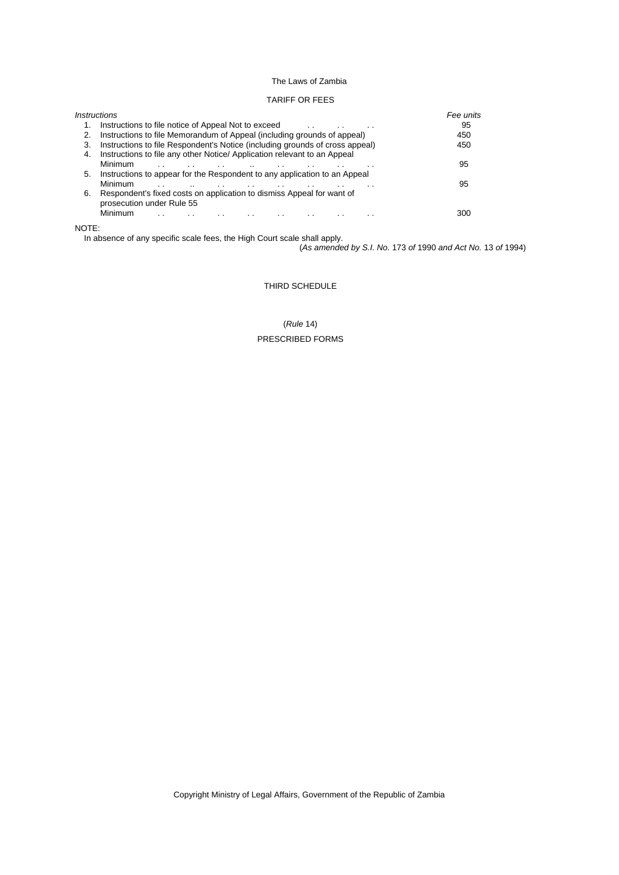## TARIFF OR FEES

|    | <i><b>Instructions</b></i>                                                   | Fee units |
|----|------------------------------------------------------------------------------|-----------|
|    | Instructions to file notice of Appeal Not to exceed<br>. .                   | 95        |
|    | Instructions to file Memorandum of Appeal (including grounds of appeal)      | 450       |
| 3. | Instructions to file Respondent's Notice (including grounds of cross appeal) | 450       |
| 4. | Instructions to file any other Notice/Application relevant to an Appeal      |           |
|    | Minimum                                                                      | 95        |
| 5. | Instructions to appear for the Respondent to any application to an Appeal    |           |
|    | Minimum<br>$\cdot$ .                                                         | 95        |
| 6. | Respondent's fixed costs on application to dismiss Appeal for want of        |           |
|    | prosecution under Rule 55                                                    |           |
|    | Minimum<br>$\sim$ $\sim$                                                     | 300       |
|    |                                                                              |           |

# NOTE:

In absence of any specific scale fees, the High Court scale shall apply.

(*As amended by S.I. No.* 173 *of* 1990 *and Act No.* 13 *of* 1994)

## THIRD SCHEDULE

(*Rule* 14) PRESCRIBED FORMS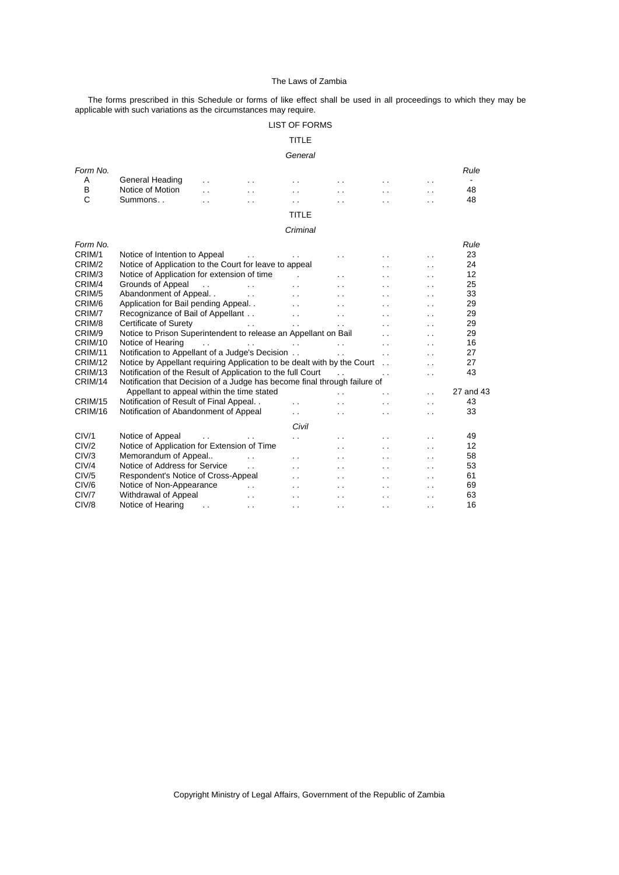The forms prescribed in this Schedule or forms of like effect shall be used in all proceedings to which they may be applicable with such variations as the circumstances may require.

# LIST OF FORMS

# TITLE

### *General*

| Form No.           |                                                                           |                          |                         |                          |                          |                      |                      | Rule           |
|--------------------|---------------------------------------------------------------------------|--------------------------|-------------------------|--------------------------|--------------------------|----------------------|----------------------|----------------|
| A                  | General Heading                                                           |                          |                         | . .                      |                          |                      | . .                  | $\blacksquare$ |
| B                  | Notice of Motion                                                          | $\ddot{\phantom{0}}$     | $\ddot{\phantom{0}}$    | . .                      | . .                      | . .                  | . .                  | 48             |
| C                  | Summons                                                                   | $\ddot{\phantom{0}}$     | $\ddot{\phantom{0}}$    | . .                      |                          | $\ddot{\phantom{0}}$ | $\ddot{\phantom{0}}$ | 48             |
|                    |                                                                           |                          |                         | TITLE                    |                          |                      |                      |                |
|                    |                                                                           |                          |                         | Criminal                 |                          |                      |                      |                |
| Form No.           |                                                                           |                          |                         |                          |                          |                      |                      | Rule           |
| CRIM/1             | Notice of Intention to Appeal                                             |                          |                         |                          |                          |                      | . .                  | 23             |
| CRIM/2             | Notice of Application to the Court for leave to appeal                    |                          |                         |                          |                          | $\ddot{\phantom{0}}$ | $\ddot{\phantom{0}}$ | 24             |
| CRIM/3             | Notice of Application for extension of time                               |                          |                         |                          | $\ddot{\phantom{0}}$     | $\sim$ $\sim$        | . .                  | 12             |
| CRIM/4             | Grounds of Appeal                                                         | $\overline{\phantom{a}}$ | $\ddot{\phantom{0}}$    | $\ddot{\phantom{0}}$     | $\ddot{\phantom{0}}$     | $\ddot{\phantom{a}}$ | $\ddot{\phantom{0}}$ | 25             |
| CRIM/5             | Abandonment of Appeal                                                     |                          | $\sim 100$ km s $^{-1}$ | $\ddot{\phantom{0}}$     | . .                      | $\cdot$ .            | $\cdot$ .            | 33             |
| CRIM/6             | Application for Bail pending Appeal. .                                    |                          |                         | $\ddot{\phantom{0}}$     | . .                      | $\cdot$ .            | . .                  | 29             |
| CRIM/7             | Recognizance of Bail of Appellant                                         |                          |                         | $\ddot{\phantom{a}}$     | $\ddot{\phantom{a}}$     | $\cdot$ .            | $\cdot$ .            | 29             |
| CRIM/8             | Certificate of Surety                                                     |                          | $\ddotsc$               | $\sim$ $\sim$            | $\ddot{\phantom{a}}$     | $\sim$ $\sim$        | $\cdot$ .            | 29             |
| CRIM/9             | Notice to Prison Superintendent to release an Appellant on Bail           |                          |                         |                          |                          | . .                  | . .                  | 29             |
| CRIM/10            | Notice of Hearing                                                         | $\ddot{\phantom{a}}$     | $\ddot{\phantom{0}}$    | <b>Contract Contract</b> | $\ddot{\phantom{a}}$     | $\ddot{\phantom{0}}$ | $\ddot{\phantom{0}}$ | 16             |
| CRIM/11            | Notification to Appellant of a Judge's Decision                           |                          |                         |                          | $\sim$                   | $\ddot{\phantom{a}}$ | $\ddot{\phantom{0}}$ | 27             |
| CRIM/12            | Notice by Appellant requiring Application to be dealt with by the Court   |                          |                         |                          |                          |                      | $\ddot{\phantom{0}}$ | 27             |
| CRIM/13            | Notification of the Result of Application to the full Court               |                          |                         |                          | $\mathbf{L}$             | $\ddot{\phantom{0}}$ | $\ddot{\phantom{0}}$ | 43             |
| CRIM/14            | Notification that Decision of a Judge has become final through failure of |                          |                         |                          |                          |                      |                      |                |
|                    | Appellant to appeal within the time stated                                |                          |                         |                          |                          | $\ddot{\phantom{0}}$ | $\ddot{\phantom{0}}$ | 27 and 43      |
| CRIM/15            | Notification of Result of Final Appeal                                    |                          |                         | $\ddot{\phantom{0}}$     |                          | $\cdot$ .            | . .                  | 43             |
| CRIM/16            | Notification of Abandonment of Appeal                                     |                          |                         | $\cdot$ .                | . .                      | $\ddot{\phantom{0}}$ | . .                  | 33             |
|                    |                                                                           |                          |                         | Civil                    |                          |                      |                      |                |
| C <sub>1</sub> V/1 | Notice of Appeal                                                          |                          |                         | $\ddot{\phantom{0}}$     | $\overline{\phantom{a}}$ | $\sim$ $\sim$        | . .                  | 49             |
| CIV/2              | Notice of Application for Extension of Time                               |                          |                         |                          | $\ddot{\phantom{a}}$     | $\ddot{\phantom{0}}$ | $\ddot{\phantom{0}}$ | 12             |
| ClV/3              | Memorandum of Appeal                                                      |                          | $\ddot{\phantom{a}}$    | $\ddot{\phantom{0}}$     | $\overline{\phantom{a}}$ | $\ddot{\phantom{0}}$ | $\ddot{\phantom{0}}$ | 58             |
| ClV/4              | Notice of Address for Service                                             |                          | $\ddot{\phantom{0}}$    | $\overline{\phantom{a}}$ | . .                      | $\cdot$ .            | $\cdot$ .            | 53             |
| CIV/5              | Respondent's Notice of Cross-Appeal                                       |                          |                         | $\ddot{\phantom{0}}$     |                          | $\ddot{\phantom{0}}$ | . .                  | 61             |
| CIV/6              | Notice of Non-Appearance                                                  |                          |                         | $\sim$                   | . .                      | . .                  | . .                  | 69             |
| CIV/7              | Withdrawal of Appeal                                                      |                          | $\ddot{\phantom{0}}$    | . .                      | . .                      | . .                  | . .                  | 63             |
| CIV/8              | Notice of Hearing                                                         | $\ddot{\phantom{a}}$     | $\ddot{\phantom{0}}$    | . .                      | . .                      | $\ddot{\phantom{0}}$ | . .                  | 16             |
|                    |                                                                           |                          |                         |                          |                          |                      |                      |                |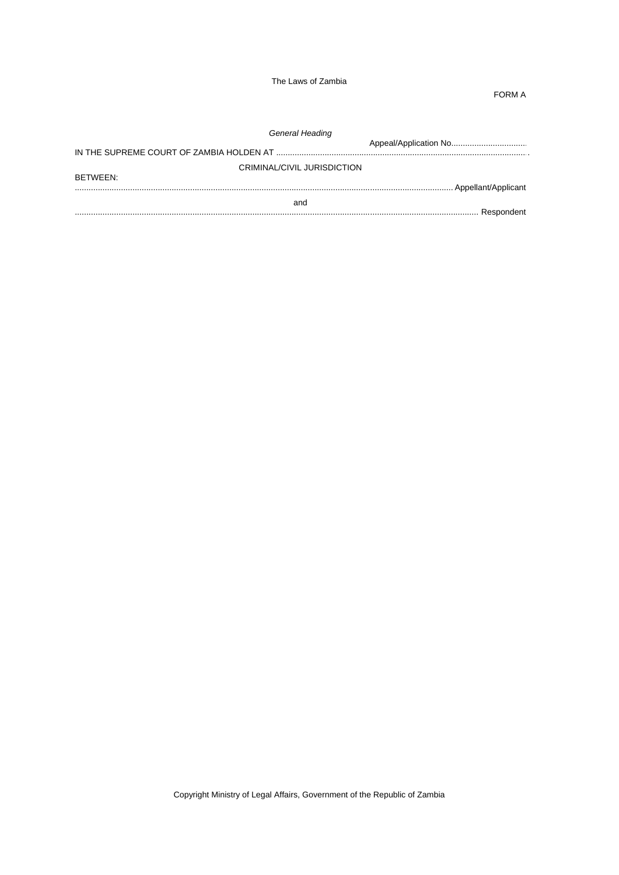FORM A

| General Heading             |  |  |  |  |
|-----------------------------|--|--|--|--|
|                             |  |  |  |  |
| CRIMINAL/CIVIL JURISDICTION |  |  |  |  |
| BETWEEN:                    |  |  |  |  |
| and                         |  |  |  |  |
|                             |  |  |  |  |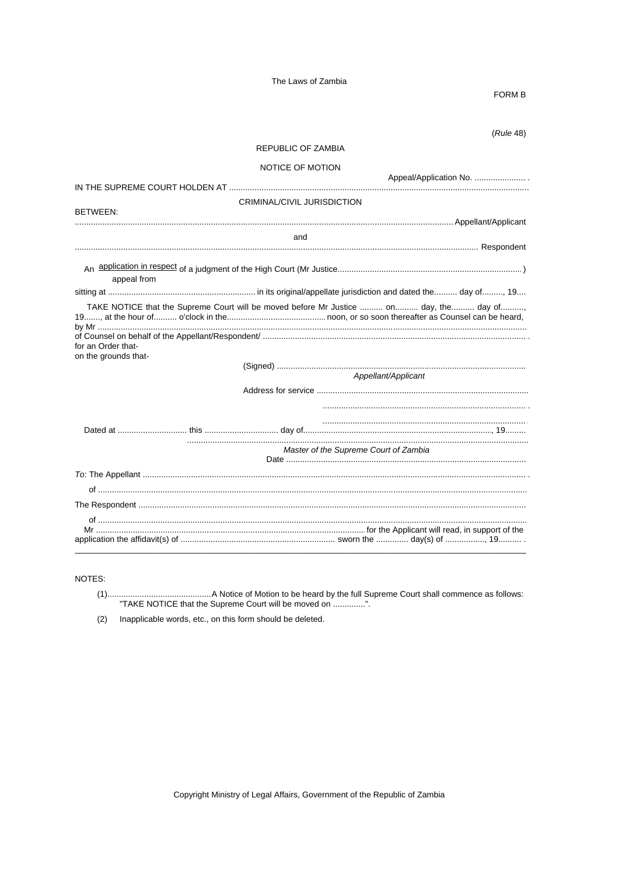## FORM B

 $(Rule 48)$ 

| REPUBLIC OF ZAMBIA                                                                       |                                       |
|------------------------------------------------------------------------------------------|---------------------------------------|
| NOTICE OF MOTION                                                                         |                                       |
|                                                                                          | Appeal/Application No.                |
| <b>CRIMINAL/CIVIL JURISDICTION</b><br><b>BETWEEN:</b>                                    |                                       |
|                                                                                          |                                       |
| and                                                                                      |                                       |
| appeal from                                                                              |                                       |
|                                                                                          |                                       |
| TAKE NOTICE that the Supreme Court will be moved before Mr Justice  on day, the  day of, |                                       |
| for an Order that-<br>on the grounds that-                                               | Appellant/Applicant                   |
|                                                                                          |                                       |
|                                                                                          |                                       |
|                                                                                          | Master of the Supreme Court of Zambia |
|                                                                                          |                                       |
|                                                                                          |                                       |
|                                                                                          |                                       |
|                                                                                          |                                       |

NOTES:

(2) Inapplicable words, etc., on this form should be deleted.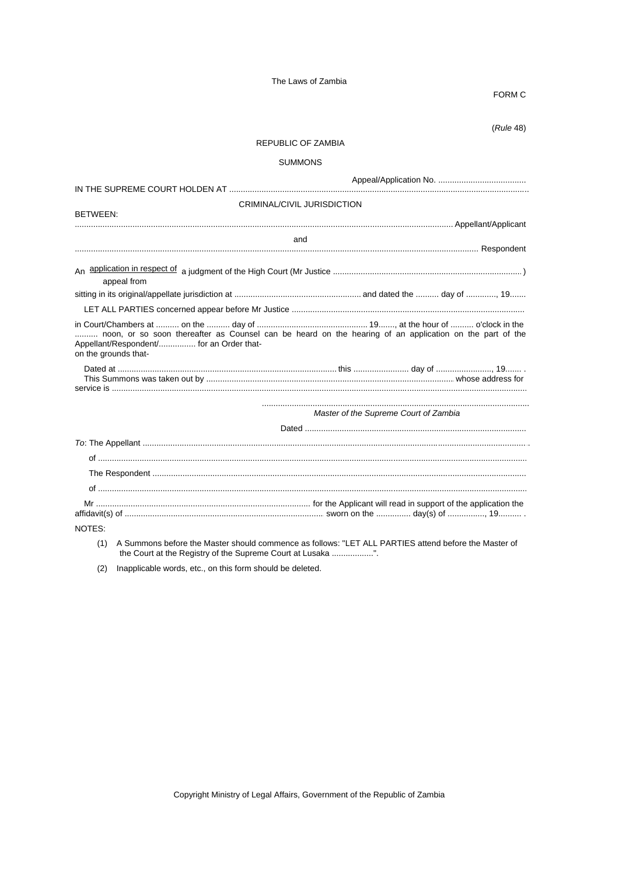FORM C

 $(Rule 48)$ 

# REPUBLIC OF ZAMBIA

## **SUMMONS**

| BETWEEN:                                                           | CRIMINAL/CIVIL JURISDICTION                                                                             |
|--------------------------------------------------------------------|---------------------------------------------------------------------------------------------------------|
|                                                                    |                                                                                                         |
|                                                                    | and                                                                                                     |
|                                                                    |                                                                                                         |
| appeal from                                                        |                                                                                                         |
|                                                                    |                                                                                                         |
|                                                                    |                                                                                                         |
| Appellant/Respondent/ for an Order that-<br>on the grounds that-   | noon, or so soon thereafter as Counsel can be heard on the hearing of an application on the part of the |
|                                                                    |                                                                                                         |
|                                                                    | Master of the Supreme Court of Zambia                                                                   |
|                                                                    |                                                                                                         |
|                                                                    |                                                                                                         |
|                                                                    |                                                                                                         |
|                                                                    |                                                                                                         |
|                                                                    |                                                                                                         |
|                                                                    |                                                                                                         |
| NOTES:                                                             |                                                                                                         |
| (1)<br>the Court at the Registry of the Supreme Court at Lusaka ". | A Summons before the Master should commence as follows: "LET ALL PARTIES attend before the Master of    |

(2) Inapplicable words, etc., on this form should be deleted.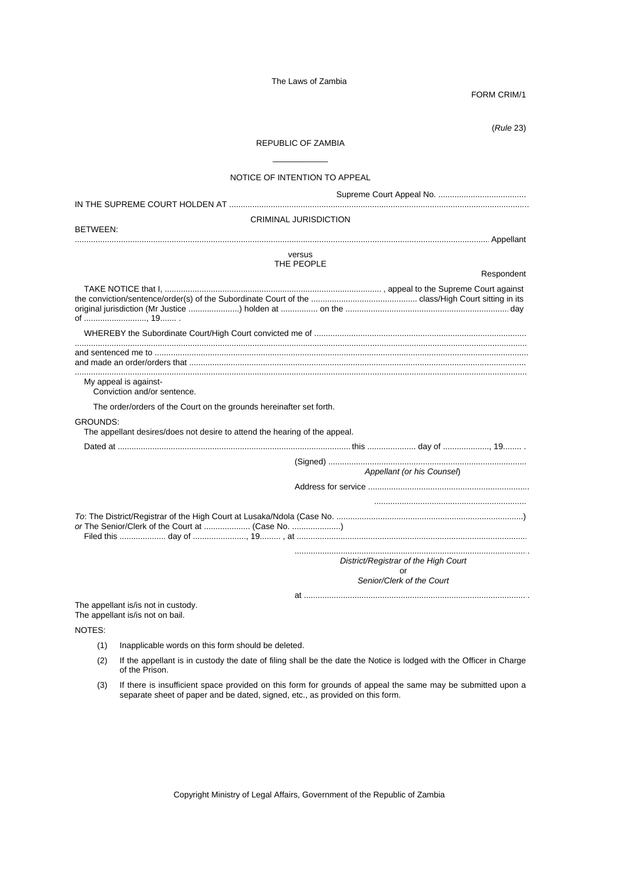FORM CRIM/1

(*Rule* 23)

# REPUBLIC OF ZAMBIA \_\_\_\_\_\_\_\_\_\_\_\_

# NOTICE OF INTENTION TO APPEAL

|                                                                                               | <b>CRIMINAL JURISDICTION</b>         |
|-----------------------------------------------------------------------------------------------|--------------------------------------|
| BETWEEN:                                                                                      |                                      |
|                                                                                               |                                      |
|                                                                                               | versus<br>THE PEOPLE                 |
|                                                                                               | Respondent                           |
|                                                                                               |                                      |
|                                                                                               |                                      |
|                                                                                               |                                      |
| My appeal is against-<br>Conviction and/or sentence.                                          |                                      |
| The order/orders of the Court on the grounds hereinafter set forth.                           |                                      |
| <b>GROUNDS:</b><br>The appellant desires/does not desire to attend the hearing of the appeal. |                                      |
|                                                                                               |                                      |
|                                                                                               | Appellant (or his Counsel)           |
|                                                                                               |                                      |
| or The Senior/Clerk of the Court at  (Case No. )                                              |                                      |
|                                                                                               | District/Registrar of the High Court |
|                                                                                               | or<br>Senior/Clerk of the Court      |
| The appellant is/is not in custody.<br>The appellant is/is not on bail.                       |                                      |

NOTES:

- (1) Inapplicable words on this form should be deleted.
- (2) If the appellant is in custody the date of filing shall be the date the Notice is lodged with the Officer in Charge of the Prison.
- (3) If there is insufficient space provided on this form for grounds of appeal the same may be submitted upon a separate sheet of paper and be dated, signed, etc., as provided on this form.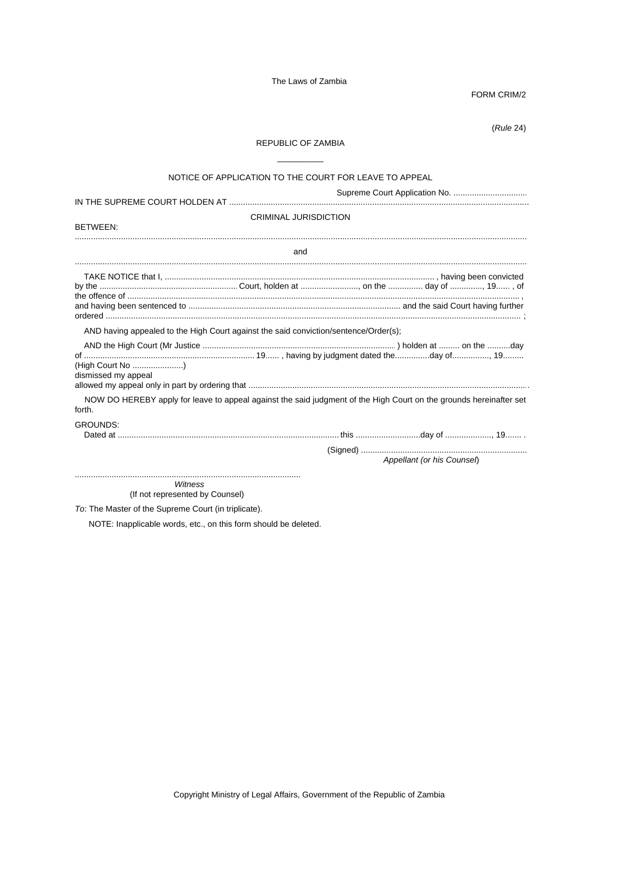FORM CRIM/2

(*Rule* 24)

# REPUBLIC OF ZAMBIA  $\overline{\phantom{a}}$  , where  $\overline{\phantom{a}}$

|                                            | NOTICE OF APPLICATION TO THE COURT FOR LEAVE TO APPEAL                               |                                                                                                                    |
|--------------------------------------------|--------------------------------------------------------------------------------------|--------------------------------------------------------------------------------------------------------------------|
|                                            |                                                                                      |                                                                                                                    |
| BETWEEN:                                   | <b>CRIMINAL JURISDICTION</b>                                                         |                                                                                                                    |
|                                            | and                                                                                  |                                                                                                                    |
|                                            |                                                                                      |                                                                                                                    |
| (High Court No )<br>dismissed my appeal    | AND having appealed to the High Court against the said conviction/sentence/Order(s); |                                                                                                                    |
| forth.                                     |                                                                                      | NOW DO HEREBY apply for leave to appeal against the said judgment of the High Court on the grounds hereinafter set |
| <b>GROUNDS:</b>                            |                                                                                      | Appellant (or his Counsel)                                                                                         |
| Witness<br>(If not represented by Counsel) |                                                                                      |                                                                                                                    |

*To*: The Master of the Supreme Court (in triplicate).

NOTE: Inapplicable words, etc., on this form should be deleted.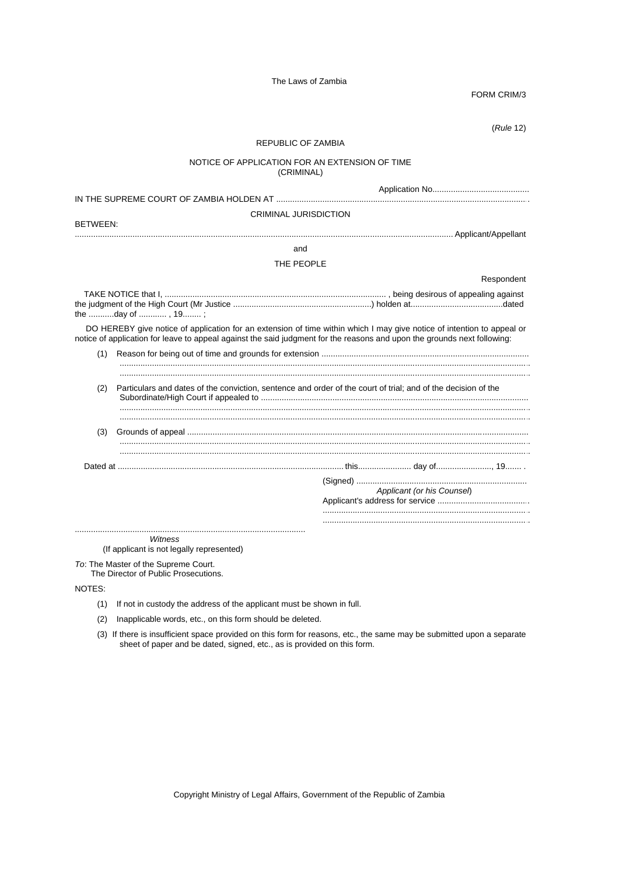FORM CRIM/3

(*Rule* 12)

## REPUBLIC OF ZAMBIA

### NOTICE OF APPLICATION FOR AN EXTENSION OF TIME (CRIMINAL)

|                 | <b>CRIMINAL JURISDICTION</b>                                                                                             |                                                                                                                        |
|-----------------|--------------------------------------------------------------------------------------------------------------------------|------------------------------------------------------------------------------------------------------------------------|
| <b>BETWEEN:</b> |                                                                                                                          |                                                                                                                        |
|                 | and                                                                                                                      |                                                                                                                        |
|                 | THE PEOPLE                                                                                                               |                                                                                                                        |
|                 |                                                                                                                          | Respondent                                                                                                             |
|                 |                                                                                                                          |                                                                                                                        |
|                 | notice of application for leave to appeal against the said judgment for the reasons and upon the grounds next following: | DO HEREBY give notice of application for an extension of time within which I may give notice of intention to appeal or |
| (1)             |                                                                                                                          |                                                                                                                        |
|                 |                                                                                                                          |                                                                                                                        |
| (2)             | Particulars and dates of the conviction, sentence and order of the court of trial; and of the decision of the            |                                                                                                                        |
| (3)             |                                                                                                                          |                                                                                                                        |
|                 |                                                                                                                          |                                                                                                                        |
|                 |                                                                                                                          | Applicant (or his Counsel)                                                                                             |
|                 | Witness<br>(If applicant is not legally represented)                                                                     |                                                                                                                        |

*To*: The Master of the Supreme Court.

The Director of Public Prosecutions.

NOTES:

- (1) If not in custody the address of the applicant must be shown in full.
- (2) Inapplicable words, etc., on this form should be deleted.
- (3) If there is insufficient space provided on this form for reasons, etc., the same may be submitted upon a separate sheet of paper and be dated, signed, etc., as is provided on this form.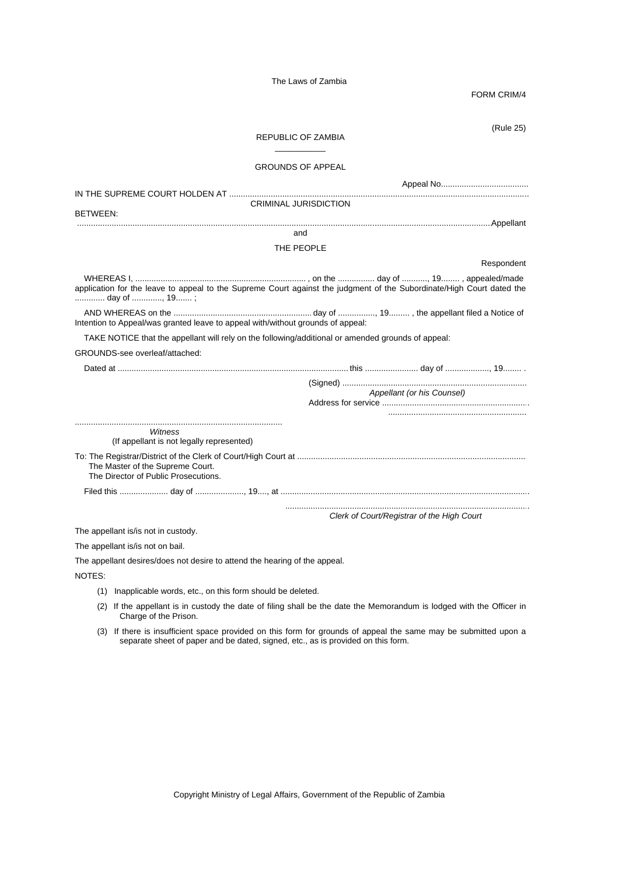FORM CRIM/4

| (Rule 25)<br>REPUBLIC OF ZAMBIA                                                                                                       |
|---------------------------------------------------------------------------------------------------------------------------------------|
| <b>GROUNDS OF APPEAL</b>                                                                                                              |
| <b>CRIMINAL JURISDICTION</b><br><b>BETWEEN:</b>                                                                                       |
| and                                                                                                                                   |
| THE PEOPLE                                                                                                                            |
| Respondent                                                                                                                            |
| application for the leave to appeal to the Supreme Court against the judgment of the Subordinate/High Court dated the<br>day of , 19; |
| Intention to Appeal/was granted leave to appeal with/without grounds of appeal:                                                       |
| TAKE NOTICE that the appellant will rely on the following/additional or amended grounds of appeal:                                    |
| GROUNDS-see overleaf/attached:                                                                                                        |
|                                                                                                                                       |
| Appellant (or his Counsel)                                                                                                            |
| Witness<br>(If appellant is not legally represented)                                                                                  |
| The Master of the Supreme Court.<br>The Director of Public Prosecutions.                                                              |
|                                                                                                                                       |
| Clerk of Court/Registrar of the High Court                                                                                            |
| The appellant is/is not in custody.                                                                                                   |
| The appellant is/is not on bail.                                                                                                      |
| The appellant desires/does not desire to attend the hearing of the appeal.                                                            |
| NOTES:                                                                                                                                |

- (1) Inapplicable words, etc., on this form should be deleted.
- (2) If the appellant is in custody the date of filing shall be the date the Memorandum is lodged with the Officer in Charge of the Prison.
- (3) If there is insufficient space provided on this form for grounds of appeal the same may be submitted upon a separate sheet of paper and be dated, signed, etc., as is provided on this form.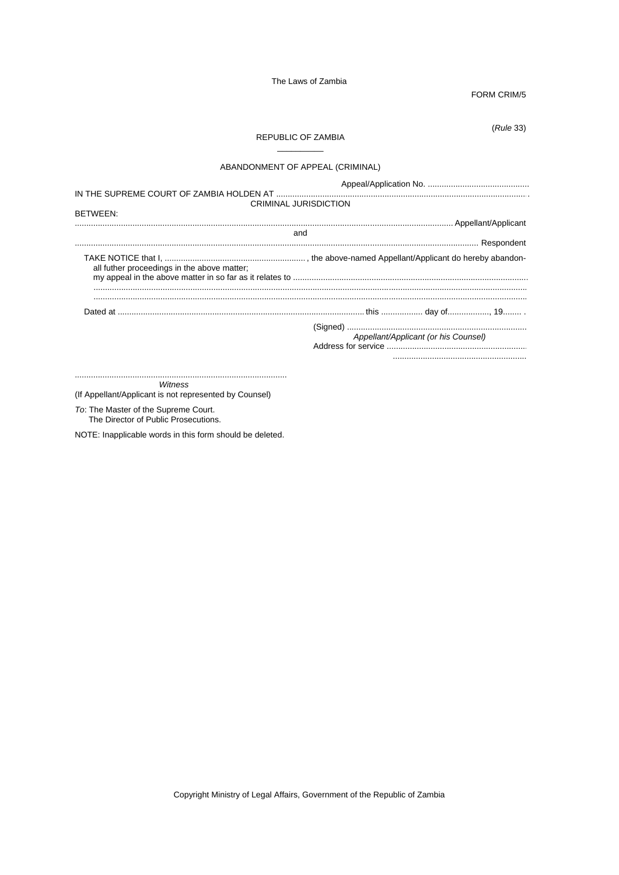FORM CRIM/5

 $(Rule 33)$ 

## REPUBLIC OF ZAMBIA

 $\sim$ 

# ABANDONMENT OF APPEAL (CRIMINAL)

| <b>CRIMINAL JURISDICTION</b>                |                                      |
|---------------------------------------------|--------------------------------------|
| <b>BETWEEN:</b>                             |                                      |
|                                             |                                      |
| and                                         |                                      |
|                                             |                                      |
| all futher proceedings in the above matter; |                                      |
|                                             |                                      |
|                                             | Appellant/Applicant (or his Counsel) |

Witness

(If Appellant/Applicant is not represented by Counsel)

To: The Master of the Supreme Court.<br>The Director of Public Prosecutions.

NOTE: Inapplicable words in this form should be deleted.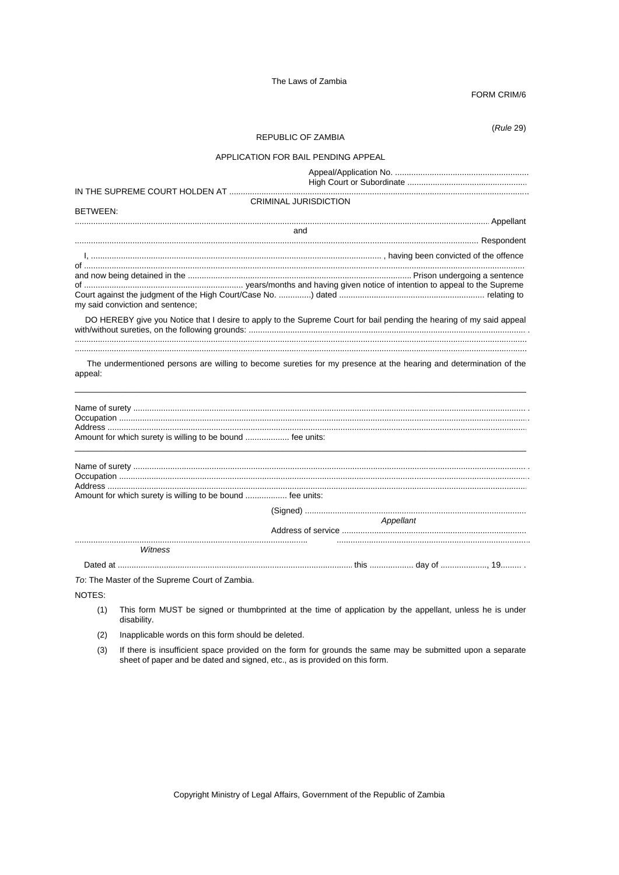FORM CRIM/6

 $(Rule 29)$ 

## REPUBLIC OF ZAMBIA

# APPLICATION FOR BAIL PENDING APPEAL

|                                                                                                                              | <b>CRIMINAL JURISDICTION</b> |           |  |
|------------------------------------------------------------------------------------------------------------------------------|------------------------------|-----------|--|
| <b>BETWEEN:</b>                                                                                                              |                              |           |  |
|                                                                                                                              | and                          |           |  |
|                                                                                                                              |                              |           |  |
|                                                                                                                              |                              |           |  |
|                                                                                                                              |                              |           |  |
| my said conviction and sentence;                                                                                             |                              |           |  |
| DO HEREBY give you Notice that I desire to apply to the Supreme Court for bail pending the hearing of my said appeal         |                              |           |  |
|                                                                                                                              |                              |           |  |
| The undermentioned persons are willing to become sureties for my presence at the hearing and determination of the<br>appeal: |                              |           |  |
|                                                                                                                              |                              |           |  |
|                                                                                                                              |                              |           |  |
| Amount for which surety is willing to be bound  fee units:                                                                   |                              |           |  |
|                                                                                                                              |                              |           |  |
| Amount for which surety is willing to be bound  fee units:                                                                   |                              |           |  |
|                                                                                                                              |                              |           |  |
|                                                                                                                              |                              | Appellant |  |
| Witness                                                                                                                      |                              |           |  |
|                                                                                                                              |                              |           |  |
| To: The Master of the Supreme Court of Zambia.                                                                               |                              |           |  |
|                                                                                                                              |                              |           |  |

NOTES:

- $(1)$ This form MUST be signed or thumbprinted at the time of application by the appellant, unless he is under disability.
- $(2)$ Inapplicable words on this form should be deleted.
- (3) If there is insufficient space provided on the form for grounds the same may be submitted upon a separate sheet of paper and be dated and signed, etc., as is provided on this form.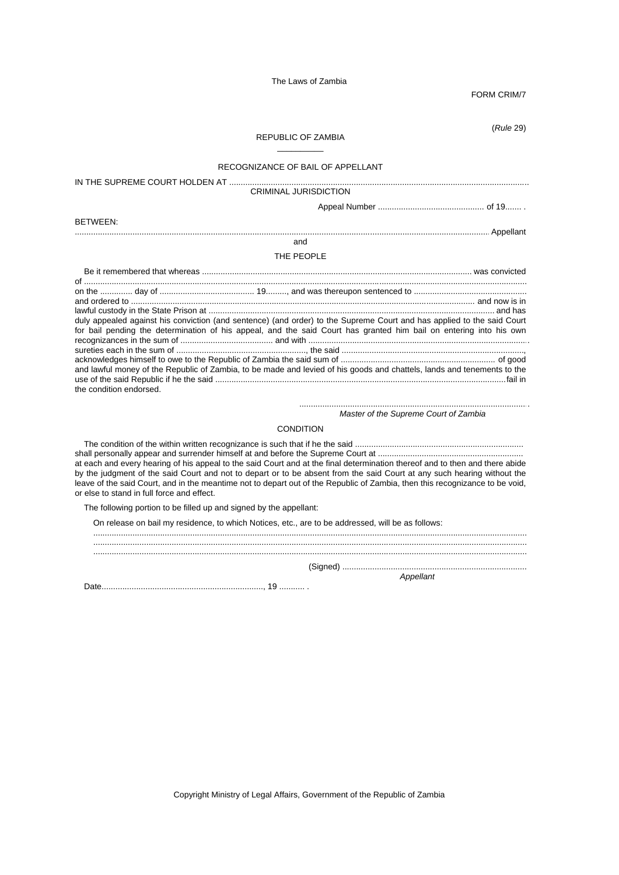FORM CRIM/7

(*Rule* 29)

### REPUBLIC OF ZAMBIA  $\overline{\phantom{a}}$

### RECOGNIZANCE OF BAIL OF APPELLANT

IN THE SUPREME COURT HOLDEN AT .................................................................................................................................. CRIMINAL JURISDICTION Appeal Number ................................................ of 19....... . BETWEEN: .................................................................................................................................................................................... Appellant and THE PEOPLE Be it remembered that whereas ..................................................................................................................... was convicted of ................................................................................................................................................................................................ on the .............. day of ......................................... 19........., and was thereupon sentenced to ................................................. and ordered to ...................................................................................................................................................... and now is in lawful custody in the State Prison at ............................................................................................................................ and has duly appealed against his conviction (and sentence) (and order) to the Supreme Court and has applied to the said Court for bail pending the determination of his appeal, and the said Court has granted him bail on entering into his own recognizances in the sum of ........................................ and with ................................................................................................ sureties each in the sum of ........................................................, the said ................................................................................, acknowledges himself to owe to the Republic of Zambia the said sum of ..................................................................... of good and lawful money of the Republic of Zambia, to be made and levied of his goods and chattels, lands and tenements to the use of the said Republic if he the said ................................................................................................................................fail in the condition endorsed.

> .................................................................................................... *Master of the Supreme Court of Zambia*

### CONDITION

 The condition of the within written recognizance is such that if he the said .......................................................................... shall personally appear and surrender himself at and before the Supreme Court at ................................................................ at each and every hearing of his appeal to the said Court and at the final determination thereof and to then and there abide by the judgment of the said Court and not to depart or to be absent from the said Court at any such hearing without the leave of the said Court, and in the meantime not to depart out of the Republic of Zambia, then this recognizance to be void, or else to stand in full force and effect.

The following portion to be filled up and signed by the appellant:

On release on bail my residence, to which Notices, etc., are to be addressed, will be as follows:

............................................................................................................................................................................................

 ............................................................................................................................................................................................ ............................................................................................................................................................................................

(Signed) ................................................................................

Date......................................................................, 19 ........... .

*Appellant*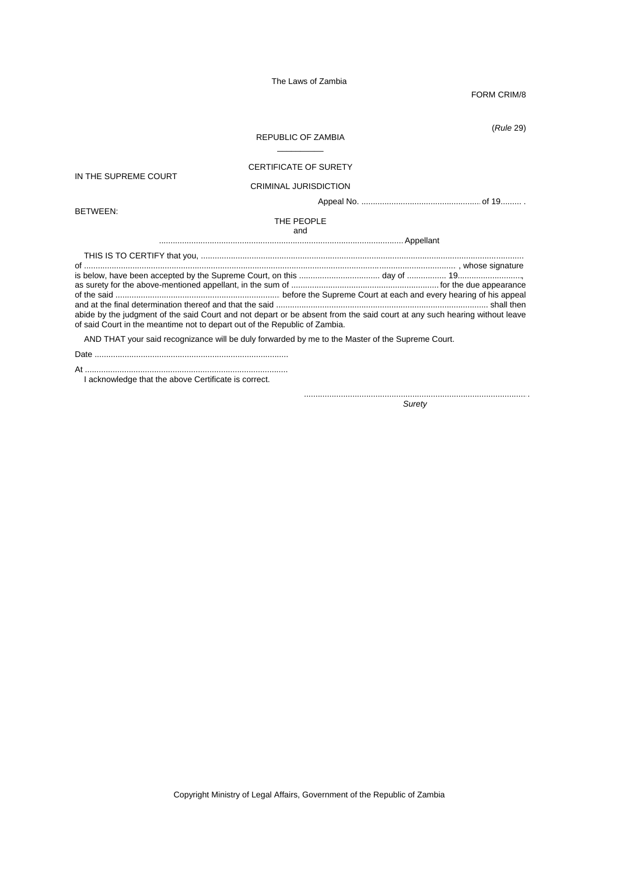FORM CRIM/8

(*Rule* 29)

### REPUBLIC OF ZAMBIA  $\overline{\phantom{a}}$

## CERTIFICATE OF SURETY

IN THE SUPREME COURT

CRIMINAL JURISDICTION

Appeal No. .................................................... of 19......... .

BETWEEN:

THE PEOPLE and

.......................................................................................................... Appellant THIS IS TO CERTIFY that you, ............................................................................................................................................

of .................................................................................................................................................................. , whose signature is below, have been accepted by the Supreme Court, on this ................................... day of ................. 19............................, as surety for the above-mentioned appellant, in the sum of ................................................................ for the due appearance of the said ......................................................................... before the Supreme Court at each and every hearing of his appeal

and at the final determination thereof and that the said ............................................................................................ shall then abide by the judgment of the said Court and not depart or be absent from the said court at any such hearing without leave of said Court in the meantime not to depart out of the Republic of Zambia.

AND THAT your said recognizance will be duly forwarded by me to the Master of the Supreme Court.

Date ....................................................................................

At ........................................................................................

I acknowledge that the above Certificate is correct.

.................................................................................................. *Surety*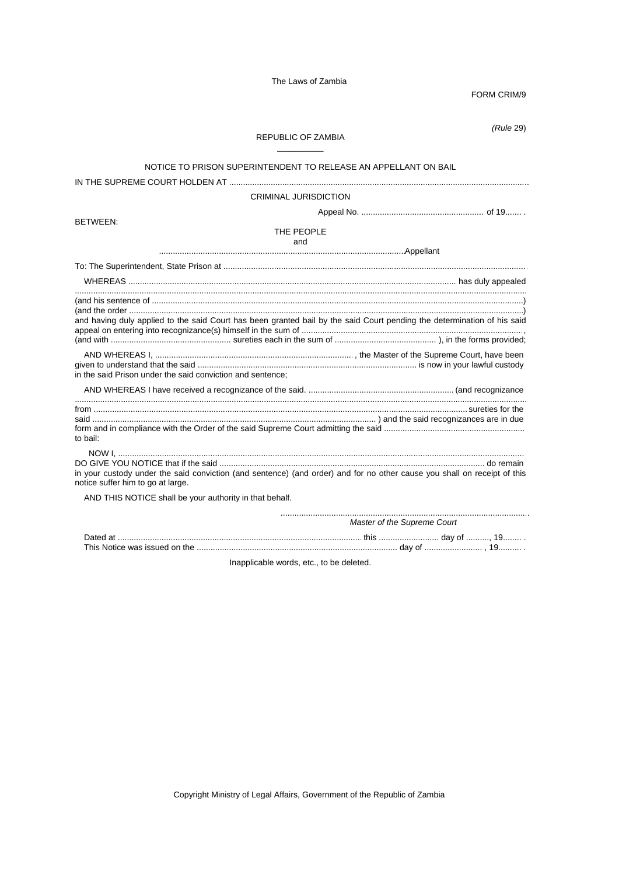FORM CRIM/9

 $(Rule 29)$ 

# REPUBLIC OF ZAMBIA

## NOTICE TO PRISON SUPERINTENDENT TO RELEASE AN APPELLANT ON BAIL

CRIMINAL JURISDICTION

**BETWEEN:** 

THE PEOPLE and

|                                                            | . |                                                                                                                          |
|------------------------------------------------------------|---|--------------------------------------------------------------------------------------------------------------------------|
|                                                            |   |                                                                                                                          |
|                                                            |   |                                                                                                                          |
|                                                            |   |                                                                                                                          |
|                                                            |   | and having duly applied to the said Court has been granted bail by the said Court pending the determination of his said  |
|                                                            |   |                                                                                                                          |
| in the said Prison under the said conviction and sentence; |   |                                                                                                                          |
|                                                            |   |                                                                                                                          |
| to bail:                                                   |   |                                                                                                                          |
| notice suffer him to go at large.                          |   | in your custody under the said conviction (and sentence) (and order) and for no other cause you shall on receipt of this |
| AND THIS NOTICE shall be your authority in that behalf.    |   |                                                                                                                          |

| Master of the Supreme Court |  |  |
|-----------------------------|--|--|
|                             |  |  |
|                             |  |  |

Inapplicable words, etc., to be deleted.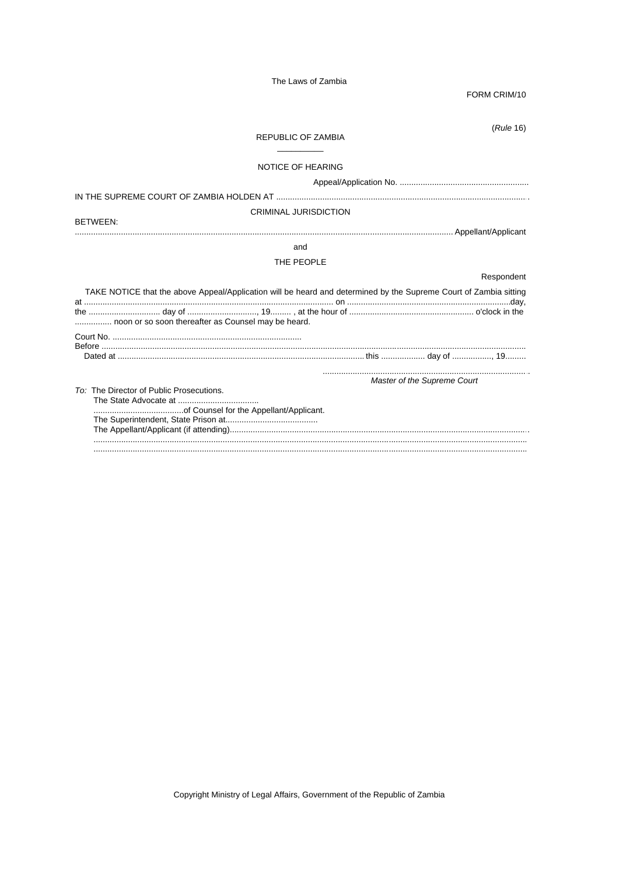FORM CRIM/10

 $(Rule 16)$ 

### REPUBLIC OF ZAMBIA

### NOTICE OF HEARING

# **CRIMINAL JURISDICTION**

**BETWEEN:** 

# and

### THE PEOPLE

|                                                                                                                                                                          |                             | Respondent |
|--------------------------------------------------------------------------------------------------------------------------------------------------------------------------|-----------------------------|------------|
| TAKE NOTICE that the above Appeal/Application will be heard and determined by the Supreme Court of Zambia sitting<br>noon or so soon thereafter as Counsel may be heard. |                             |            |
|                                                                                                                                                                          |                             |            |
|                                                                                                                                                                          |                             |            |
|                                                                                                                                                                          | Master of the Supreme Court |            |
| To: The Director of Public Prosecutions.                                                                                                                                 |                             |            |
|                                                                                                                                                                          |                             |            |
|                                                                                                                                                                          |                             |            |
|                                                                                                                                                                          |                             |            |
|                                                                                                                                                                          |                             |            |
|                                                                                                                                                                          |                             |            |
|                                                                                                                                                                          |                             |            |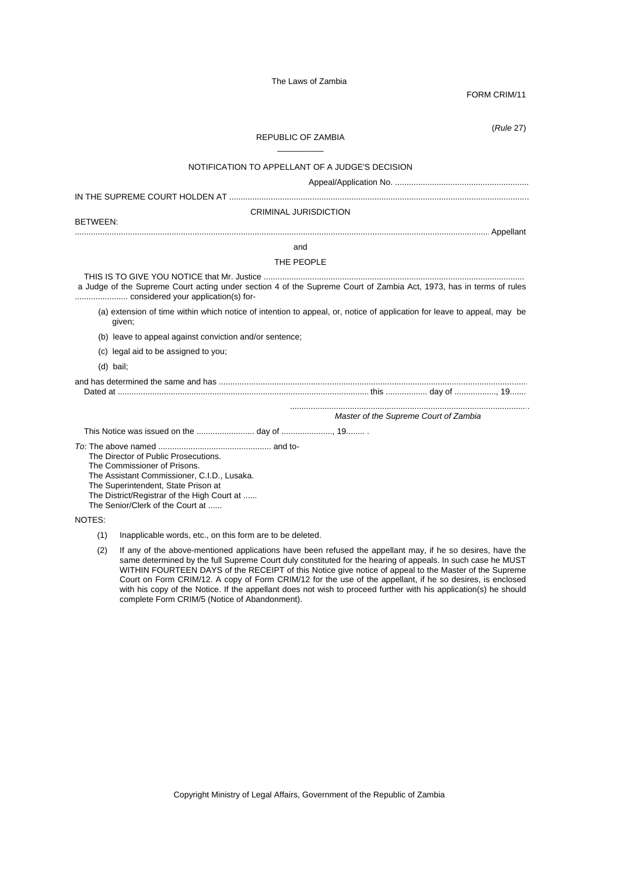FORM CRIM/11

(*Rule* 27)

### REPUBLIC OF ZAMBIA  $\overline{\phantom{a}}$

# NOTIFICATION TO APPELLANT OF A JUDGE'S DECISION Appeal/Application No. ..........................................................

IN THE SUPREME COURT HOLDEN AT ..................................................................................................................................

### CRIMINAL JURISDICTION

BETWEEN:

### .................................................................................................................................................................................... Appellant

# and

### THE PEOPLE

 THIS IS TO GIVE YOU NOTICE that Mr. Justice .................................................................................................................. a Judge of the Supreme Court acting under section 4 of the Supreme Court of Zambia Act, 1973, has in terms of rules ....................... considered your application(s) for-

(a) extension of time within which notice of intention to appeal, or, notice of application for leave to appeal, may be given;

(b) leave to appeal against conviction and/or sentence;

- (c) legal aid to be assigned to you;
- (d) bail;

#### and has determined the same and has ...................................................................................................................................... Dated at .............................................................................................................. this .................. day of .................., 19.......

........................................................................................................ *Master of the Supreme Court of Zambia*

This Notice was issued on the ......................... day of ......................, 19........ .

*To*: The above named .................................................. and to-

The Director of Public Prosecutions.

The Commissioner of Prisons.

The Assistant Commissioner, C.I.D., Lusaka.

The Superintendent, State Prison at

The District/Registrar of the High Court at ......

The Senior/Clerk of the Court at ......

## NOTES:

(1) Inapplicable words, etc., on this form are to be deleted.

(2) If any of the above-mentioned applications have been refused the appellant may, if he so desires, have the same determined by the full Supreme Court duly constituted for the hearing of appeals. In such case he MUST WITHIN FOURTEEN DAYS of the RECEIPT of this Notice give notice of appeal to the Master of the Supreme Court on Form CRIM/12. A copy of Form CRIM/12 for the use of the appellant, if he so desires, is enclosed with his copy of the Notice. If the appellant does not wish to proceed further with his application(s) he should complete Form CRIM/5 (Notice of Abandonment).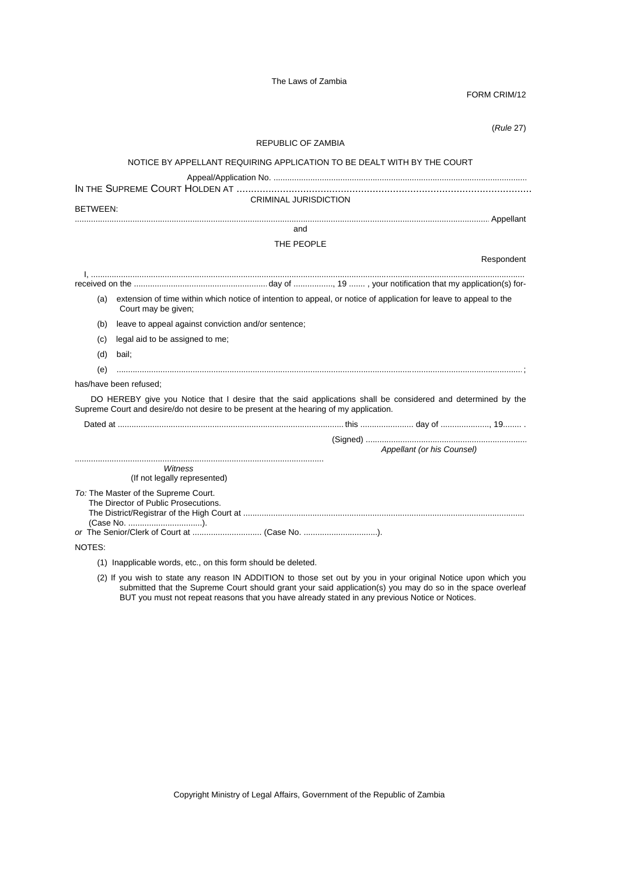FORM CRIM/12

|          | (Rule 27)                                                                                                                                                                                              |
|----------|--------------------------------------------------------------------------------------------------------------------------------------------------------------------------------------------------------|
|          | REPUBLIC OF ZAMBIA                                                                                                                                                                                     |
|          | NOTICE BY APPELLANT REQUIRING APPLICATION TO BE DEALT WITH BY THE COURT                                                                                                                                |
|          | CRIMINAL JURISDICTION                                                                                                                                                                                  |
| BETWEEN: |                                                                                                                                                                                                        |
|          | and                                                                                                                                                                                                    |
|          | THE PEOPLE                                                                                                                                                                                             |
|          | Respondent                                                                                                                                                                                             |
|          |                                                                                                                                                                                                        |
|          | (a) extension of time within which notice of intention to appeal, or notice of application for leave to appeal to the                                                                                  |
|          | Court may be given;                                                                                                                                                                                    |
| (b)      | leave to appeal against conviction and/or sentence;                                                                                                                                                    |
| (C)      | legal aid to be assigned to me;                                                                                                                                                                        |
| (d)      | bail:                                                                                                                                                                                                  |
| (e)      |                                                                                                                                                                                                        |
|          | has/have been refused:                                                                                                                                                                                 |
|          | DO HEREBY give you Notice that I desire that the said applications shall be considered and determined by the<br>Supreme Court and desire/do not desire to be present at the hearing of my application. |
|          |                                                                                                                                                                                                        |
|          |                                                                                                                                                                                                        |
|          | Appellant (or his Counsel)                                                                                                                                                                             |
|          | Witness<br>(If not legally represented)                                                                                                                                                                |
|          | To: The Master of the Supreme Court.<br>The Director of Public Prosecutions.<br>(Case No. ).                                                                                                           |
| NOTES:   |                                                                                                                                                                                                        |
|          | (1) Inapplicable words, etc., on this form should be deleted.                                                                                                                                          |

(2) If you wish to state any reason IN ADDITION to those set out by you in your original Notice upon which you submitted that the Supreme Court should grant your said application(s) you may do so in the space overleaf BUT you must not repeat reasons that you have already stated in any previous Notice or Notices.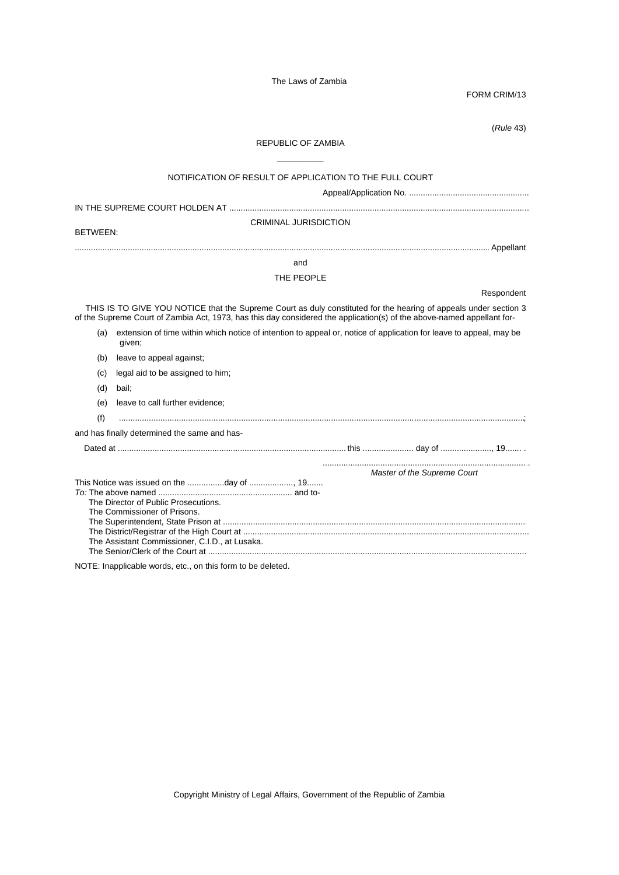FORM CRIM/13

(*Rule* 43)

# REPUBLIC OF ZAMBIA \_\_\_\_\_\_\_\_\_\_

|                 | NOTIFICATION OF RESULT OF APPLICATION TO THE FULL COURT                                                                                                                                                                                    |
|-----------------|--------------------------------------------------------------------------------------------------------------------------------------------------------------------------------------------------------------------------------------------|
|                 |                                                                                                                                                                                                                                            |
| <b>BETWEEN:</b> | <b>CRIMINAL JURISDICTION</b>                                                                                                                                                                                                               |
|                 |                                                                                                                                                                                                                                            |
|                 | and                                                                                                                                                                                                                                        |
|                 | THE PEOPLE                                                                                                                                                                                                                                 |
|                 | Respondent                                                                                                                                                                                                                                 |
|                 | THIS IS TO GIVE YOU NOTICE that the Supreme Court as duly constituted for the hearing of appeals under section 3<br>of the Supreme Court of Zambia Act, 1973, has this day considered the application(s) of the above-named appellant for- |
|                 | (a) extension of time within which notice of intention to appeal or, notice of application for leave to appeal, may be<br>given;                                                                                                           |
| (b)             | leave to appeal against;                                                                                                                                                                                                                   |
| (c)             | legal aid to be assigned to him;                                                                                                                                                                                                           |
| (d)             | bail;                                                                                                                                                                                                                                      |
| (e)             | leave to call further evidence;                                                                                                                                                                                                            |
| (f)             |                                                                                                                                                                                                                                            |
|                 | and has finally determined the same and has-                                                                                                                                                                                               |
|                 |                                                                                                                                                                                                                                            |
|                 | Master of the Supreme Court                                                                                                                                                                                                                |
|                 | The Director of Public Prosecutions.<br>The Commissioner of Prisons.<br>The Assistant Commissioner, C.I.D., at Lusaka.                                                                                                                     |

NOTE: Inapplicable words, etc., on this form to be deleted.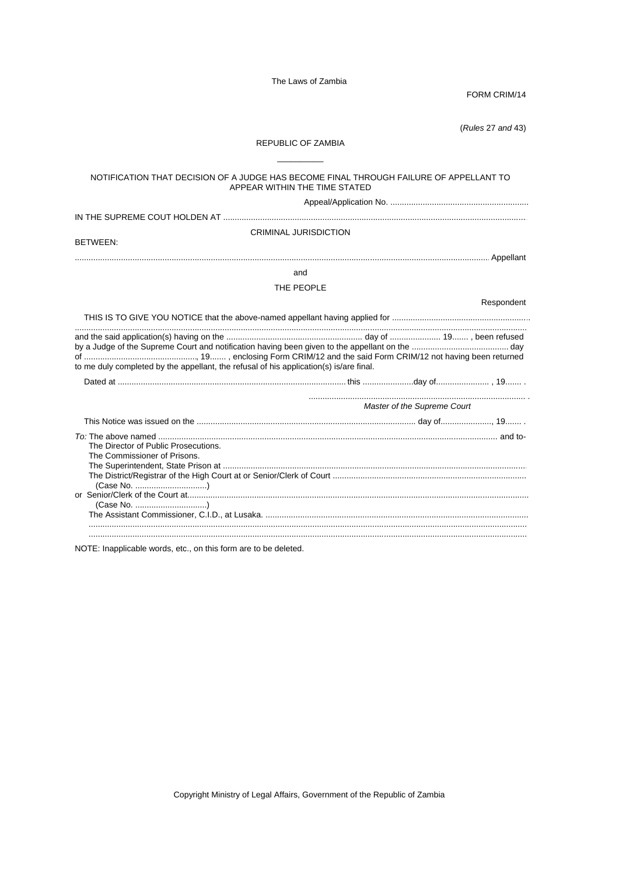FORM CRIM/14

(Rules 27 and 43)

### **REPUBLIC OF ZAMBIA**

# NOTIFICATION THAT DECISION OF A JUDGE HAS BECOME FINAL THROUGH FAILURE OF APPELLANT TO APPEAR WITHIN THE TIME STATED **CRIMINAL JURISDICTION BETWEEN:** and THE PEOPLE Respondent to me duly completed by the appellant, the refusal of his application(s) is/are final. Master of the Supreme Court The Director of Public Prosecutions. The Commissioner of Prisons. The Superintendent, State Prison at ............. (Case No. ...............................) (Case No. ...............................)

NOTE: Inapplicable words, etc., on this form are to be deleted.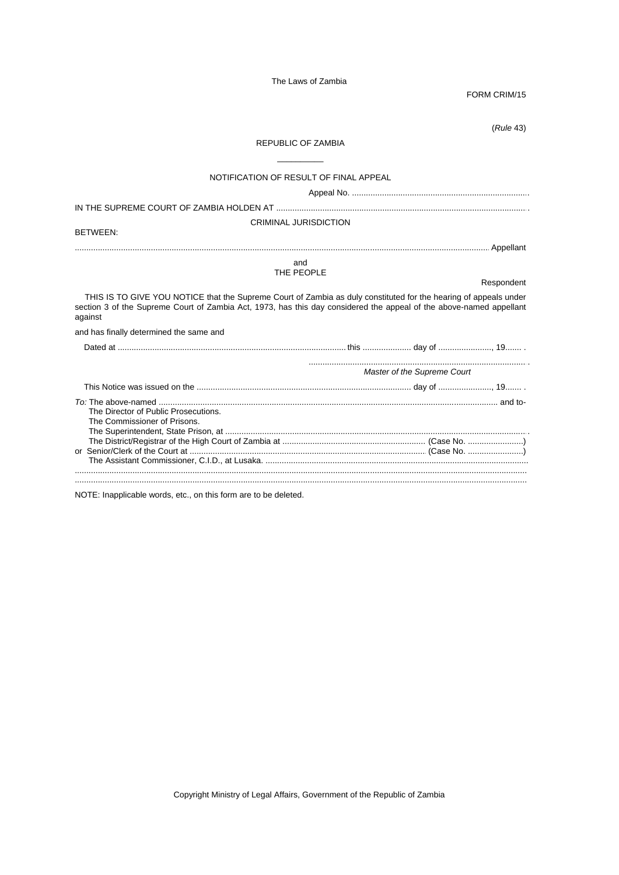FORM CRIM/15

(*Rule* 43)

# REPUBLIC OF ZAMBIA \_\_\_\_\_\_\_\_\_\_

| NOTIFICATION OF RESULT OF FINAL APPEAL                                                                                                                                                                                                             |                             |            |
|----------------------------------------------------------------------------------------------------------------------------------------------------------------------------------------------------------------------------------------------------|-----------------------------|------------|
|                                                                                                                                                                                                                                                    |                             |            |
|                                                                                                                                                                                                                                                    |                             |            |
| <b>CRIMINAL JURISDICTION</b><br><b>BETWEEN:</b>                                                                                                                                                                                                    |                             |            |
|                                                                                                                                                                                                                                                    |                             |            |
| and                                                                                                                                                                                                                                                |                             |            |
| THE PEOPLE                                                                                                                                                                                                                                         |                             | Respondent |
|                                                                                                                                                                                                                                                    |                             |            |
| THIS IS TO GIVE YOU NOTICE that the Supreme Court of Zambia as duly constituted for the hearing of appeals under<br>section 3 of the Supreme Court of Zambia Act, 1973, has this day considered the appeal of the above-named appellant<br>against |                             |            |
| and has finally determined the same and                                                                                                                                                                                                            |                             |            |
|                                                                                                                                                                                                                                                    |                             |            |
|                                                                                                                                                                                                                                                    | Master of the Supreme Court |            |
|                                                                                                                                                                                                                                                    |                             |            |
| The Director of Public Prosecutions.<br>The Commissioner of Prisons.                                                                                                                                                                               |                             |            |
|                                                                                                                                                                                                                                                    |                             |            |
|                                                                                                                                                                                                                                                    |                             |            |

NOTE: Inapplicable words, etc., on this form are to be deleted.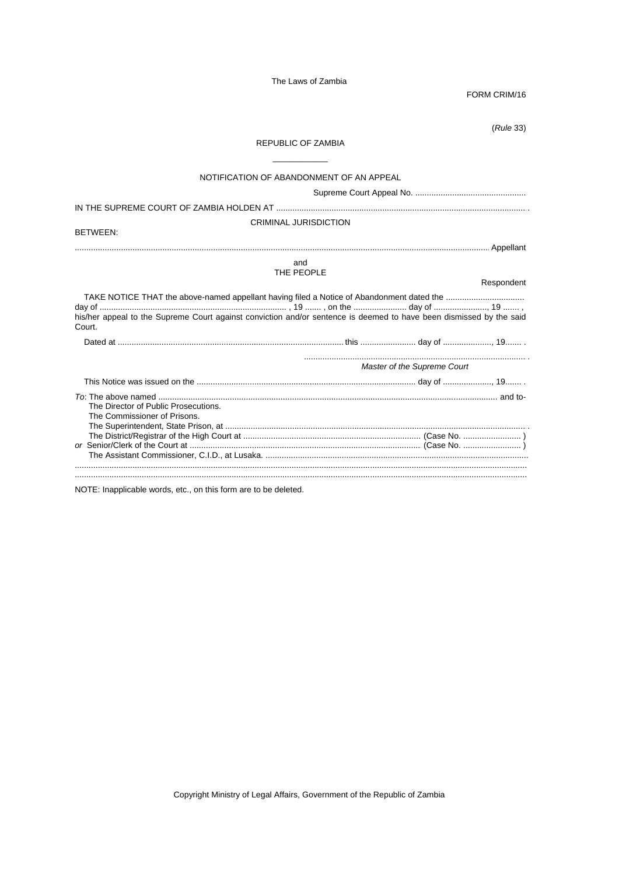FORM CRIM/16

 $(Rule 33)$ 

# REPUBLIC OF ZAMBIA

| NOTIFICATION OF ABANDONMENT OF AN APPEAL                                                                                      |                             |
|-------------------------------------------------------------------------------------------------------------------------------|-----------------------------|
|                                                                                                                               |                             |
| <b>CRIMINAL JURISDICTION</b>                                                                                                  |                             |
| <b>BETWEEN:</b>                                                                                                               |                             |
|                                                                                                                               |                             |
| and<br>THE PEOPLE                                                                                                             | Respondent                  |
| his/her appeal to the Supreme Court against conviction and/or sentence is deemed to have been dismissed by the said<br>Court. |                             |
|                                                                                                                               |                             |
|                                                                                                                               | Master of the Supreme Court |
|                                                                                                                               |                             |
| The Director of Public Prosecutions.<br>The Commissioner of Prisons.                                                          |                             |
|                                                                                                                               |                             |
| the company of the company of the company                                                                                     |                             |

NOTE: Inapplicable words, etc., on this form are to be deleted.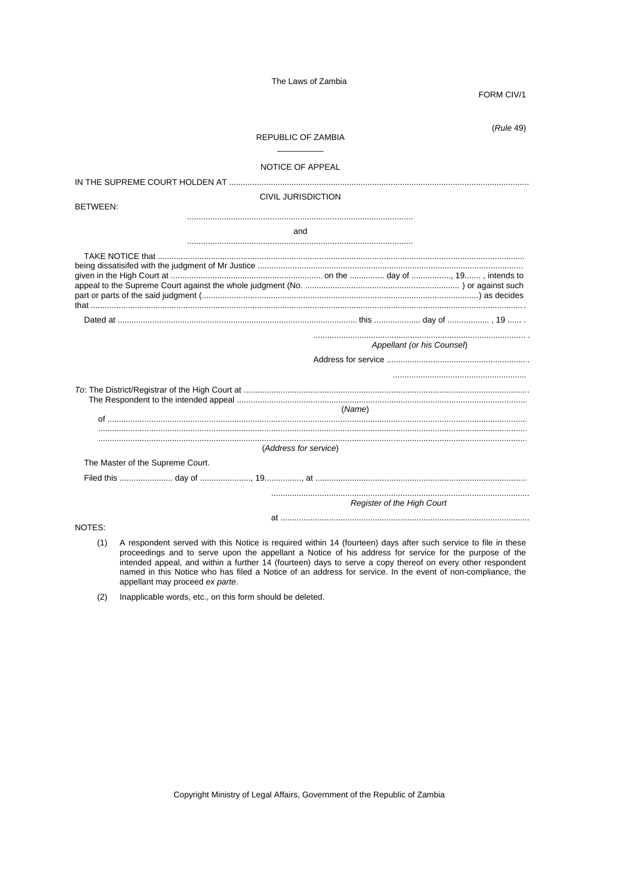FORM CIV/1

 $(Rule 49)$ 

### **REPUBLIC OF ZAMBIA**

#### NOTICE OF APPEAL

CIVIL JURISDICTION

**BETWEEN:** 

and

|        |                                  |                       | Appellant (or his Counsel) |  |  |  |  |
|--------|----------------------------------|-----------------------|----------------------------|--|--|--|--|
|        |                                  |                       |                            |  |  |  |  |
|        |                                  |                       |                            |  |  |  |  |
|        |                                  |                       |                            |  |  |  |  |
|        |                                  |                       |                            |  |  |  |  |
|        |                                  |                       | (Name)                     |  |  |  |  |
|        |                                  |                       |                            |  |  |  |  |
|        |                                  |                       |                            |  |  |  |  |
|        |                                  |                       |                            |  |  |  |  |
|        |                                  | (Address for service) |                            |  |  |  |  |
|        | The Master of the Supreme Court. |                       |                            |  |  |  |  |
|        |                                  |                       |                            |  |  |  |  |
|        |                                  |                       |                            |  |  |  |  |
|        | Register of the High Court       |                       |                            |  |  |  |  |
|        |                                  |                       |                            |  |  |  |  |
| NOTES: |                                  |                       |                            |  |  |  |  |
|        |                                  |                       |                            |  |  |  |  |

(1) A respondent served with this Notice is required within 14 (fourteen) days after such service to file in these proceedings and to serve upon the appellant a Notice of his address for service for the purpose of the intended appeal, and within a further 14 (fourteen) days to serve a copy thereof on every other respondent named in this Notice who has filed a Notice of an address for service. In the event of non-compliance, the appellant may proceed ex parte.

Inapplicable words, etc., on this form should be deleted.  $(2)$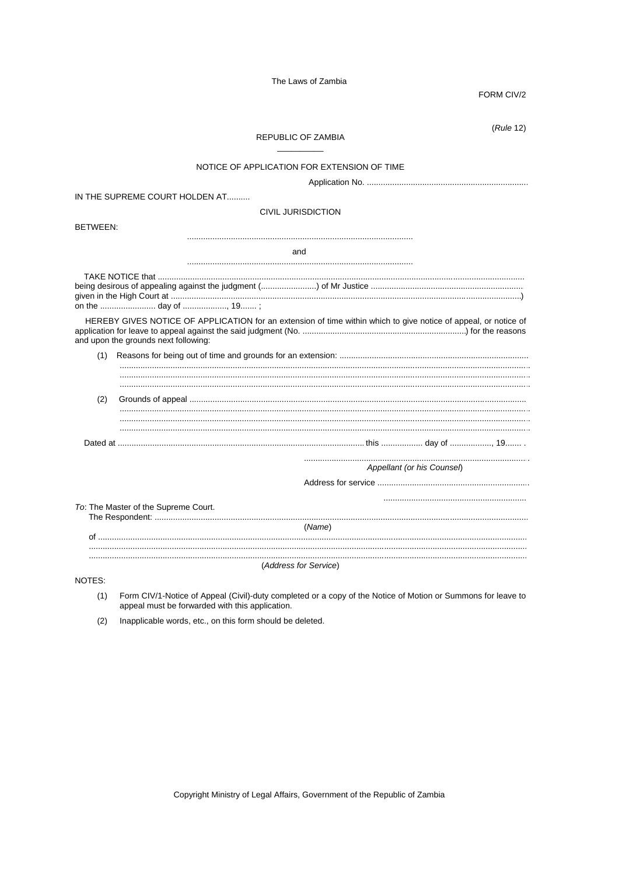FORM CIV/2

 $(Rule 12)$ **REPUBLIC OF ZAMBIA** NOTICE OF APPLICATION FOR EXTENSION OF TIME IN THE SUPREME COURT HOLDEN AT .......... **CIVIL JURISDICTION** BFTWFFN: and HEREBY GIVES NOTICE OF APPLICATION for an extension of time within which to give notice of appeal, or notice of and upon the grounds next following:  $(2)$ Appellant (or his Counsel) To: The Master of the Supreme Court. (Name) (Address for Service) NOTES:  $(1)$ Form CIV/1-Notice of Appeal (Civil)-duty completed or a copy of the Notice of Motion or Summons for leave to

- appeal must be forwarded with this application.
- Inapplicable words, etc., on this form should be deleted.  $(2)$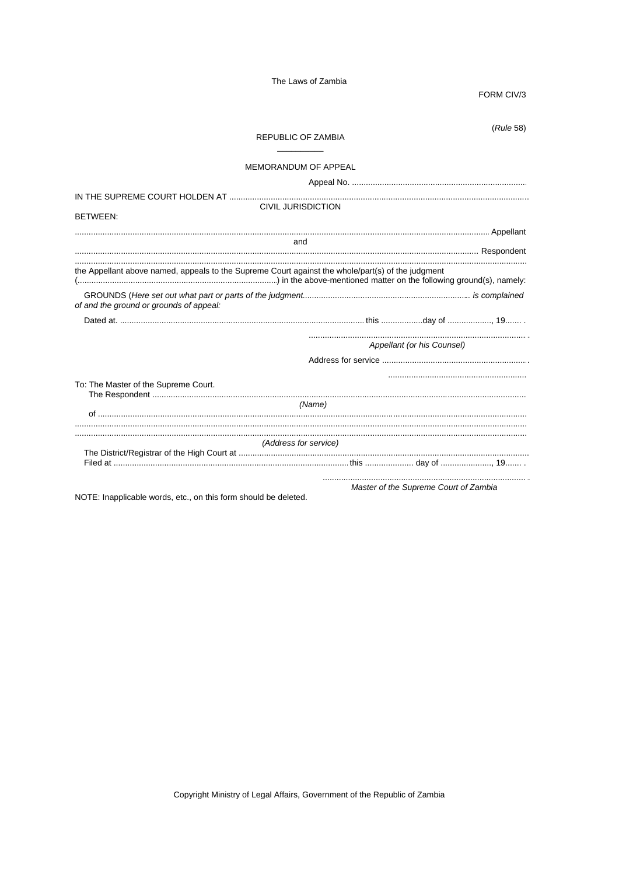FORM CIV/3

|                                                                                                   | REPUBLIC OF ZAMBIA          |                                       | (Rule 58) |
|---------------------------------------------------------------------------------------------------|-----------------------------|---------------------------------------|-----------|
|                                                                                                   | <b>MEMORANDUM OF APPEAL</b> |                                       |           |
|                                                                                                   |                             |                                       |           |
|                                                                                                   | <b>CIVIL JURISDICTION</b>   |                                       |           |
| BETWEEN:                                                                                          |                             |                                       |           |
|                                                                                                   |                             |                                       |           |
|                                                                                                   | and                         |                                       |           |
| the Appellant above named, appeals to the Supreme Court against the whole/part(s) of the judgment |                             |                                       |           |
| of and the ground or grounds of appeal.                                                           |                             |                                       |           |
|                                                                                                   |                             |                                       |           |
|                                                                                                   |                             | Appellant (or his Counsel)            |           |
|                                                                                                   |                             |                                       |           |
| To: The Master of the Supreme Court.                                                              |                             |                                       |           |
|                                                                                                   | (Name)                      |                                       |           |
|                                                                                                   |                             |                                       |           |
|                                                                                                   | (Address for service)       |                                       |           |
|                                                                                                   |                             |                                       |           |
|                                                                                                   |                             | Master of the Supreme Court of Zambia |           |

NOTE: Inapplicable words, etc., on this form should be deleted.

Master of the Supreme Court of Zambia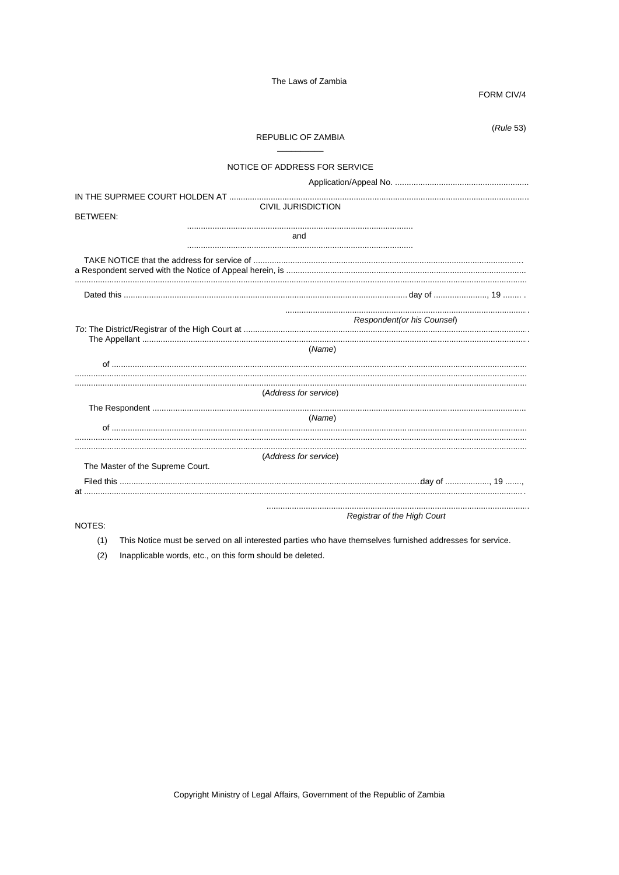FORM CIV/4

|                                  | <b>REPUBLIC OF ZAMBIA</b>     |                                    | (Rule 53) |
|----------------------------------|-------------------------------|------------------------------------|-----------|
|                                  | NOTICE OF ADDRESS FOR SERVICE |                                    |           |
|                                  |                               |                                    |           |
| BETWEEN:                         | <b>CIVIL JURISDICTION</b>     |                                    |           |
|                                  | and                           |                                    |           |
|                                  |                               |                                    |           |
|                                  |                               |                                    |           |
|                                  |                               | Respondent (or his Counsel)        |           |
|                                  | (Name)                        |                                    |           |
|                                  | (Address for service)         |                                    |           |
|                                  | (Name)                        |                                    |           |
| The Master of the Supreme Court. | (Address for service)         |                                    |           |
|                                  |                               |                                    |           |
| NOTES:                           |                               | <b>Registrar of the High Court</b> |           |

(1) This Notice must be served on all interested parties who have themselves furnished addresses for service.

(2) Inapplicable words, etc., on this form should be deleted.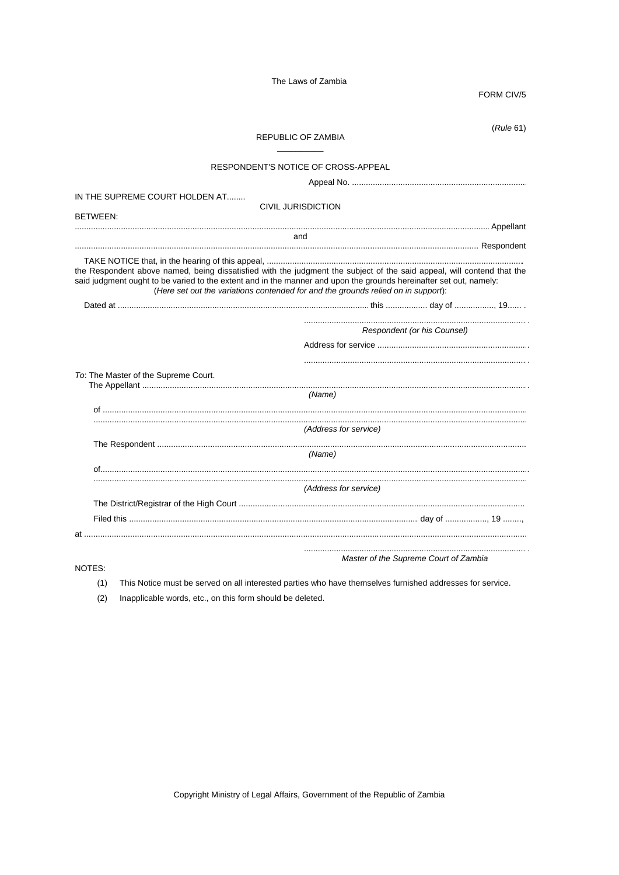FORM CIV/5

|                                                                                                                                                                                                                                              | REPUBLIC OF ZAMBIA                                                                |                             | (Rule 61) |
|----------------------------------------------------------------------------------------------------------------------------------------------------------------------------------------------------------------------------------------------|-----------------------------------------------------------------------------------|-----------------------------|-----------|
|                                                                                                                                                                                                                                              | RESPONDENT'S NOTICE OF CROSS-APPEAL                                               |                             |           |
|                                                                                                                                                                                                                                              |                                                                                   |                             |           |
| IN THE SUPREME COURT HOLDEN AT                                                                                                                                                                                                               |                                                                                   |                             |           |
|                                                                                                                                                                                                                                              | <b>CIVIL JURISDICTION</b>                                                         |                             |           |
| BETWEEN:                                                                                                                                                                                                                                     |                                                                                   |                             |           |
|                                                                                                                                                                                                                                              | and                                                                               |                             |           |
|                                                                                                                                                                                                                                              |                                                                                   |                             |           |
| the Respondent above named, being dissatisfied with the judgment the subject of the said appeal, will contend that the<br>said judgment ought to be varied to the extent and in the manner and upon the grounds hereinafter set out, namely: | (Here set out the variations contended for and the grounds relied on in support): |                             |           |
|                                                                                                                                                                                                                                              |                                                                                   |                             |           |
|                                                                                                                                                                                                                                              |                                                                                   | Respondent (or his Counsel) |           |
| To: The Master of the Supreme Court.                                                                                                                                                                                                         |                                                                                   |                             |           |
|                                                                                                                                                                                                                                              | (Name)                                                                            |                             |           |
|                                                                                                                                                                                                                                              |                                                                                   |                             |           |
|                                                                                                                                                                                                                                              | (Address for service)                                                             |                             |           |
|                                                                                                                                                                                                                                              |                                                                                   |                             |           |
|                                                                                                                                                                                                                                              | (Name)                                                                            |                             |           |
|                                                                                                                                                                                                                                              |                                                                                   |                             |           |
|                                                                                                                                                                                                                                              | (Address for service)                                                             |                             |           |
|                                                                                                                                                                                                                                              |                                                                                   |                             |           |
|                                                                                                                                                                                                                                              |                                                                                   |                             |           |
|                                                                                                                                                                                                                                              |                                                                                   |                             |           |
|                                                                                                                                                                                                                                              |                                                                                   |                             |           |

NOTES:

This Notice must be served on all interested parties who have themselves furnished addresses for service.  $(1)$ 

 $(2)$ Inapplicable words, etc., on this form should be deleted.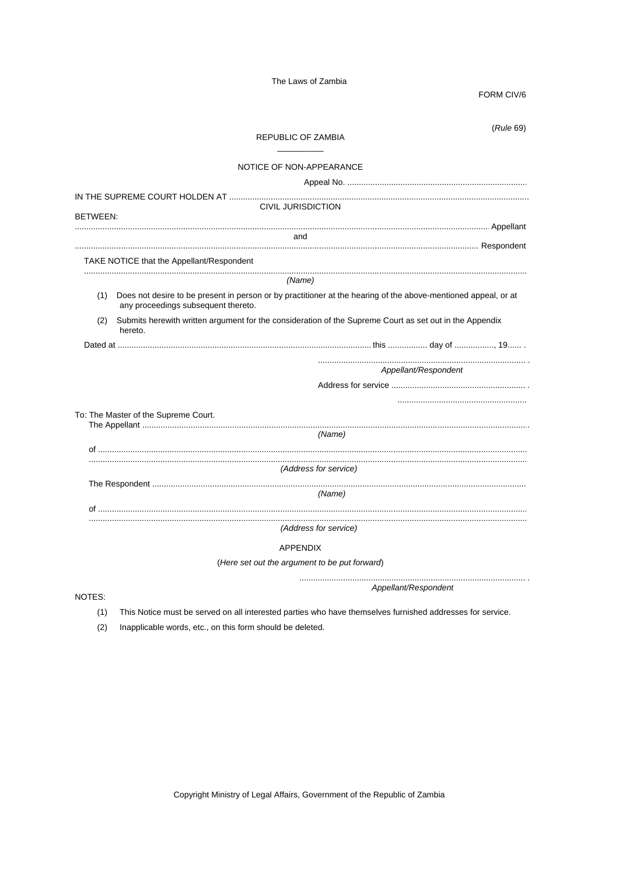FORM CIV/6

|                 | (Rule 69)<br><b>REPUBLIC OF ZAMBIA</b>                                                                                                                |
|-----------------|-------------------------------------------------------------------------------------------------------------------------------------------------------|
|                 | NOTICE OF NON-APPEARANCE                                                                                                                              |
|                 |                                                                                                                                                       |
|                 |                                                                                                                                                       |
| <b>BETWEEN:</b> | <b>CIVIL JURISDICTION</b>                                                                                                                             |
|                 |                                                                                                                                                       |
|                 | and                                                                                                                                                   |
|                 | TAKE NOTICE that the Appellant/Respondent                                                                                                             |
|                 | (Name)                                                                                                                                                |
| (1)             | Does not desire to be present in person or by practitioner at the hearing of the above-mentioned appeal, or at<br>any proceedings subsequent thereto. |
| (2)             | Submits herewith written argument for the consideration of the Supreme Court as set out in the Appendix<br>hereto.                                    |
|                 |                                                                                                                                                       |
|                 | Appellant/Respondent                                                                                                                                  |
|                 |                                                                                                                                                       |
|                 |                                                                                                                                                       |
|                 | To: The Master of the Supreme Court.                                                                                                                  |
|                 | (Name)                                                                                                                                                |
|                 |                                                                                                                                                       |
|                 | (Address for service)                                                                                                                                 |
|                 |                                                                                                                                                       |
|                 | (Name)                                                                                                                                                |
|                 |                                                                                                                                                       |
|                 | (Address for service)                                                                                                                                 |
|                 | <b>APPENDIX</b>                                                                                                                                       |
|                 | (Here set out the argument to be put forward)                                                                                                         |
|                 |                                                                                                                                                       |
| NOTES:          | Appellant/Respondent                                                                                                                                  |

(1) This Notice must be served on all interested parties who have themselves furnished addresses for service.

(2) Inapplicable words, etc., on this form should be deleted.

Copyright Ministry of Legal Affairs, Government of the Republic of Zambia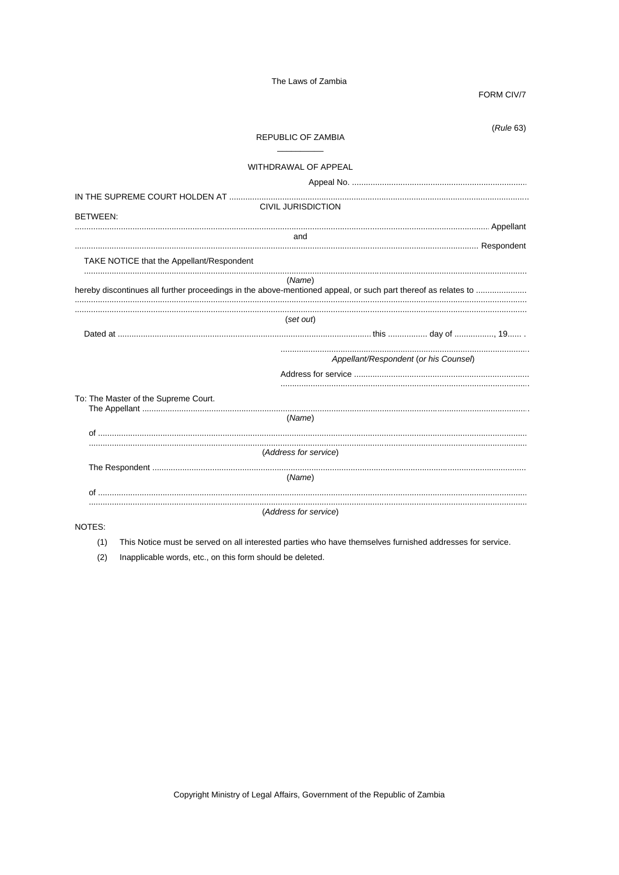FORM CIV/7

|                                                                                                               | REPUBLIC OF ZAMBIA        | (Rule 63)                             |
|---------------------------------------------------------------------------------------------------------------|---------------------------|---------------------------------------|
|                                                                                                               | WITHDRAWAL OF APPEAL      |                                       |
|                                                                                                               |                           |                                       |
| <b>BETWEEN:</b>                                                                                               | <b>CIVIL JURISDICTION</b> |                                       |
|                                                                                                               | and                       |                                       |
| TAKE NOTICE that the Appellant/Respondent                                                                     |                           |                                       |
| hereby discontinues all further proceedings in the above-mentioned appeal, or such part thereof as relates to | (Name)                    |                                       |
|                                                                                                               | (set out)                 |                                       |
|                                                                                                               |                           |                                       |
|                                                                                                               |                           | Appellant/Respondent (or his Counsel) |
|                                                                                                               |                           |                                       |
| To: The Master of the Supreme Court.                                                                          |                           |                                       |
|                                                                                                               | (Name)                    |                                       |
|                                                                                                               | (Address for service)     |                                       |
|                                                                                                               | (Name)                    |                                       |
| of                                                                                                            |                           |                                       |
|                                                                                                               |                           |                                       |
|                                                                                                               | (Address for service)     |                                       |

- (1) This Notice must be served on all interested parties who have themselves furnished addresses for service.
- (2) Inapplicable words, etc., on this form should be deleted.